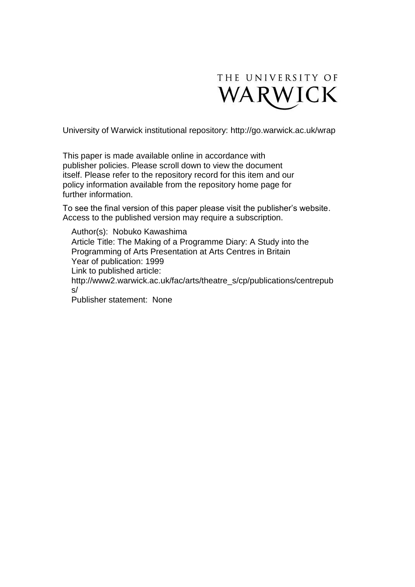

University of Warwick institutional repository:<http://go.warwick.ac.uk/wrap>

This paper is made available online in accordance with publisher policies. Please scroll down to view the document itself. Please refer to the repository record for this item and our policy information available from the repository home page for further information.

To see the final version of this paper please visit the publisher's website. Access to the published version may require a subscription.

Author(s): Nobuko Kawashima Article Title: The Making of a Programme Diary: A Study into the Programming of Arts Presentation at Arts Centres in Britain Year of publication: 1999 Link to published article: http://www2.warwick.ac.uk/fac/arts/theatre\_s/cp/publications/centrepub s/ Publisher statement: None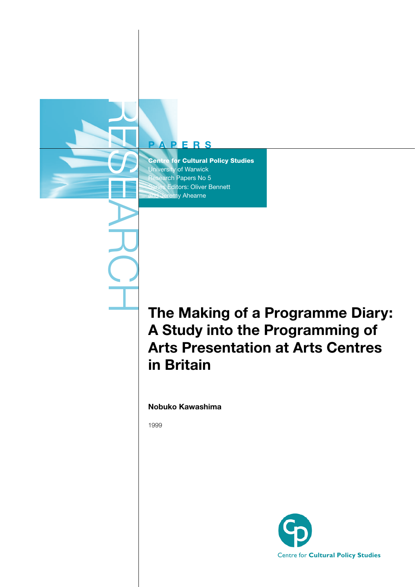# **PAPERS**

RESEARCH

Centre for Cultural Policy Studies University of Warwick Research Papers No 5 **Editors: Oliver Bennett Jeremy Ahearne** 

# **The Making of a Programme Diary: A Study into the Programming of Arts Presentation at Arts Centres in Britain**

**Nobuko Kawashima**

1999

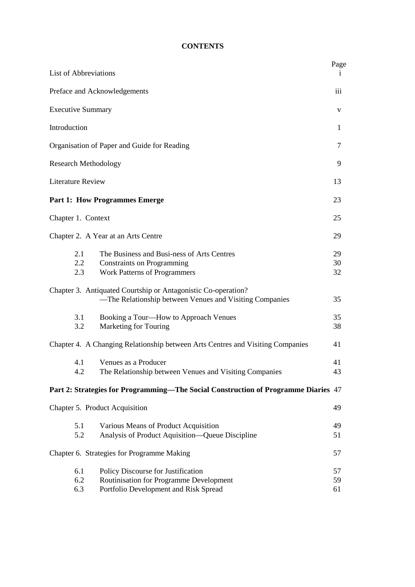# **CONTENTS**

| <b>List of Abbreviations</b>                                                                                                                | Page           |
|---------------------------------------------------------------------------------------------------------------------------------------------|----------------|
| Preface and Acknowledgements                                                                                                                | 111            |
| <b>Executive Summary</b>                                                                                                                    | V              |
| Introduction                                                                                                                                | 1              |
| Organisation of Paper and Guide for Reading                                                                                                 | 7              |
| <b>Research Methodology</b>                                                                                                                 |                |
| <b>Literature Review</b>                                                                                                                    |                |
| <b>Part 1: How Programmes Emerge</b>                                                                                                        | 23             |
| Chapter 1. Context                                                                                                                          | 25             |
| Chapter 2. A Year at an Arts Centre                                                                                                         | 29             |
| The Business and Busi-ness of Arts Centres<br>2.1<br>2.2<br><b>Constraints on Programming</b><br>Work Patterns of Programmers<br>2.3        | 29<br>30<br>32 |
| Chapter 3. Antiquated Courtship or Antagonistic Co-operation?<br>-The Relationship between Venues and Visiting Companies                    | 35             |
| Booking a Tour—How to Approach Venues<br>3.1<br>3.2<br>Marketing for Touring                                                                | 35<br>38       |
| Chapter 4. A Changing Relationship between Arts Centres and Visiting Companies                                                              | 41             |
| 4.1<br>Venues as a Producer<br>The Relationship between Venues and Visiting Companies<br>4.2                                                | 41<br>43       |
| Part 2: Strategies for Programming—The Social Construction of Programme Diaries 47                                                          |                |
| Chapter 5. Product Acquisition                                                                                                              | 49             |
| 5.1<br>Various Means of Product Acquisition<br>Analysis of Product Aquisition—Queue Discipline<br>5.2                                       | 49<br>51       |
| Chapter 6. Strategies for Programme Making                                                                                                  | 57             |
| 6.1<br>Policy Discourse for Justification<br>Routinisation for Programme Development<br>6.2<br>6.3<br>Portfolio Development and Risk Spread | 57<br>59<br>61 |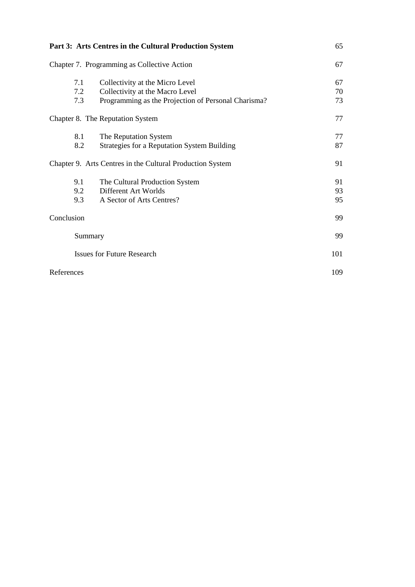| Part 3: Arts Centres in the Cultural Production System |                                                                                                                           |                |
|--------------------------------------------------------|---------------------------------------------------------------------------------------------------------------------------|----------------|
|                                                        | Chapter 7. Programming as Collective Action                                                                               | 67             |
| 7.1<br>7.2<br>7.3                                      | Collectivity at the Micro Level<br>Collectivity at the Macro Level<br>Programming as the Projection of Personal Charisma? | 67<br>70<br>73 |
|                                                        | Chapter 8. The Reputation System                                                                                          | 77             |
| 8.1<br>8.2                                             | The Reputation System<br>Strategies for a Reputation System Building                                                      | 77<br>87       |
|                                                        | Chapter 9. Arts Centres in the Cultural Production System                                                                 | 91             |
| 9.1<br>9.2<br>9.3                                      | The Cultural Production System<br>Different Art Worlds<br>A Sector of Arts Centres?                                       | 91<br>93<br>95 |
| Conclusion                                             |                                                                                                                           | 99             |
|                                                        | Summary                                                                                                                   | 99             |
|                                                        | <b>Issues for Future Research</b>                                                                                         | 101            |
| References                                             |                                                                                                                           | 109            |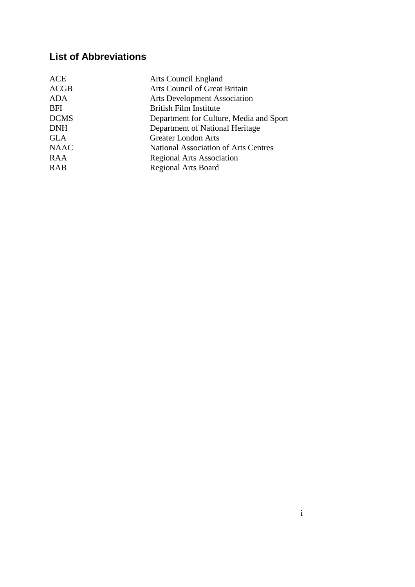# **List of Abbreviations**

| ACE         | <b>Arts Council England</b>                 |
|-------------|---------------------------------------------|
| <b>ACGB</b> | <b>Arts Council of Great Britain</b>        |
| <b>ADA</b>  | <b>Arts Development Association</b>         |
| <b>BFI</b>  | <b>British Film Institute</b>               |
| <b>DCMS</b> | Department for Culture, Media and Sport     |
| <b>DNH</b>  | Department of National Heritage             |
| <b>GLA</b>  | <b>Greater London Arts</b>                  |
| <b>NAAC</b> | <b>National Association of Arts Centres</b> |
| RAA         | <b>Regional Arts Association</b>            |
| <b>RAB</b>  | <b>Regional Arts Board</b>                  |
|             |                                             |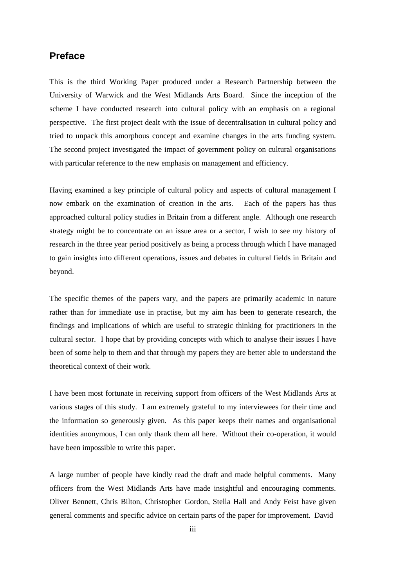#### **Preface**

This is the third Working Paper produced under a Research Partnership between the University of Warwick and the West Midlands Arts Board. Since the inception of the scheme I have conducted research into cultural policy with an emphasis on a regional perspective. The first project dealt with the issue of decentralisation in cultural policy and tried to unpack this amorphous concept and examine changes in the arts funding system. The second project investigated the impact of government policy on cultural organisations with particular reference to the new emphasis on management and efficiency.

Having examined a key principle of cultural policy and aspects of cultural management I now embark on the examination of creation in the arts. Each of the papers has thus approached cultural policy studies in Britain from a different angle. Although one research strategy might be to concentrate on an issue area or a sector, I wish to see my history of research in the three year period positively as being a process through which I have managed to gain insights into different operations, issues and debates in cultural fields in Britain and beyond.

The specific themes of the papers vary, and the papers are primarily academic in nature rather than for immediate use in practise, but my aim has been to generate research, the findings and implications of which are useful to strategic thinking for practitioners in the cultural sector. I hope that by providing concepts with which to analyse their issues I have been of some help to them and that through my papers they are better able to understand the theoretical context of their work.

I have been most fortunate in receiving support from officers of the West Midlands Arts at various stages of this study. I am extremely grateful to my interviewees for their time and the information so generously given. As this paper keeps their names and organisational identities anonymous, I can only thank them all here. Without their co-operation, it would have been impossible to write this paper.

A large number of people have kindly read the draft and made helpful comments. Many officers from the West Midlands Arts have made insightful and encouraging comments. Oliver Bennett, Chris Bilton, Christopher Gordon, Stella Hall and Andy Feist have given general comments and specific advice on certain parts of the paper for improvement. David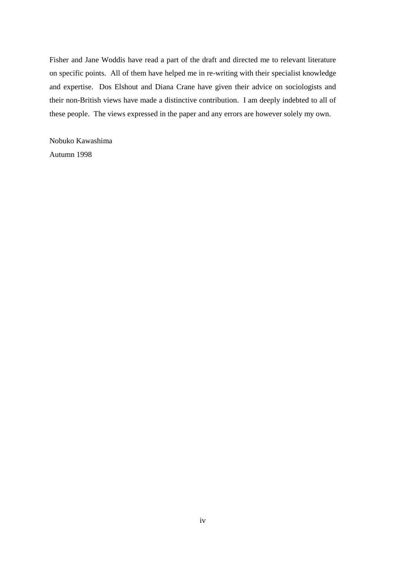Fisher and Jane Woddis have read a part of the draft and directed me to relevant literature on specific points. All of them have helped me in re-writing with their specialist knowledge and expertise. Dos Elshout and Diana Crane have given their advice on sociologists and their non-British views have made a distinctive contribution. I am deeply indebted to all of these people. The views expressed in the paper and any errors are however solely my own.

Nobuko Kawashima Autumn 1998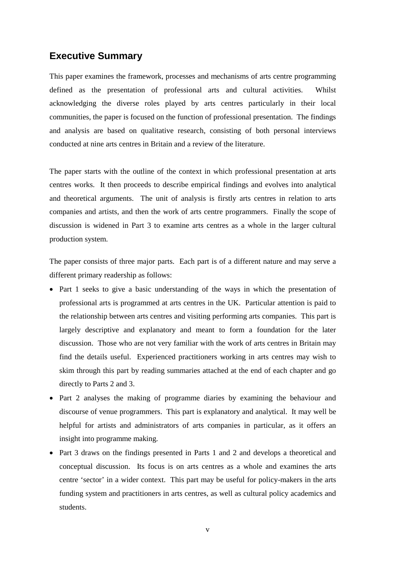#### **Executive Summary**

This paper examines the framework, processes and mechanisms of arts centre programming defined as the presentation of professional arts and cultural activities. Whilst acknowledging the diverse roles played by arts centres particularly in their local communities, the paper is focused on the function of professional presentation. The findings and analysis are based on qualitative research, consisting of both personal interviews conducted at nine arts centres in Britain and a review of the literature.

The paper starts with the outline of the context in which professional presentation at arts centres works. It then proceeds to describe empirical findings and evolves into analytical and theoretical arguments. The unit of analysis is firstly arts centres in relation to arts companies and artists, and then the work of arts centre programmers. Finally the scope of discussion is widened in Part 3 to examine arts centres as a whole in the larger cultural production system.

The paper consists of three major parts. Each part is of a different nature and may serve a different primary readership as follows:

- Part 1 seeks to give a basic understanding of the ways in which the presentation of professional arts is programmed at arts centres in the UK. Particular attention is paid to the relationship between arts centres and visiting performing arts companies. This part is largely descriptive and explanatory and meant to form a foundation for the later discussion. Those who are not very familiar with the work of arts centres in Britain may find the details useful. Experienced practitioners working in arts centres may wish to skim through this part by reading summaries attached at the end of each chapter and go directly to Parts 2 and 3.
- Part 2 analyses the making of programme diaries by examining the behaviour and discourse of venue programmers. This part is explanatory and analytical. It may well be helpful for artists and administrators of arts companies in particular, as it offers an insight into programme making.
- Part 3 draws on the findings presented in Parts 1 and 2 and develops a theoretical and conceptual discussion. Its focus is on arts centres as a whole and examines the arts centre 'sector' in a wider context. This part may be useful for policy-makers in the arts funding system and practitioners in arts centres, as well as cultural policy academics and students.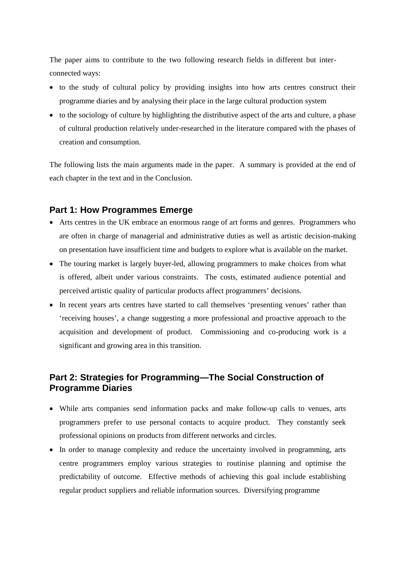The paper aims to contribute to the two following research fields in different but interconnected ways:

- to the study of cultural policy by providing insights into how arts centres construct their programme diaries and by analysing their place in the large cultural production system
- to the sociology of culture by highlighting the distributive aspect of the arts and culture, a phase of cultural production relatively under-researched in the literature compared with the phases of creation and consumption.

The following lists the main arguments made in the paper. A summary is provided at the end of each chapter in the text and in the Conclusion.

#### **Part 1: How Programmes Emerge**

- Arts centres in the UK embrace an enormous range of art forms and genres. Programmers who are often in charge of managerial and administrative duties as well as artistic decision-making on presentation have insufficient time and budgets to explore what is available on the market.
- The touring market is largely buyer-led, allowing programmers to make choices from what is offered, albeit under various constraints. The costs, estimated audience potential and perceived artistic quality of particular products affect programmers' decisions.
- In recent years arts centres have started to call themselves 'presenting venues' rather than 'receiving houses', a change suggesting a more professional and proactive approach to the acquisition and development of product. Commissioning and co-producing work is a significant and growing area in this transition.

# **Part 2: Strategies for Programming—The Social Construction of Programme Diaries**

- While arts companies send information packs and make follow-up calls to venues, arts programmers prefer to use personal contacts to acquire product. They constantly seek professional opinions on products from different networks and circles.
- In order to manage complexity and reduce the uncertainty involved in programming, arts centre programmers employ various strategies to routinise planning and optimise the predictability of outcome. Effective methods of achieving this goal include establishing regular product suppliers and reliable information sources. Diversifying programme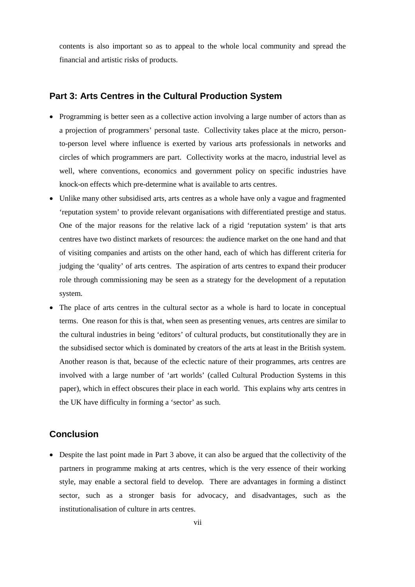contents is also important so as to appeal to the whole local community and spread the financial and artistic risks of products.

#### **Part 3: Arts Centres in the Cultural Production System**

- Programming is better seen as a collective action involving a large number of actors than as a projection of programmers' personal taste. Collectivity takes place at the micro, personto-person level where influence is exerted by various arts professionals in networks and circles of which programmers are part. Collectivity works at the macro, industrial level as well, where conventions, economics and government policy on specific industries have knock-on effects which pre-determine what is available to arts centres.
- Unlike many other subsidised arts, arts centres as a whole have only a vague and fragmented 'reputation system' to provide relevant organisations with differentiated prestige and status. One of the major reasons for the relative lack of a rigid 'reputation system' is that arts centres have two distinct markets of resources: the audience market on the one hand and that of visiting companies and artists on the other hand, each of which has different criteria for judging the 'quality' of arts centres. The aspiration of arts centres to expand their producer role through commissioning may be seen as a strategy for the development of a reputation system.
- The place of arts centres in the cultural sector as a whole is hard to locate in conceptual terms. One reason for this is that, when seen as presenting venues, arts centres are similar to the cultural industries in being 'editors' of cultural products, but constitutionally they are in the subsidised sector which is dominated by creators of the arts at least in the British system. Another reason is that, because of the eclectic nature of their programmes, arts centres are involved with a large number of 'art worlds' (called Cultural Production Systems in this paper), which in effect obscures their place in each world. This explains why arts centres in the UK have difficulty in forming a 'sector' as such.

#### **Conclusion**

 Despite the last point made in Part 3 above, it can also be argued that the collectivity of the partners in programme making at arts centres, which is the very essence of their working style, may enable a sectoral field to develop. There are advantages in forming a distinct sector, such as a stronger basis for advocacy, and disadvantages, such as the institutionalisation of culture in arts centres.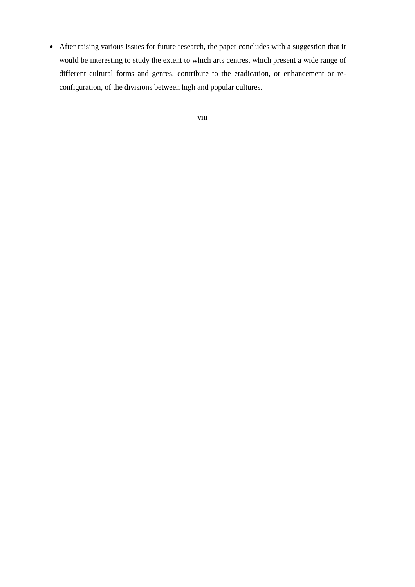After raising various issues for future research, the paper concludes with a suggestion that it would be interesting to study the extent to which arts centres, which present a wide range of different cultural forms and genres, contribute to the eradication, or enhancement or reconfiguration, of the divisions between high and popular cultures.

viii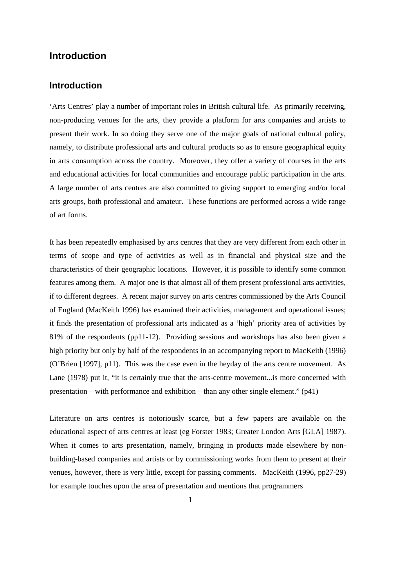#### **Introduction**

#### **Introduction**

'Arts Centres' play a number of important roles in British cultural life. As primarily receiving, non-producing venues for the arts, they provide a platform for arts companies and artists to present their work. In so doing they serve one of the major goals of national cultural policy, namely, to distribute professional arts and cultural products so as to ensure geographical equity in arts consumption across the country. Moreover, they offer a variety of courses in the arts and educational activities for local communities and encourage public participation in the arts. A large number of arts centres are also committed to giving support to emerging and/or local arts groups, both professional and amateur. These functions are performed across a wide range of art forms.

It has been repeatedly emphasised by arts centres that they are very different from each other in terms of scope and type of activities as well as in financial and physical size and the characteristics of their geographic locations. However, it is possible to identify some common features among them. A major one is that almost all of them present professional arts activities, if to different degrees. A recent major survey on arts centres commissioned by the Arts Council of England (MacKeith 1996) has examined their activities, management and operational issues; it finds the presentation of professional arts indicated as a 'high' priority area of activities by 81% of the respondents (pp11-12). Providing sessions and workshops has also been given a high priority but only by half of the respondents in an accompanying report to MacKeith (1996) (O'Brien [1997], p11). This was the case even in the heyday of the arts centre movement. As Lane (1978) put it, "it is certainly true that the arts-centre movement...is more concerned with presentation—with performance and exhibition—than any other single element." (p41)

Literature on arts centres is notoriously scarce, but a few papers are available on the educational aspect of arts centres at least (eg Forster 1983; Greater London Arts [GLA] 1987). When it comes to arts presentation, namely, bringing in products made elsewhere by nonbuilding-based companies and artists or by commissioning works from them to present at their venues, however, there is very little, except for passing comments. MacKeith (1996, pp27-29) for example touches upon the area of presentation and mentions that programmers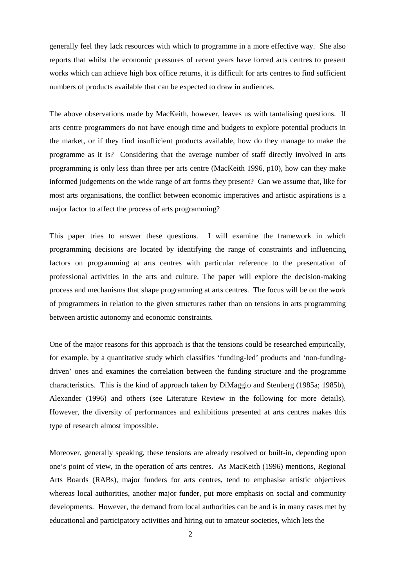generally feel they lack resources with which to programme in a more effective way. She also reports that whilst the economic pressures of recent years have forced arts centres to present works which can achieve high box office returns, it is difficult for arts centres to find sufficient numbers of products available that can be expected to draw in audiences.

The above observations made by MacKeith, however, leaves us with tantalising questions. If arts centre programmers do not have enough time and budgets to explore potential products in the market, or if they find insufficient products available, how do they manage to make the programme as it is? Considering that the average number of staff directly involved in arts programming is only less than three per arts centre (MacKeith 1996, p10), how can they make informed judgements on the wide range of art forms they present? Can we assume that, like for most arts organisations, the conflict between economic imperatives and artistic aspirations is a major factor to affect the process of arts programming?

This paper tries to answer these questions. I will examine the framework in which programming decisions are located by identifying the range of constraints and influencing factors on programming at arts centres with particular reference to the presentation of professional activities in the arts and culture. The paper will explore the decision-making process and mechanisms that shape programming at arts centres. The focus will be on the work of programmers in relation to the given structures rather than on tensions in arts programming between artistic autonomy and economic constraints.

One of the major reasons for this approach is that the tensions could be researched empirically, for example, by a quantitative study which classifies 'funding-led' products and 'non-fundingdriven' ones and examines the correlation between the funding structure and the programme characteristics. This is the kind of approach taken by DiMaggio and Stenberg (1985a; 1985b), Alexander (1996) and others (see Literature Review in the following for more details). However, the diversity of performances and exhibitions presented at arts centres makes this type of research almost impossible.

Moreover, generally speaking, these tensions are already resolved or built-in, depending upon one's point of view, in the operation of arts centres. As MacKeith (1996) mentions, Regional Arts Boards (RABs), major funders for arts centres, tend to emphasise artistic objectives whereas local authorities, another major funder, put more emphasis on social and community developments. However, the demand from local authorities can be and is in many cases met by educational and participatory activities and hiring out to amateur societies, which lets the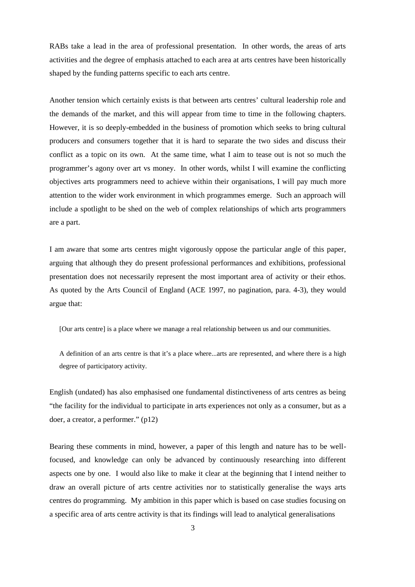RABs take a lead in the area of professional presentation. In other words, the areas of arts activities and the degree of emphasis attached to each area at arts centres have been historically shaped by the funding patterns specific to each arts centre.

Another tension which certainly exists is that between arts centres' cultural leadership role and the demands of the market, and this will appear from time to time in the following chapters. However, it is so deeply-embedded in the business of promotion which seeks to bring cultural producers and consumers together that it is hard to separate the two sides and discuss their conflict as a topic on its own. At the same time, what I aim to tease out is not so much the programmer's agony over art vs money. In other words, whilst I will examine the conflicting objectives arts programmers need to achieve within their organisations, I will pay much more attention to the wider work environment in which programmes emerge. Such an approach will include a spotlight to be shed on the web of complex relationships of which arts programmers are a part.

I am aware that some arts centres might vigorously oppose the particular angle of this paper, arguing that although they do present professional performances and exhibitions, professional presentation does not necessarily represent the most important area of activity or their ethos. As quoted by the Arts Council of England (ACE 1997, no pagination, para. 4-3), they would argue that:

[Our arts centre] is a place where we manage a real relationship between us and our communities.

A definition of an arts centre is that it's a place where...arts are represented, and where there is a high degree of participatory activity.

English (undated) has also emphasised one fundamental distinctiveness of arts centres as being "the facility for the individual to participate in arts experiences not only as a consumer, but as a doer, a creator, a performer." (p12)

Bearing these comments in mind, however, a paper of this length and nature has to be wellfocused, and knowledge can only be advanced by continuously researching into different aspects one by one. I would also like to make it clear at the beginning that I intend neither to draw an overall picture of arts centre activities nor to statistically generalise the ways arts centres do programming. My ambition in this paper which is based on case studies focusing on a specific area of arts centre activity is that its findings will lead to analytical generalisations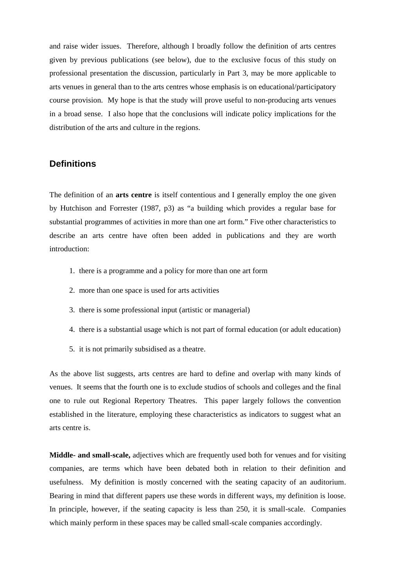and raise wider issues. Therefore, although I broadly follow the definition of arts centres given by previous publications (see below), due to the exclusive focus of this study on professional presentation the discussion, particularly in Part 3, may be more applicable to arts venues in general than to the arts centres whose emphasis is on educational/participatory course provision. My hope is that the study will prove useful to non-producing arts venues in a broad sense. I also hope that the conclusions will indicate policy implications for the distribution of the arts and culture in the regions.

#### **Definitions**

The definition of an **arts centre** is itself contentious and I generally employ the one given by Hutchison and Forrester (1987, p3) as "a building which provides a regular base for substantial programmes of activities in more than one art form." Five other characteristics to describe an arts centre have often been added in publications and they are worth introduction:

- 1. there is a programme and a policy for more than one art form
- 2. more than one space is used for arts activities
- 3. there is some professional input (artistic or managerial)
- 4. there is a substantial usage which is not part of formal education (or adult education)
- 5. it is not primarily subsidised as a theatre.

As the above list suggests, arts centres are hard to define and overlap with many kinds of venues. It seems that the fourth one is to exclude studios of schools and colleges and the final one to rule out Regional Repertory Theatres. This paper largely follows the convention established in the literature, employing these characteristics as indicators to suggest what an arts centre is.

**Middle- and small-scale,** adjectives which are frequently used both for venues and for visiting companies, are terms which have been debated both in relation to their definition and usefulness. My definition is mostly concerned with the seating capacity of an auditorium. Bearing in mind that different papers use these words in different ways, my definition is loose. In principle, however, if the seating capacity is less than 250, it is small-scale. Companies which mainly perform in these spaces may be called small-scale companies accordingly.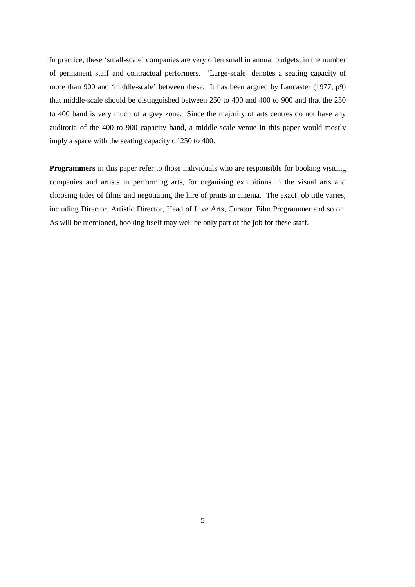In practice, these 'small-scale' companies are very often small in annual budgets, in the number of permanent staff and contractual performers. 'Large-scale' denotes a seating capacity of more than 900 and 'middle-scale' between these. It has been argued by Lancaster (1977, p9) that middle-scale should be distinguished between 250 to 400 and 400 to 900 and that the 250 to 400 band is very much of a grey zone. Since the majority of arts centres do not have any auditoria of the 400 to 900 capacity band, a middle-scale venue in this paper would mostly imply a space with the seating capacity of 250 to 400.

**Programmers** in this paper refer to those individuals who are responsible for booking visiting companies and artists in performing arts, for organising exhibitions in the visual arts and choosing titles of films and negotiating the hire of prints in cinema. The exact job title varies, including Director, Artistic Director, Head of Live Arts, Curator, Film Programmer and so on. As will be mentioned, booking itself may well be only part of the job for these staff.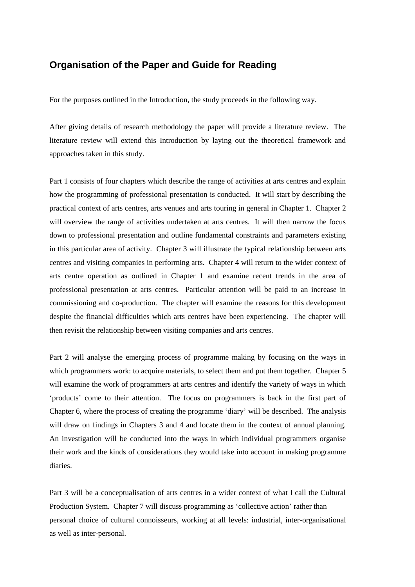## **Organisation of the Paper and Guide for Reading**

For the purposes outlined in the Introduction, the study proceeds in the following way.

After giving details of research methodology the paper will provide a literature review. The literature review will extend this Introduction by laying out the theoretical framework and approaches taken in this study.

Part 1 consists of four chapters which describe the range of activities at arts centres and explain how the programming of professional presentation is conducted. It will start by describing the practical context of arts centres, arts venues and arts touring in general in Chapter 1. Chapter 2 will overview the range of activities undertaken at arts centres. It will then narrow the focus down to professional presentation and outline fundamental constraints and parameters existing in this particular area of activity. Chapter 3 will illustrate the typical relationship between arts centres and visiting companies in performing arts. Chapter 4 will return to the wider context of arts centre operation as outlined in Chapter 1 and examine recent trends in the area of professional presentation at arts centres. Particular attention will be paid to an increase in commissioning and co-production. The chapter will examine the reasons for this development despite the financial difficulties which arts centres have been experiencing. The chapter will then revisit the relationship between visiting companies and arts centres.

Part 2 will analyse the emerging process of programme making by focusing on the ways in which programmers work: to acquire materials, to select them and put them together. Chapter 5 will examine the work of programmers at arts centres and identify the variety of ways in which 'products' come to their attention. The focus on programmers is back in the first part of Chapter 6, where the process of creating the programme 'diary' will be described. The analysis will draw on findings in Chapters 3 and 4 and locate them in the context of annual planning. An investigation will be conducted into the ways in which individual programmers organise their work and the kinds of considerations they would take into account in making programme diaries.

Part 3 will be a conceptualisation of arts centres in a wider context of what I call the Cultural Production System. Chapter 7 will discuss programming as 'collective action' rather than personal choice of cultural connoisseurs, working at all levels: industrial, inter-organisational as well as inter-personal.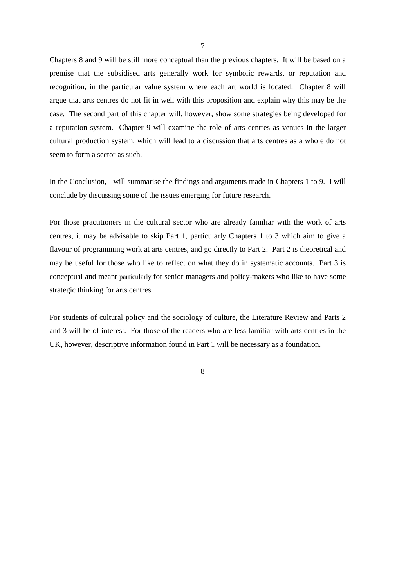Chapters 8 and 9 will be still more conceptual than the previous chapters. It will be based on a premise that the subsidised arts generally work for symbolic rewards, or reputation and recognition, in the particular value system where each art world is located. Chapter 8 will argue that arts centres do not fit in well with this proposition and explain why this may be the case. The second part of this chapter will, however, show some strategies being developed for a reputation system. Chapter 9 will examine the role of arts centres as venues in the larger cultural production system, which will lead to a discussion that arts centres as a whole do not seem to form a sector as such.

In the Conclusion, I will summarise the findings and arguments made in Chapters 1 to 9. I will conclude by discussing some of the issues emerging for future research.

For those practitioners in the cultural sector who are already familiar with the work of arts centres, it may be advisable to skip Part 1, particularly Chapters 1 to 3 which aim to give a flavour of programming work at arts centres, and go directly to Part 2. Part 2 is theoretical and may be useful for those who like to reflect on what they do in systematic accounts. Part 3 is conceptual and meant particularly for senior managers and policy-makers who like to have some strategic thinking for arts centres.

For students of cultural policy and the sociology of culture, the Literature Review and Parts 2 and 3 will be of interest. For those of the readers who are less familiar with arts centres in the UK, however, descriptive information found in Part 1 will be necessary as a foundation.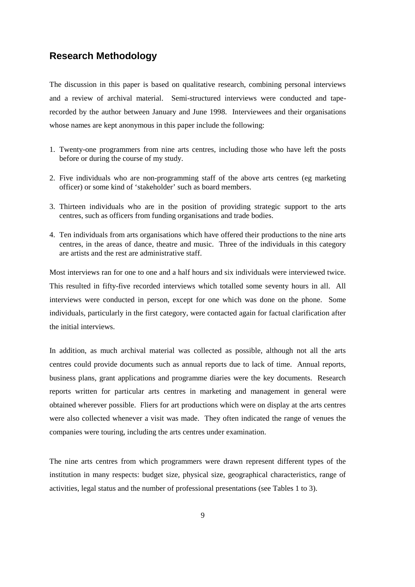#### **Research Methodology**

The discussion in this paper is based on qualitative research, combining personal interviews and a review of archival material. Semi-structured interviews were conducted and taperecorded by the author between January and June 1998. Interviewees and their organisations whose names are kept anonymous in this paper include the following:

- 1. Twenty-one programmers from nine arts centres, including those who have left the posts before or during the course of my study.
- 2. Five individuals who are non-programming staff of the above arts centres (eg marketing officer) or some kind of 'stakeholder' such as board members.
- 3. Thirteen individuals who are in the position of providing strategic support to the arts centres, such as officers from funding organisations and trade bodies.
- 4. Ten individuals from arts organisations which have offered their productions to the nine arts centres, in the areas of dance, theatre and music. Three of the individuals in this category are artists and the rest are administrative staff.

Most interviews ran for one to one and a half hours and six individuals were interviewed twice. This resulted in fifty-five recorded interviews which totalled some seventy hours in all. All interviews were conducted in person, except for one which was done on the phone. Some individuals, particularly in the first category, were contacted again for factual clarification after the initial interviews.

In addition, as much archival material was collected as possible, although not all the arts centres could provide documents such as annual reports due to lack of time. Annual reports, business plans, grant applications and programme diaries were the key documents. Research reports written for particular arts centres in marketing and management in general were obtained wherever possible. Fliers for art productions which were on display at the arts centres were also collected whenever a visit was made. They often indicated the range of venues the companies were touring, including the arts centres under examination.

The nine arts centres from which programmers were drawn represent different types of the institution in many respects: budget size, physical size, geographical characteristics, range of activities, legal status and the number of professional presentations (see Tables 1 to 3).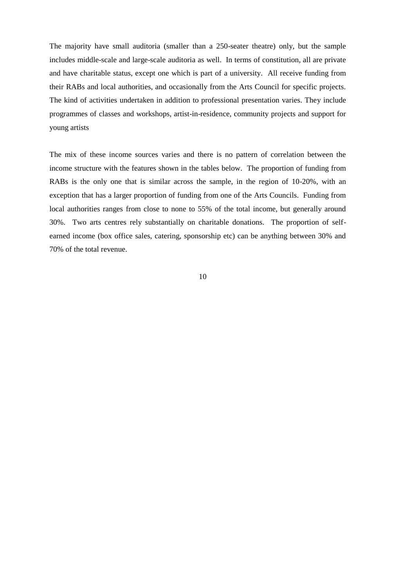The majority have small auditoria (smaller than a 250-seater theatre) only, but the sample includes middle-scale and large-scale auditoria as well. In terms of constitution, all are private and have charitable status, except one which is part of a university. All receive funding from their RABs and local authorities, and occasionally from the Arts Council for specific projects. The kind of activities undertaken in addition to professional presentation varies. They include programmes of classes and workshops, artist-in-residence, community projects and support for young artists

The mix of these income sources varies and there is no pattern of correlation between the income structure with the features shown in the tables below. The proportion of funding from RABs is the only one that is similar across the sample, in the region of 10-20%, with an exception that has a larger proportion of funding from one of the Arts Councils. Funding from local authorities ranges from close to none to 55% of the total income, but generally around 30%. Two arts centres rely substantially on charitable donations. The proportion of selfearned income (box office sales, catering, sponsorship etc) can be anything between 30% and 70% of the total revenue.

10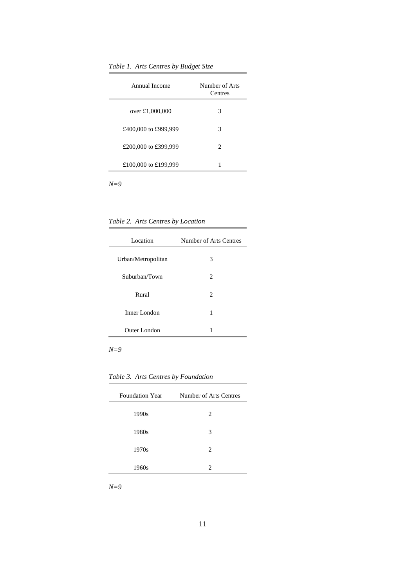*Table 1. Arts Centres by Budget Size*

| Annual Income        | Number of Arts<br>Centres |
|----------------------|---------------------------|
| over £1,000,000      | 3                         |
| £400,000 to £999,999 | 3                         |
| £200,000 to £399,999 | 2                         |
| £100,000 to £199,999 |                           |

*N=9*

*Table 2. Arts Centres by Location*

| Location           | Number of Arts Centres |
|--------------------|------------------------|
| Urban/Metropolitan | 3                      |
| Suburban/Town      | 2                      |
| Rural              | 2                      |
| Inner London       | 1                      |
| Outer London       | 1                      |

*N=9*

*Table 3. Arts Centres by Foundation*

| <b>Foundation Year</b> | Number of Arts Centres |
|------------------------|------------------------|
| 1990s                  | 2                      |
| 1980s                  | 3                      |
| 1970s                  | $\mathfrak{D}$         |
| 1960s                  | $\mathfrak{D}$         |

*N=9*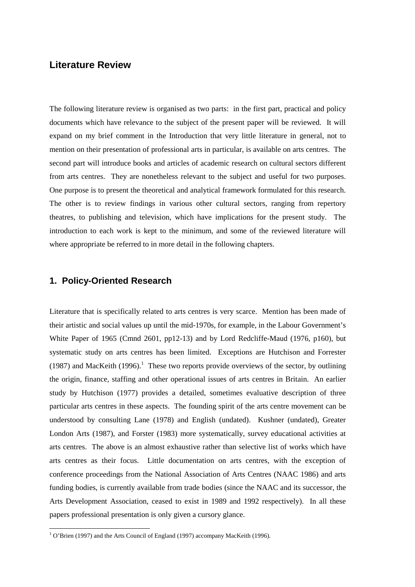# **Literature Review**

The following literature review is organised as two parts: in the first part, practical and policy documents which have relevance to the subject of the present paper will be reviewed. It will expand on my brief comment in the Introduction that very little literature in general, not to mention on their presentation of professional arts in particular, is available on arts centres. The second part will introduce books and articles of academic research on cultural sectors different from arts centres. They are nonetheless relevant to the subject and useful for two purposes. One purpose is to present the theoretical and analytical framework formulated for this research. The other is to review findings in various other cultural sectors, ranging from repertory theatres, to publishing and television, which have implications for the present study. The introduction to each work is kept to the minimum, and some of the reviewed literature will where appropriate be referred to in more detail in the following chapters.

#### **1. Policy-Oriented Research**

Literature that is specifically related to arts centres is very scarce. Mention has been made of their artistic and social values up until the mid-1970s, for example, in the Labour Government's White Paper of 1965 (Cmnd 2601, pp12-13) and by Lord Redcliffe-Maud (1976, p160), but systematic study on arts centres has been limited. Exceptions are Hutchison and Forrester ([1](#page-21-0)987) and MacKeith (1996).<sup>1</sup> These two reports provide overviews of the sector, by outlining the origin, finance, staffing and other operational issues of arts centres in Britain. An earlier study by Hutchison (1977) provides a detailed, sometimes evaluative description of three particular arts centres in these aspects. The founding spirit of the arts centre movement can be understood by consulting Lane (1978) and English (undated). Kushner (undated), Greater London Arts (1987), and Forster (1983) more systematically, survey educational activities at arts centres. The above is an almost exhaustive rather than selective list of works which have arts centres as their focus. Little documentation on arts centres, with the exception of conference proceedings from the National Association of Arts Centres (NAAC 1986) and arts funding bodies, is currently available from trade bodies (since the NAAC and its successor, the Arts Development Association, ceased to exist in 1989 and 1992 respectively). In all these papers professional presentation is only given a cursory glance.

<span id="page-21-0"></span><sup>&</sup>lt;sup>1</sup> O'Brien (1997) and the Arts Council of England (1997) accompany MacKeith (1996).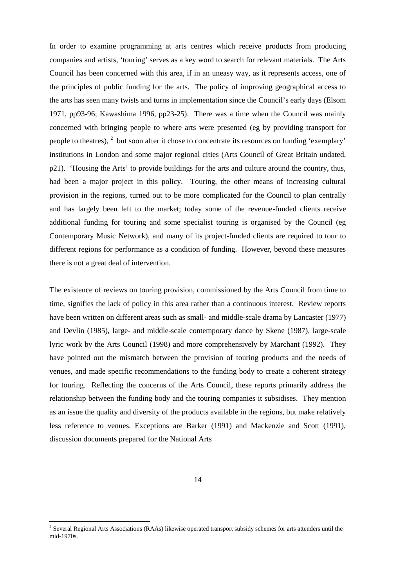In order to examine programming at arts centres which receive products from producing companies and artists, 'touring' serves as a key word to search for relevant materials. The Arts Council has been concerned with this area, if in an uneasy way, as it represents access, one of the principles of public funding for the arts. The policy of improving geographical access to the arts has seen many twists and turns in implementation since the Council's early days (Elsom 1971, pp93-96; Kawashima 1996, pp23-25). There was a time when the Council was mainly concerned with bringing people to where arts were presented (eg by providing transport for people to theatres),  $2$  but soon after it chose to concentrate its resources on funding 'exemplary' institutions in London and some major regional cities (Arts Council of Great Britain undated, p21). 'Housing the Arts' to provide buildings for the arts and culture around the country, thus, had been a major project in this policy. Touring, the other means of increasing cultural provision in the regions, turned out to be more complicated for the Council to plan centrally and has largely been left to the market; today some of the revenue-funded clients receive additional funding for touring and some specialist touring is organised by the Council (eg Contemporary Music Network), and many of its project-funded clients are required to tour to different regions for performance as a condition of funding. However, beyond these measures there is not a great deal of intervention.

The existence of reviews on touring provision, commissioned by the Arts Council from time to time, signifies the lack of policy in this area rather than a continuous interest. Review reports have been written on different areas such as small- and middle-scale drama by Lancaster (1977) and Devlin (1985), large- and middle-scale contemporary dance by Skene (1987), large-scale lyric work by the Arts Council (1998) and more comprehensively by Marchant (1992). They have pointed out the mismatch between the provision of touring products and the needs of venues, and made specific recommendations to the funding body to create a coherent strategy for touring. Reflecting the concerns of the Arts Council, these reports primarily address the relationship between the funding body and the touring companies it subsidises. They mention as an issue the quality and diversity of the products available in the regions, but make relatively less reference to venues. Exceptions are Barker (1991) and Mackenzie and Scott (1991), discussion documents prepared for the National Arts

<span id="page-22-0"></span><sup>&</sup>lt;sup>2</sup> Several Regional Arts Associations (RAAs) likewise operated transport subsidy schemes for arts attenders until the mid-1970s.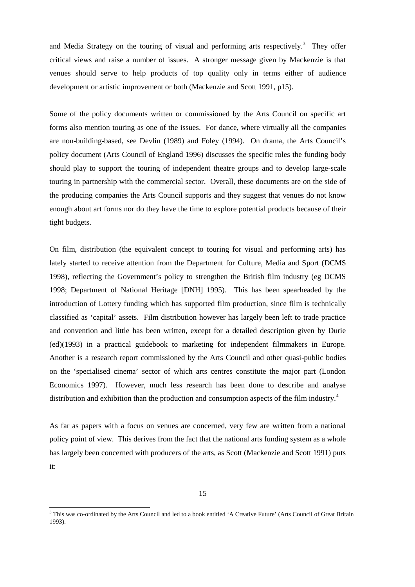and Media Strategy on the touring of visual and performing arts respectively.<sup>[3](#page-23-0)</sup> They offer critical views and raise a number of issues. A stronger message given by Mackenzie is that venues should serve to help products of top quality only in terms either of audience development or artistic improvement or both (Mackenzie and Scott 1991, p15).

Some of the policy documents written or commissioned by the Arts Council on specific art forms also mention touring as one of the issues. For dance, where virtually all the companies are non-building-based, see Devlin (1989) and Foley (1994). On drama, the Arts Council's policy document (Arts Council of England 1996) discusses the specific roles the funding body should play to support the touring of independent theatre groups and to develop large-scale touring in partnership with the commercial sector. Overall, these documents are on the side of the producing companies the Arts Council supports and they suggest that venues do not know enough about art forms nor do they have the time to explore potential products because of their tight budgets.

On film, distribution (the equivalent concept to touring for visual and performing arts) has lately started to receive attention from the Department for Culture, Media and Sport (DCMS 1998), reflecting the Government's policy to strengthen the British film industry (eg DCMS 1998; Department of National Heritage [DNH] 1995). This has been spearheaded by the introduction of Lottery funding which has supported film production, since film is technically classified as 'capital' assets. Film distribution however has largely been left to trade practice and convention and little has been written, except for a detailed description given by Durie (ed)(1993) in a practical guidebook to marketing for independent filmmakers in Europe. Another is a research report commissioned by the Arts Council and other quasi-public bodies on the 'specialised cinema' sector of which arts centres constitute the major part (London Economics 1997). However, much less research has been done to describe and analyse distribution and exhibition than the production and consumption aspects of the film industry.<sup>[4](#page-23-1)</sup>

As far as papers with a focus on venues are concerned, very few are written from a national policy point of view. This derives from the fact that the national arts funding system as a whole has largely been concerned with producers of the arts, as Scott (Mackenzie and Scott 1991) puts it:

<span id="page-23-1"></span><span id="page-23-0"></span><sup>&</sup>lt;sup>3</sup> This was co-ordinated by the Arts Council and led to a book entitled 'A Creative Future' (Arts Council of Great Britain 1993).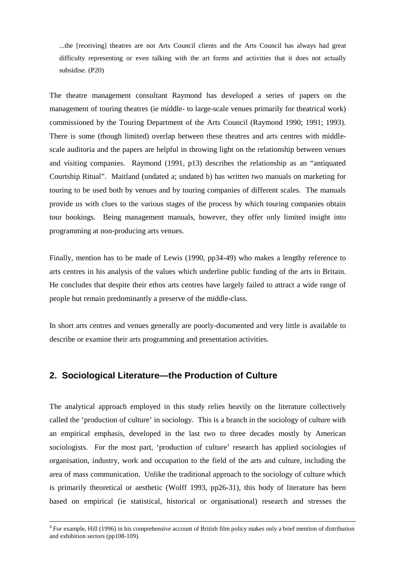...the [receiving] theatres are not Arts Council clients and the Arts Council has always had great difficulty representing or even talking with the art forms and activities that it does not actually subsidise. (P20)

The theatre management consultant Raymond has developed a series of papers on the management of touring theatres (ie middle- to large-scale venues primarily for theatrical work) commissioned by the Touring Department of the Arts Council (Raymond 1990; 1991; 1993). There is some (though limited) overlap between these theatres and arts centres with middlescale auditoria and the papers are helpful in throwing light on the relationship between venues and visiting companies. Raymond (1991, p13) describes the relationship as an "antiquated Courtship Ritual". Maitland (undated a; undated b) has written two manuals on marketing for touring to be used both by venues and by touring companies of different scales. The manuals provide us with clues to the various stages of the process by which touring companies obtain tour bookings. Being management manuals, however, they offer only limited insight into programming at non-producing arts venues.

Finally, mention has to be made of Lewis (1990, pp34-49) who makes a lengthy reference to arts centres in his analysis of the values which underline public funding of the arts in Britain. He concludes that despite their ethos arts centres have largely failed to attract a wide range of people but remain predominantly a preserve of the middle-class.

In short arts centres and venues generally are poorly-documented and very little is available to describe or examine their arts programming and presentation activities.

#### **2. Sociological Literature—the Production of Culture**

The analytical approach employed in this study relies heavily on the literature collectively called the 'production of culture' in sociology. This is a branch in the sociology of culture with an empirical emphasis, developed in the last two to three decades mostly by American sociologists. For the most part, 'production of culture' research has applied sociologies of organisation, industry, work and occupation to the field of the arts and culture, including the area of mass communication. Unlike the traditional approach to the sociology of culture which is primarily theoretical or aesthetic (Wolff 1993, pp26-31), this body of literature has been based on empirical (ie statistical, historical or organisational) research and stresses the

<sup>4</sup> For example, Hill (1996) in his comprehensive account of British film policy makes only a brief mention of distribution and exhibition sectors (pp108-109).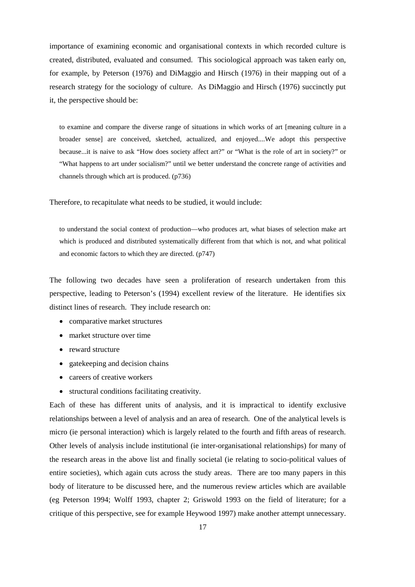importance of examining economic and organisational contexts in which recorded culture is created, distributed, evaluated and consumed. This sociological approach was taken early on, for example, by Peterson (1976) and DiMaggio and Hirsch (1976) in their mapping out of a research strategy for the sociology of culture. As DiMaggio and Hirsch (1976) succinctly put it, the perspective should be:

to examine and compare the diverse range of situations in which works of art [meaning culture in a broader sense] are conceived, sketched, actualized, and enjoyed....We adopt this perspective because...it is naive to ask "How does society affect art?" or "What is the role of art in society?" or "What happens to art under socialism?" until we better understand the concrete range of activities and channels through which art is produced. (p736)

Therefore, to recapitulate what needs to be studied, it would include:

to understand the social context of production—who produces art, what biases of selection make art which is produced and distributed systematically different from that which is not, and what political and economic factors to which they are directed. (p747)

The following two decades have seen a proliferation of research undertaken from this perspective, leading to Peterson's (1994) excellent review of the literature. He identifies six distinct lines of research. They include research on:

- comparative market structures
- market structure over time
- reward structure
- gatekeeping and decision chains
- careers of creative workers
- structural conditions facilitating creativity.

Each of these has different units of analysis, and it is impractical to identify exclusive relationships between a level of analysis and an area of research. One of the analytical levels is micro (ie personal interaction) which is largely related to the fourth and fifth areas of research. Other levels of analysis include institutional (ie inter-organisational relationships) for many of the research areas in the above list and finally societal (ie relating to socio-political values of entire societies), which again cuts across the study areas. There are too many papers in this body of literature to be discussed here, and the numerous review articles which are available (eg Peterson 1994; Wolff 1993, chapter 2; Griswold 1993 on the field of literature; for a critique of this perspective, see for example Heywood 1997) make another attempt unnecessary.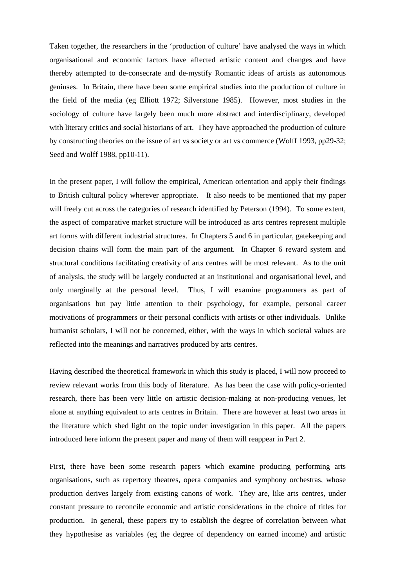Taken together, the researchers in the 'production of culture' have analysed the ways in which organisational and economic factors have affected artistic content and changes and have thereby attempted to de-consecrate and de-mystify Romantic ideas of artists as autonomous geniuses. In Britain, there have been some empirical studies into the production of culture in the field of the media (eg Elliott 1972; Silverstone 1985). However, most studies in the sociology of culture have largely been much more abstract and interdisciplinary, developed with literary critics and social historians of art. They have approached the production of culture by constructing theories on the issue of art vs society or art vs commerce (Wolff 1993, pp29-32; Seed and Wolff 1988, pp10-11).

In the present paper, I will follow the empirical, American orientation and apply their findings to British cultural policy wherever appropriate. It also needs to be mentioned that my paper will freely cut across the categories of research identified by Peterson (1994). To some extent, the aspect of comparative market structure will be introduced as arts centres represent multiple art forms with different industrial structures. In Chapters 5 and 6 in particular, gatekeeping and decision chains will form the main part of the argument. In Chapter 6 reward system and structural conditions facilitating creativity of arts centres will be most relevant. As to the unit of analysis, the study will be largely conducted at an institutional and organisational level, and only marginally at the personal level. Thus, I will examine programmers as part of organisations but pay little attention to their psychology, for example, personal career motivations of programmers or their personal conflicts with artists or other individuals. Unlike humanist scholars, I will not be concerned, either, with the ways in which societal values are reflected into the meanings and narratives produced by arts centres.

Having described the theoretical framework in which this study is placed, I will now proceed to review relevant works from this body of literature. As has been the case with policy-oriented research, there has been very little on artistic decision-making at non-producing venues, let alone at anything equivalent to arts centres in Britain. There are however at least two areas in the literature which shed light on the topic under investigation in this paper. All the papers introduced here inform the present paper and many of them will reappear in Part 2.

First, there have been some research papers which examine producing performing arts organisations, such as repertory theatres, opera companies and symphony orchestras, whose production derives largely from existing canons of work. They are, like arts centres, under constant pressure to reconcile economic and artistic considerations in the choice of titles for production. In general, these papers try to establish the degree of correlation between what they hypothesise as variables (eg the degree of dependency on earned income) and artistic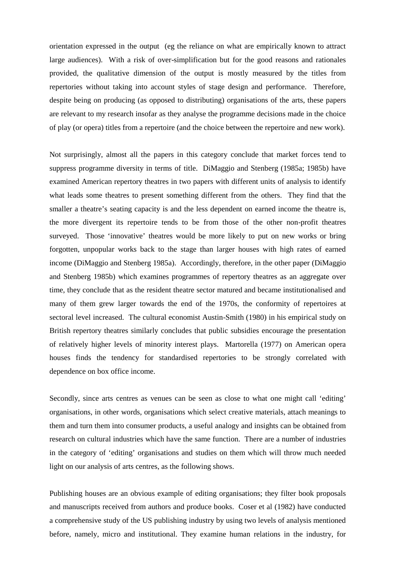orientation expressed in the output (eg the reliance on what are empirically known to attract large audiences). With a risk of over-simplification but for the good reasons and rationales provided, the qualitative dimension of the output is mostly measured by the titles from repertories without taking into account styles of stage design and performance. Therefore, despite being on producing (as opposed to distributing) organisations of the arts, these papers are relevant to my research insofar as they analyse the programme decisions made in the choice of play (or opera) titles from a repertoire (and the choice between the repertoire and new work).

Not surprisingly, almost all the papers in this category conclude that market forces tend to suppress programme diversity in terms of title. DiMaggio and Stenberg (1985a; 1985b) have examined American repertory theatres in two papers with different units of analysis to identify what leads some theatres to present something different from the others. They find that the smaller a theatre's seating capacity is and the less dependent on earned income the theatre is, the more divergent its repertoire tends to be from those of the other non-profit theatres surveyed. Those 'innovative' theatres would be more likely to put on new works or bring forgotten, unpopular works back to the stage than larger houses with high rates of earned income (DiMaggio and Stenberg 1985a). Accordingly, therefore, in the other paper (DiMaggio and Stenberg 1985b) which examines programmes of repertory theatres as an aggregate over time, they conclude that as the resident theatre sector matured and became institutionalised and many of them grew larger towards the end of the 1970s, the conformity of repertoires at sectoral level increased. The cultural economist Austin-Smith (1980) in his empirical study on British repertory theatres similarly concludes that public subsidies encourage the presentation of relatively higher levels of minority interest plays. Martorella (1977) on American opera houses finds the tendency for standardised repertories to be strongly correlated with dependence on box office income.

Secondly, since arts centres as venues can be seen as close to what one might call 'editing' organisations, in other words, organisations which select creative materials, attach meanings to them and turn them into consumer products, a useful analogy and insights can be obtained from research on cultural industries which have the same function. There are a number of industries in the category of 'editing' organisations and studies on them which will throw much needed light on our analysis of arts centres, as the following shows.

Publishing houses are an obvious example of editing organisations; they filter book proposals and manuscripts received from authors and produce books. Coser et al (1982) have conducted a comprehensive study of the US publishing industry by using two levels of analysis mentioned before, namely, micro and institutional. They examine human relations in the industry, for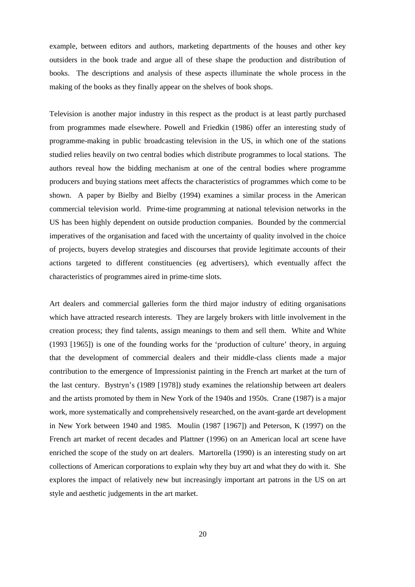example, between editors and authors, marketing departments of the houses and other key outsiders in the book trade and argue all of these shape the production and distribution of books. The descriptions and analysis of these aspects illuminate the whole process in the making of the books as they finally appear on the shelves of book shops.

Television is another major industry in this respect as the product is at least partly purchased from programmes made elsewhere. Powell and Friedkin (1986) offer an interesting study of programme-making in public broadcasting television in the US, in which one of the stations studied relies heavily on two central bodies which distribute programmes to local stations. The authors reveal how the bidding mechanism at one of the central bodies where programme producers and buying stations meet affects the characteristics of programmes which come to be shown. A paper by Bielby and Bielby (1994) examines a similar process in the American commercial television world. Prime-time programming at national television networks in the US has been highly dependent on outside production companies. Bounded by the commercial imperatives of the organisation and faced with the uncertainty of quality involved in the choice of projects, buyers develop strategies and discourses that provide legitimate accounts of their actions targeted to different constituencies (eg advertisers), which eventually affect the characteristics of programmes aired in prime-time slots.

Art dealers and commercial galleries form the third major industry of editing organisations which have attracted research interests. They are largely brokers with little involvement in the creation process; they find talents, assign meanings to them and sell them. White and White (1993 [1965]) is one of the founding works for the 'production of culture' theory, in arguing that the development of commercial dealers and their middle-class clients made a major contribution to the emergence of Impressionist painting in the French art market at the turn of the last century. Bystryn's (1989 [1978]) study examines the relationship between art dealers and the artists promoted by them in New York of the 1940s and 1950s. Crane (1987) is a major work, more systematically and comprehensively researched, on the avant-garde art development in New York between 1940 and 1985. Moulin (1987 [1967]) and Peterson, K (1997) on the French art market of recent decades and Plattner (1996) on an American local art scene have enriched the scope of the study on art dealers. Martorella (1990) is an interesting study on art collections of American corporations to explain why they buy art and what they do with it. She explores the impact of relatively new but increasingly important art patrons in the US on art style and aesthetic judgements in the art market.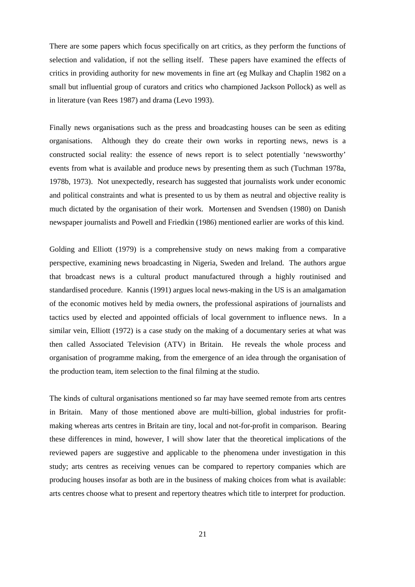There are some papers which focus specifically on art critics, as they perform the functions of selection and validation, if not the selling itself. These papers have examined the effects of critics in providing authority for new movements in fine art (eg Mulkay and Chaplin 1982 on a small but influential group of curators and critics who championed Jackson Pollock) as well as in literature (van Rees 1987) and drama (Levo 1993).

Finally news organisations such as the press and broadcasting houses can be seen as editing organisations. Although they do create their own works in reporting news, news is a constructed social reality: the essence of news report is to select potentially 'newsworthy' events from what is available and produce news by presenting them as such (Tuchman 1978a, 1978b, 1973). Not unexpectedly, research has suggested that journalists work under economic and political constraints and what is presented to us by them as neutral and objective reality is much dictated by the organisation of their work. Mortensen and Svendsen (1980) on Danish newspaper journalists and Powell and Friedkin (1986) mentioned earlier are works of this kind.

Golding and Elliott (1979) is a comprehensive study on news making from a comparative perspective, examining news broadcasting in Nigeria, Sweden and Ireland. The authors argue that broadcast news is a cultural product manufactured through a highly routinised and standardised procedure. Kannis (1991) argues local news-making in the US is an amalgamation of the economic motives held by media owners, the professional aspirations of journalists and tactics used by elected and appointed officials of local government to influence news. In a similar vein, Elliott (1972) is a case study on the making of a documentary series at what was then called Associated Television (ATV) in Britain. He reveals the whole process and organisation of programme making, from the emergence of an idea through the organisation of the production team, item selection to the final filming at the studio.

The kinds of cultural organisations mentioned so far may have seemed remote from arts centres in Britain. Many of those mentioned above are multi-billion, global industries for profitmaking whereas arts centres in Britain are tiny, local and not-for-profit in comparison. Bearing these differences in mind, however, I will show later that the theoretical implications of the reviewed papers are suggestive and applicable to the phenomena under investigation in this study; arts centres as receiving venues can be compared to repertory companies which are producing houses insofar as both are in the business of making choices from what is available: arts centres choose what to present and repertory theatres which title to interpret for production.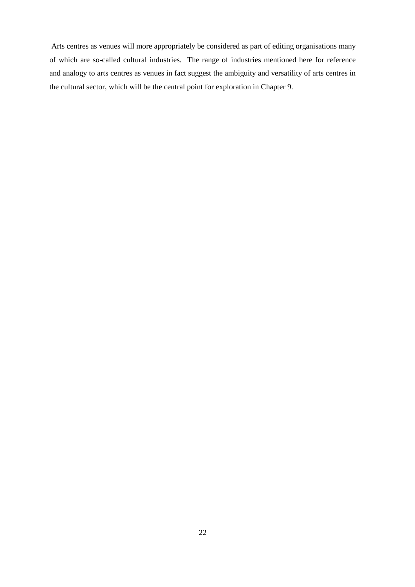Arts centres as venues will more appropriately be considered as part of editing organisations many of which are so-called cultural industries. The range of industries mentioned here for reference and analogy to arts centres as venues in fact suggest the ambiguity and versatility of arts centres in the cultural sector, which will be the central point for exploration in Chapter 9.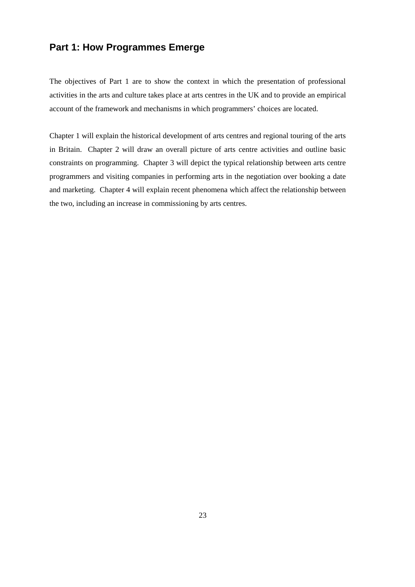# **Part 1: How Programmes Emerge**

The objectives of Part 1 are to show the context in which the presentation of professional activities in the arts and culture takes place at arts centres in the UK and to provide an empirical account of the framework and mechanisms in which programmers' choices are located.

Chapter 1 will explain the historical development of arts centres and regional touring of the arts in Britain. Chapter 2 will draw an overall picture of arts centre activities and outline basic constraints on programming. Chapter 3 will depict the typical relationship between arts centre programmers and visiting companies in performing arts in the negotiation over booking a date and marketing. Chapter 4 will explain recent phenomena which affect the relationship between the two, including an increase in commissioning by arts centres.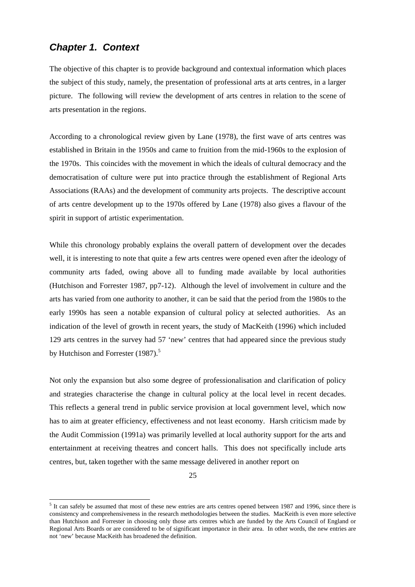# *Chapter 1. Context*

The objective of this chapter is to provide background and contextual information which places the subject of this study, namely, the presentation of professional arts at arts centres, in a larger picture. The following will review the development of arts centres in relation to the scene of arts presentation in the regions.

According to a chronological review given by Lane (1978), the first wave of arts centres was established in Britain in the 1950s and came to fruition from the mid-1960s to the explosion of the 1970s. This coincides with the movement in which the ideals of cultural democracy and the democratisation of culture were put into practice through the establishment of Regional Arts Associations (RAAs) and the development of community arts projects. The descriptive account of arts centre development up to the 1970s offered by Lane (1978) also gives a flavour of the spirit in support of artistic experimentation.

While this chronology probably explains the overall pattern of development over the decades well, it is interesting to note that quite a few arts centres were opened even after the ideology of community arts faded, owing above all to funding made available by local authorities (Hutchison and Forrester 1987, pp7-12). Although the level of involvement in culture and the arts has varied from one authority to another, it can be said that the period from the 1980s to the early 1990s has seen a notable expansion of cultural policy at selected authorities. As an indication of the level of growth in recent years, the study of MacKeith (1996) which included 129 arts centres in the survey had 57 'new' centres that had appeared since the previous study by Hutchison and Forrester  $(1987)$ .<sup>[5](#page-32-0)</sup>

Not only the expansion but also some degree of professionalisation and clarification of policy and strategies characterise the change in cultural policy at the local level in recent decades. This reflects a general trend in public service provision at local government level, which now has to aim at greater efficiency, effectiveness and not least economy. Harsh criticism made by the Audit Commission (1991a) was primarily levelled at local authority support for the arts and entertainment at receiving theatres and concert halls. This does not specifically include arts centres, but, taken together with the same message delivered in another report on

<span id="page-32-0"></span><sup>&</sup>lt;sup>5</sup> It can safely be assumed that most of these new entries are arts centres opened between 1987 and 1996, since there is consistency and comprehensiveness in the research methodologies between the studies. MacKeith is even more selective than Hutchison and Forrester in choosing only those arts centres which are funded by the Arts Council of England or Regional Arts Boards or are considered to be of significant importance in their area. In other words, the new entries are not 'new' because MacKeith has broadened the definition.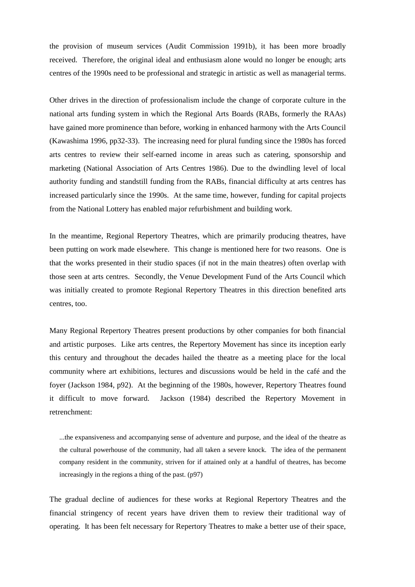the provision of museum services (Audit Commission 1991b), it has been more broadly received. Therefore, the original ideal and enthusiasm alone would no longer be enough; arts centres of the 1990s need to be professional and strategic in artistic as well as managerial terms.

Other drives in the direction of professionalism include the change of corporate culture in the national arts funding system in which the Regional Arts Boards (RABs, formerly the RAAs) have gained more prominence than before, working in enhanced harmony with the Arts Council (Kawashima 1996, pp32-33). The increasing need for plural funding since the 1980s has forced arts centres to review their self-earned income in areas such as catering, sponsorship and marketing (National Association of Arts Centres 1986). Due to the dwindling level of local authority funding and standstill funding from the RABs, financial difficulty at arts centres has increased particularly since the 1990s. At the same time, however, funding for capital projects from the National Lottery has enabled major refurbishment and building work.

In the meantime, Regional Repertory Theatres, which are primarily producing theatres, have been putting on work made elsewhere. This change is mentioned here for two reasons. One is that the works presented in their studio spaces (if not in the main theatres) often overlap with those seen at arts centres. Secondly, the Venue Development Fund of the Arts Council which was initially created to promote Regional Repertory Theatres in this direction benefited arts centres, too.

Many Regional Repertory Theatres present productions by other companies for both financial and artistic purposes. Like arts centres, the Repertory Movement has since its inception early this century and throughout the decades hailed the theatre as a meeting place for the local community where art exhibitions, lectures and discussions would be held in the café and the foyer (Jackson 1984, p92). At the beginning of the 1980s, however, Repertory Theatres found it difficult to move forward. Jackson (1984) described the Repertory Movement in retrenchment:

...the expansiveness and accompanying sense of adventure and purpose, and the ideal of the theatre as the cultural powerhouse of the community, had all taken a severe knock. The idea of the permanent company resident in the community, striven for if attained only at a handful of theatres, has become increasingly in the regions a thing of the past. (p97)

The gradual decline of audiences for these works at Regional Repertory Theatres and the financial stringency of recent years have driven them to review their traditional way of operating. It has been felt necessary for Repertory Theatres to make a better use of their space,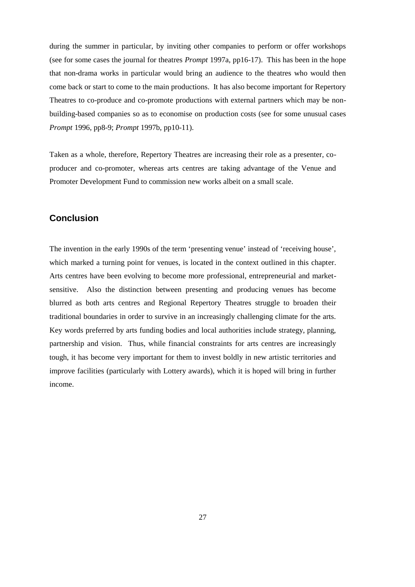during the summer in particular, by inviting other companies to perform or offer workshops (see for some cases the journal for theatres *Prompt* 1997a, pp16-17). This has been in the hope that non-drama works in particular would bring an audience to the theatres who would then come back or start to come to the main productions. It has also become important for Repertory Theatres to co-produce and co-promote productions with external partners which may be nonbuilding-based companies so as to economise on production costs (see for some unusual cases *Prompt* 1996, pp8-9; *Prompt* 1997b, pp10-11).

Taken as a whole, therefore, Repertory Theatres are increasing their role as a presenter, coproducer and co-promoter, whereas arts centres are taking advantage of the Venue and Promoter Development Fund to commission new works albeit on a small scale.

#### **Conclusion**

The invention in the early 1990s of the term 'presenting venue' instead of 'receiving house', which marked a turning point for venues, is located in the context outlined in this chapter. Arts centres have been evolving to become more professional, entrepreneurial and marketsensitive. Also the distinction between presenting and producing venues has become blurred as both arts centres and Regional Repertory Theatres struggle to broaden their traditional boundaries in order to survive in an increasingly challenging climate for the arts. Key words preferred by arts funding bodies and local authorities include strategy, planning, partnership and vision. Thus, while financial constraints for arts centres are increasingly tough, it has become very important for them to invest boldly in new artistic territories and improve facilities (particularly with Lottery awards), which it is hoped will bring in further income.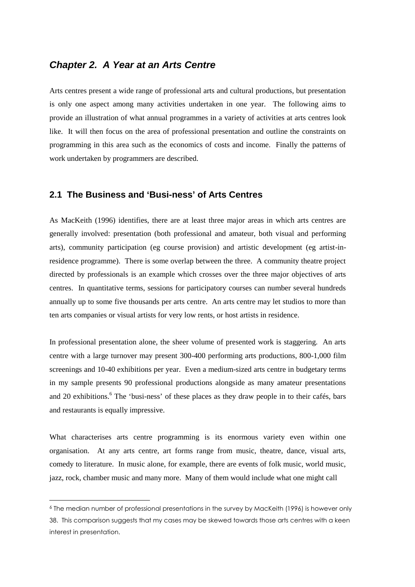# *Chapter 2. A Year at an Arts Centre*

Arts centres present a wide range of professional arts and cultural productions, but presentation is only one aspect among many activities undertaken in one year. The following aims to provide an illustration of what annual programmes in a variety of activities at arts centres look like. It will then focus on the area of professional presentation and outline the constraints on programming in this area such as the economics of costs and income. Finally the patterns of work undertaken by programmers are described.

#### **2.1 The Business and 'Busi-ness' of Arts Centres**

As MacKeith (1996) identifies, there are at least three major areas in which arts centres are generally involved: presentation (both professional and amateur, both visual and performing arts), community participation (eg course provision) and artistic development (eg artist-inresidence programme). There is some overlap between the three. A community theatre project directed by professionals is an example which crosses over the three major objectives of arts centres. In quantitative terms, sessions for participatory courses can number several hundreds annually up to some five thousands per arts centre. An arts centre may let studios to more than ten arts companies or visual artists for very low rents, or host artists in residence.

In professional presentation alone, the sheer volume of presented work is staggering. An arts centre with a large turnover may present 300-400 performing arts productions, 800-1,000 film screenings and 10-40 exhibitions per year. Even a medium-sized arts centre in budgetary terms in my sample presents 90 professional productions alongside as many amateur presentations and 20 exhibitions.<sup>[6](#page-35-0)</sup> The 'busi-ness' of these places as they draw people in to their cafés, bars and restaurants is equally impressive.

What characterises arts centre programming is its enormous variety even within one organisation. At any arts centre, art forms range from music, theatre, dance, visual arts, comedy to literature. In music alone, for example, there are events of folk music, world music, jazz, rock, chamber music and many more. Many of them would include what one might call

<span id="page-35-0"></span><sup>6</sup> The median number of professional presentations in the survey by MacKeith (1996) is however only 38. This comparison suggests that my cases may be skewed towards those arts centres with a keen interest in presentation.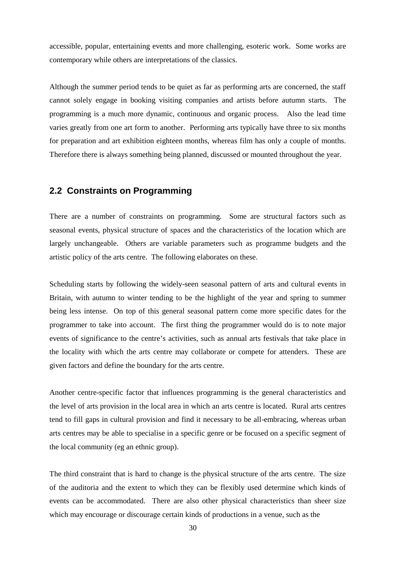accessible, popular, entertaining events and more challenging, esoteric work. Some works are contemporary while others are interpretations of the classics.

Although the summer period tends to be quiet as far as performing arts are concerned, the staff cannot solely engage in booking visiting companies and artists before autumn starts. The programming is a much more dynamic, continuous and organic process. Also the lead time varies greatly from one art form to another. Performing arts typically have three to six months for preparation and art exhibition eighteen months, whereas film has only a couple of months. Therefore there is always something being planned, discussed or mounted throughout the year.

#### **2.2 Constraints on Programming**

There are a number of constraints on programming. Some are structural factors such as seasonal events, physical structure of spaces and the characteristics of the location which are largely unchangeable. Others are variable parameters such as programme budgets and the artistic policy of the arts centre. The following elaborates on these.

Scheduling starts by following the widely-seen seasonal pattern of arts and cultural events in Britain, with autumn to winter tending to be the highlight of the year and spring to summer being less intense. On top of this general seasonal pattern come more specific dates for the programmer to take into account. The first thing the programmer would do is to note major events of significance to the centre's activities, such as annual arts festivals that take place in the locality with which the arts centre may collaborate or compete for attenders. These are given factors and define the boundary for the arts centre.

Another centre-specific factor that influences programming is the general characteristics and the level of arts provision in the local area in which an arts centre is located. Rural arts centres tend to fill gaps in cultural provision and find it necessary to be all-embracing, whereas urban arts centres may be able to specialise in a specific genre or be focused on a specific segment of the local community (eg an ethnic group).

The third constraint that is hard to change is the physical structure of the arts centre. The size of the auditoria and the extent to which they can be flexibly used determine which kinds of events can be accommodated. There are also other physical characteristics than sheer size which may encourage or discourage certain kinds of productions in a venue, such as the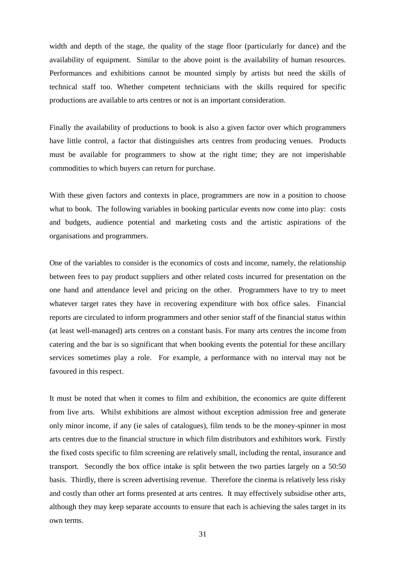width and depth of the stage, the quality of the stage floor (particularly for dance) and the availability of equipment. Similar to the above point is the availability of human resources. Performances and exhibitions cannot be mounted simply by artists but need the skills of technical staff too. Whether competent technicians with the skills required for specific productions are available to arts centres or not is an important consideration.

Finally the availability of productions to book is also a given factor over which programmers have little control, a factor that distinguishes arts centres from producing venues. Products must be available for programmers to show at the right time; they are not imperishable commodities to which buyers can return for purchase.

With these given factors and contexts in place, programmers are now in a position to choose what to book. The following variables in booking particular events now come into play: costs and budgets, audience potential and marketing costs and the artistic aspirations of the organisations and programmers.

One of the variables to consider is the economics of costs and income, namely, the relationship between fees to pay product suppliers and other related costs incurred for presentation on the one hand and attendance level and pricing on the other. Programmers have to try to meet whatever target rates they have in recovering expenditure with box office sales. Financial reports are circulated to inform programmers and other senior staff of the financial status within (at least well-managed) arts centres on a constant basis. For many arts centres the income from catering and the bar is so significant that when booking events the potential for these ancillary services sometimes play a role. For example, a performance with no interval may not be favoured in this respect.

It must be noted that when it comes to film and exhibition, the economics are quite different from live arts. Whilst exhibitions are almost without exception admission free and generate only minor income, if any (ie sales of catalogues), film tends to be the money-spinner in most arts centres due to the financial structure in which film distributors and exhibitors work. Firstly the fixed costs specific to film screening are relatively small, including the rental, insurance and transport. Secondly the box office intake is split between the two parties largely on a 50:50 basis. Thirdly, there is screen advertising revenue. Therefore the cinema is relatively less risky and costly than other art forms presented at arts centres. It may effectively subsidise other arts, although they may keep separate accounts to ensure that each is achieving the sales target in its own terms.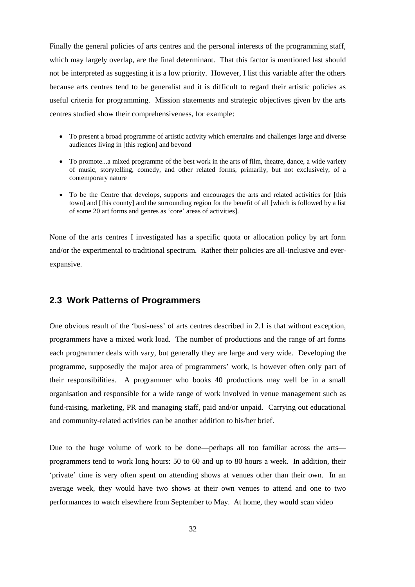Finally the general policies of arts centres and the personal interests of the programming staff, which may largely overlap, are the final determinant. That this factor is mentioned last should not be interpreted as suggesting it is a low priority. However, I list this variable after the others because arts centres tend to be generalist and it is difficult to regard their artistic policies as useful criteria for programming. Mission statements and strategic objectives given by the arts centres studied show their comprehensiveness, for example:

- To present a broad programme of artistic activity which entertains and challenges large and diverse audiences living in [this region] and beyond
- To promote...a mixed programme of the best work in the arts of film, theatre, dance, a wide variety of music, storytelling, comedy, and other related forms, primarily, but not exclusively, of a contemporary nature
- To be the Centre that develops, supports and encourages the arts and related activities for [this town] and [this county] and the surrounding region for the benefit of all [which is followed by a list of some 20 art forms and genres as 'core' areas of activities].

None of the arts centres I investigated has a specific quota or allocation policy by art form and/or the experimental to traditional spectrum. Rather their policies are all-inclusive and everexpansive.

#### **2.3 Work Patterns of Programmers**

One obvious result of the 'busi-ness' of arts centres described in 2.1 is that without exception, programmers have a mixed work load. The number of productions and the range of art forms each programmer deals with vary, but generally they are large and very wide. Developing the programme, supposedly the major area of programmers' work, is however often only part of their responsibilities. A programmer who books 40 productions may well be in a small organisation and responsible for a wide range of work involved in venue management such as fund-raising, marketing, PR and managing staff, paid and/or unpaid. Carrying out educational and community-related activities can be another addition to his/her brief.

Due to the huge volume of work to be done—perhaps all too familiar across the arts programmers tend to work long hours: 50 to 60 and up to 80 hours a week. In addition, their 'private' time is very often spent on attending shows at venues other than their own. In an average week, they would have two shows at their own venues to attend and one to two performances to watch elsewhere from September to May. At home, they would scan video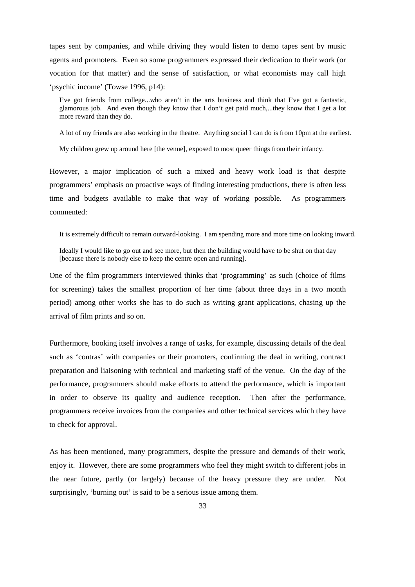tapes sent by companies, and while driving they would listen to demo tapes sent by music agents and promoters. Even so some programmers expressed their dedication to their work (or vocation for that matter) and the sense of satisfaction, or what economists may call high 'psychic income' (Towse 1996, p14):

I've got friends from college...who aren't in the arts business and think that I've got a fantastic, glamorous job. And even though they know that I don't get paid much,...they know that I get a lot more reward than they do.

A lot of my friends are also working in the theatre. Anything social I can do is from 10pm at the earliest.

My children grew up around here [the venue], exposed to most queer things from their infancy.

However, a major implication of such a mixed and heavy work load is that despite programmers' emphasis on proactive ways of finding interesting productions, there is often less time and budgets available to make that way of working possible. As programmers commented:

It is extremely difficult to remain outward-looking. I am spending more and more time on looking inward.

Ideally I would like to go out and see more, but then the building would have to be shut on that day [because there is nobody else to keep the centre open and running].

One of the film programmers interviewed thinks that 'programming' as such (choice of films for screening) takes the smallest proportion of her time (about three days in a two month period) among other works she has to do such as writing grant applications, chasing up the arrival of film prints and so on.

Furthermore, booking itself involves a range of tasks, for example, discussing details of the deal such as 'contras' with companies or their promoters, confirming the deal in writing, contract preparation and liaisoning with technical and marketing staff of the venue. On the day of the performance, programmers should make efforts to attend the performance, which is important in order to observe its quality and audience reception. Then after the performance, programmers receive invoices from the companies and other technical services which they have to check for approval.

As has been mentioned, many programmers, despite the pressure and demands of their work, enjoy it. However, there are some programmers who feel they might switch to different jobs in the near future, partly (or largely) because of the heavy pressure they are under. Not surprisingly, 'burning out' is said to be a serious issue among them.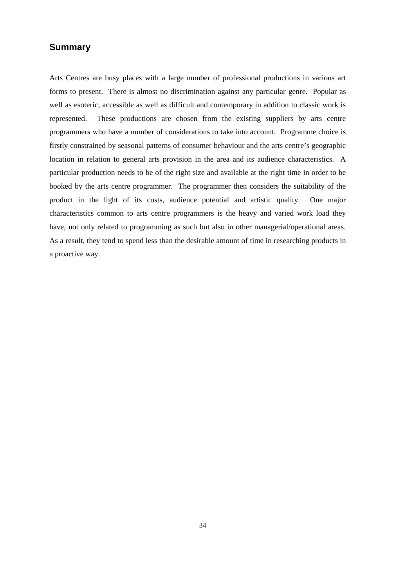#### **Summary**

Arts Centres are busy places with a large number of professional productions in various art forms to present. There is almost no discrimination against any particular genre. Popular as well as esoteric, accessible as well as difficult and contemporary in addition to classic work is represented. These productions are chosen from the existing suppliers by arts centre programmers who have a number of considerations to take into account. Programme choice is firstly constrained by seasonal patterns of consumer behaviour and the arts centre's geographic location in relation to general arts provision in the area and its audience characteristics. A particular production needs to be of the right size and available at the right time in order to be booked by the arts centre programmer. The programmer then considers the suitability of the product in the light of its costs, audience potential and artistic quality. One major characteristics common to arts centre programmers is the heavy and varied work load they have, not only related to programming as such but also in other managerial/operational areas. As a result, they tend to spend less than the desirable amount of time in researching products in a proactive way.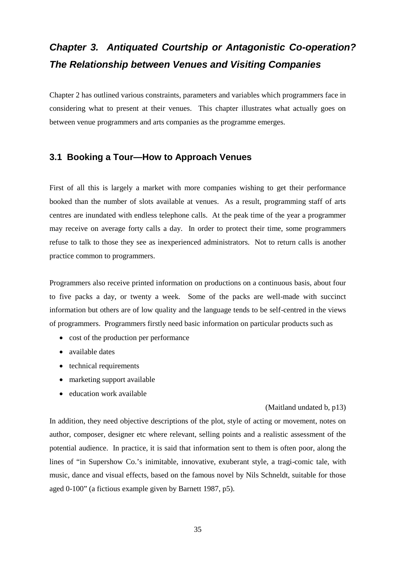# *Chapter 3. Antiquated Courtship or Antagonistic Co-operation? The Relationship between Venues and Visiting Companies*

Chapter 2 has outlined various constraints, parameters and variables which programmers face in considering what to present at their venues. This chapter illustrates what actually goes on between venue programmers and arts companies as the programme emerges.

# **3.1 Booking a Tour—How to Approach Venues**

First of all this is largely a market with more companies wishing to get their performance booked than the number of slots available at venues. As a result, programming staff of arts centres are inundated with endless telephone calls. At the peak time of the year a programmer may receive on average forty calls a day. In order to protect their time, some programmers refuse to talk to those they see as inexperienced administrators. Not to return calls is another practice common to programmers.

Programmers also receive printed information on productions on a continuous basis, about four to five packs a day, or twenty a week. Some of the packs are well-made with succinct information but others are of low quality and the language tends to be self-centred in the views of programmers. Programmers firstly need basic information on particular products such as

- cost of the production per performance
- available dates
- technical requirements
- marketing support available
- education work available

#### (Maitland undated b, p13)

In addition, they need objective descriptions of the plot, style of acting or movement, notes on author, composer, designer etc where relevant, selling points and a realistic assessment of the potential audience. In practice, it is said that information sent to them is often poor, along the lines of "in Supershow Co.'s inimitable, innovative, exuberant style, a tragi-comic tale, with music, dance and visual effects, based on the famous novel by Nils Schneldt, suitable for those aged 0-100" (a fictious example given by Barnett 1987, p5).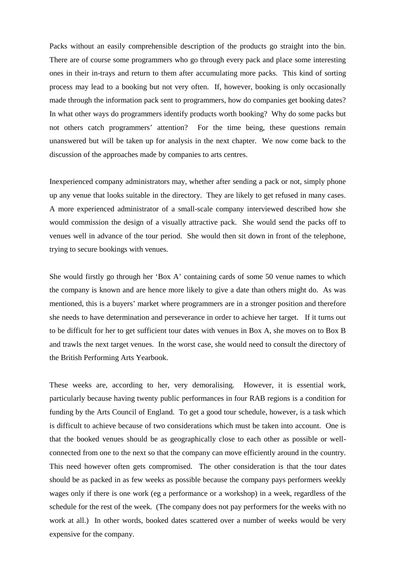Packs without an easily comprehensible description of the products go straight into the bin. There are of course some programmers who go through every pack and place some interesting ones in their in-trays and return to them after accumulating more packs. This kind of sorting process may lead to a booking but not very often. If, however, booking is only occasionally made through the information pack sent to programmers, how do companies get booking dates? In what other ways do programmers identify products worth booking? Why do some packs but not others catch programmers' attention? For the time being, these questions remain unanswered but will be taken up for analysis in the next chapter. We now come back to the discussion of the approaches made by companies to arts centres.

Inexperienced company administrators may, whether after sending a pack or not, simply phone up any venue that looks suitable in the directory. They are likely to get refused in many cases. A more experienced administrator of a small-scale company interviewed described how she would commission the design of a visually attractive pack. She would send the packs off to venues well in advance of the tour period. She would then sit down in front of the telephone, trying to secure bookings with venues.

She would firstly go through her 'Box A' containing cards of some 50 venue names to which the company is known and are hence more likely to give a date than others might do. As was mentioned, this is a buyers' market where programmers are in a stronger position and therefore she needs to have determination and perseverance in order to achieve her target. If it turns out to be difficult for her to get sufficient tour dates with venues in Box A, she moves on to Box B and trawls the next target venues. In the worst case, she would need to consult the directory of the British Performing Arts Yearbook.

These weeks are, according to her, very demoralising. However, it is essential work, particularly because having twenty public performances in four RAB regions is a condition for funding by the Arts Council of England. To get a good tour schedule, however, is a task which is difficult to achieve because of two considerations which must be taken into account. One is that the booked venues should be as geographically close to each other as possible or wellconnected from one to the next so that the company can move efficiently around in the country. This need however often gets compromised. The other consideration is that the tour dates should be as packed in as few weeks as possible because the company pays performers weekly wages only if there is one work (eg a performance or a workshop) in a week, regardless of the schedule for the rest of the week. (The company does not pay performers for the weeks with no work at all.) In other words, booked dates scattered over a number of weeks would be very expensive for the company.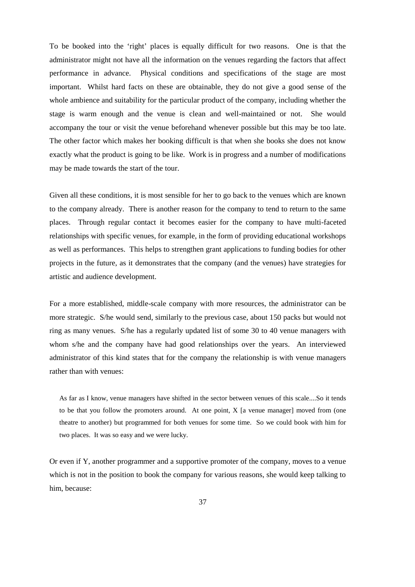To be booked into the 'right' places is equally difficult for two reasons. One is that the administrator might not have all the information on the venues regarding the factors that affect performance in advance. Physical conditions and specifications of the stage are most important. Whilst hard facts on these are obtainable, they do not give a good sense of the whole ambience and suitability for the particular product of the company, including whether the stage is warm enough and the venue is clean and well-maintained or not. She would accompany the tour or visit the venue beforehand whenever possible but this may be too late. The other factor which makes her booking difficult is that when she books she does not know exactly what the product is going to be like. Work is in progress and a number of modifications may be made towards the start of the tour.

Given all these conditions, it is most sensible for her to go back to the venues which are known to the company already. There is another reason for the company to tend to return to the same places. Through regular contact it becomes easier for the company to have multi-faceted relationships with specific venues, for example, in the form of providing educational workshops as well as performances. This helps to strengthen grant applications to funding bodies for other projects in the future, as it demonstrates that the company (and the venues) have strategies for artistic and audience development.

For a more established, middle-scale company with more resources, the administrator can be more strategic. S/he would send, similarly to the previous case, about 150 packs but would not ring as many venues. S/he has a regularly updated list of some 30 to 40 venue managers with whom s/he and the company have had good relationships over the years. An interviewed administrator of this kind states that for the company the relationship is with venue managers rather than with venues:

As far as I know, venue managers have shifted in the sector between venues of this scale....So it tends to be that you follow the promoters around. At one point, X [a venue manager] moved from (one theatre to another) but programmed for both venues for some time. So we could book with him for two places. It was so easy and we were lucky.

Or even if Y, another programmer and a supportive promoter of the company, moves to a venue which is not in the position to book the company for various reasons, she would keep talking to him, because: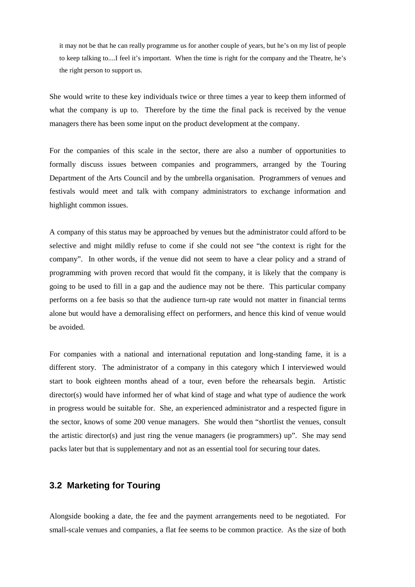it may not be that he can really programme us for another couple of years, but he's on my list of people to keep talking to....I feel it's important. When the time is right for the company and the Theatre, he's the right person to support us.

She would write to these key individuals twice or three times a year to keep them informed of what the company is up to. Therefore by the time the final pack is received by the venue managers there has been some input on the product development at the company.

For the companies of this scale in the sector, there are also a number of opportunities to formally discuss issues between companies and programmers, arranged by the Touring Department of the Arts Council and by the umbrella organisation. Programmers of venues and festivals would meet and talk with company administrators to exchange information and highlight common issues.

A company of this status may be approached by venues but the administrator could afford to be selective and might mildly refuse to come if she could not see "the context is right for the company". In other words, if the venue did not seem to have a clear policy and a strand of programming with proven record that would fit the company, it is likely that the company is going to be used to fill in a gap and the audience may not be there. This particular company performs on a fee basis so that the audience turn-up rate would not matter in financial terms alone but would have a demoralising effect on performers, and hence this kind of venue would be avoided.

For companies with a national and international reputation and long-standing fame, it is a different story. The administrator of a company in this category which I interviewed would start to book eighteen months ahead of a tour, even before the rehearsals begin. Artistic director(s) would have informed her of what kind of stage and what type of audience the work in progress would be suitable for. She, an experienced administrator and a respected figure in the sector, knows of some 200 venue managers. She would then "shortlist the venues, consult the artistic director(s) and just ring the venue managers (ie programmers) up". She may send packs later but that is supplementary and not as an essential tool for securing tour dates.

#### **3.2 Marketing for Touring**

Alongside booking a date, the fee and the payment arrangements need to be negotiated. For small-scale venues and companies, a flat fee seems to be common practice. As the size of both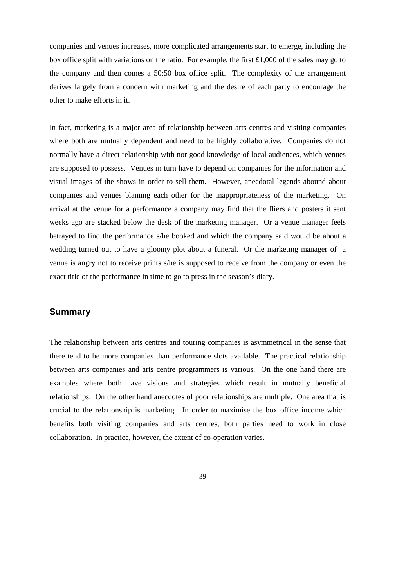companies and venues increases, more complicated arrangements start to emerge, including the box office split with variations on the ratio. For example, the first £1,000 of the sales may go to the company and then comes a 50:50 box office split. The complexity of the arrangement derives largely from a concern with marketing and the desire of each party to encourage the other to make efforts in it.

In fact, marketing is a major area of relationship between arts centres and visiting companies where both are mutually dependent and need to be highly collaborative. Companies do not normally have a direct relationship with nor good knowledge of local audiences, which venues are supposed to possess. Venues in turn have to depend on companies for the information and visual images of the shows in order to sell them. However, anecdotal legends abound about companies and venues blaming each other for the inappropriateness of the marketing. On arrival at the venue for a performance a company may find that the fliers and posters it sent weeks ago are stacked below the desk of the marketing manager. Or a venue manager feels betrayed to find the performance s/he booked and which the company said would be about a wedding turned out to have a gloomy plot about a funeral. Or the marketing manager of a venue is angry not to receive prints s/he is supposed to receive from the company or even the exact title of the performance in time to go to press in the season's diary.

# **Summary**

The relationship between arts centres and touring companies is asymmetrical in the sense that there tend to be more companies than performance slots available. The practical relationship between arts companies and arts centre programmers is various. On the one hand there are examples where both have visions and strategies which result in mutually beneficial relationships. On the other hand anecdotes of poor relationships are multiple. One area that is crucial to the relationship is marketing. In order to maximise the box office income which benefits both visiting companies and arts centres, both parties need to work in close collaboration. In practice, however, the extent of co-operation varies.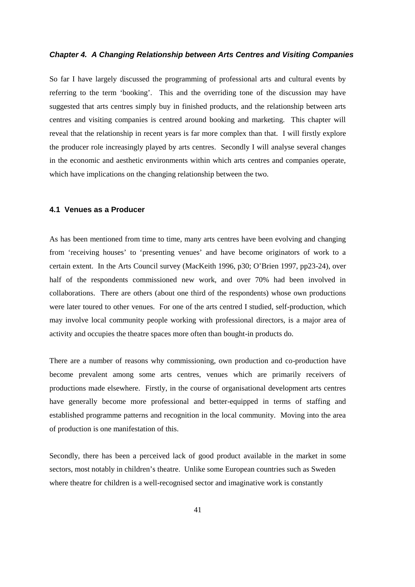#### *Chapter 4. A Changing Relationship between Arts Centres and Visiting Companies*

So far I have largely discussed the programming of professional arts and cultural events by referring to the term 'booking'. This and the overriding tone of the discussion may have suggested that arts centres simply buy in finished products, and the relationship between arts centres and visiting companies is centred around booking and marketing. This chapter will reveal that the relationship in recent years is far more complex than that. I will firstly explore the producer role increasingly played by arts centres. Secondly I will analyse several changes in the economic and aesthetic environments within which arts centres and companies operate, which have implications on the changing relationship between the two.

#### **4.1 Venues as a Producer**

As has been mentioned from time to time, many arts centres have been evolving and changing from 'receiving houses' to 'presenting venues' and have become originators of work to a certain extent. In the Arts Council survey (MacKeith 1996, p30; O'Brien 1997, pp23-24), over half of the respondents commissioned new work, and over 70% had been involved in collaborations. There are others (about one third of the respondents) whose own productions were later toured to other venues. For one of the arts centred I studied, self-production, which may involve local community people working with professional directors, is a major area of activity and occupies the theatre spaces more often than bought-in products do.

There are a number of reasons why commissioning, own production and co-production have become prevalent among some arts centres, venues which are primarily receivers of productions made elsewhere. Firstly, in the course of organisational development arts centres have generally become more professional and better-equipped in terms of staffing and established programme patterns and recognition in the local community. Moving into the area of production is one manifestation of this.

Secondly, there has been a perceived lack of good product available in the market in some sectors, most notably in children's theatre. Unlike some European countries such as Sweden where theatre for children is a well-recognised sector and imaginative work is constantly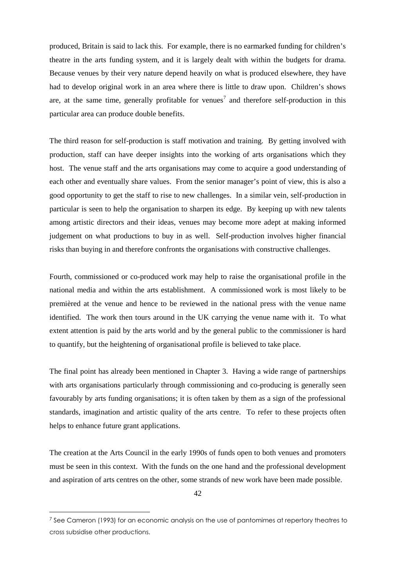produced, Britain is said to lack this. For example, there is no earmarked funding for children's theatre in the arts funding system, and it is largely dealt with within the budgets for drama. Because venues by their very nature depend heavily on what is produced elsewhere, they have had to develop original work in an area where there is little to draw upon. Children's shows are, at the same time, generally profitable for venues<sup>[7](#page-47-0)</sup> and therefore self-production in this particular area can produce double benefits.

The third reason for self-production is staff motivation and training. By getting involved with production, staff can have deeper insights into the working of arts organisations which they host. The venue staff and the arts organisations may come to acquire a good understanding of each other and eventually share values. From the senior manager's point of view, this is also a good opportunity to get the staff to rise to new challenges. In a similar vein, self-production in particular is seen to help the organisation to sharpen its edge. By keeping up with new talents among artistic directors and their ideas, venues may become more adept at making informed judgement on what productions to buy in as well. Self-production involves higher financial risks than buying in and therefore confronts the organisations with constructive challenges.

Fourth, commissioned or co-produced work may help to raise the organisational profile in the national media and within the arts establishment. A commissioned work is most likely to be premièred at the venue and hence to be reviewed in the national press with the venue name identified. The work then tours around in the UK carrying the venue name with it. To what extent attention is paid by the arts world and by the general public to the commissioner is hard to quantify, but the heightening of organisational profile is believed to take place.

The final point has already been mentioned in Chapter 3. Having a wide range of partnerships with arts organisations particularly through commissioning and co-producing is generally seen favourably by arts funding organisations; it is often taken by them as a sign of the professional standards, imagination and artistic quality of the arts centre. To refer to these projects often helps to enhance future grant applications.

The creation at the Arts Council in the early 1990s of funds open to both venues and promoters must be seen in this context. With the funds on the one hand and the professional development and aspiration of arts centres on the other, some strands of new work have been made possible.

<span id="page-47-0"></span><sup>7</sup> See Cameron (1993) for an economic analysis on the use of pantomimes at repertory theatres to cross subsidise other productions.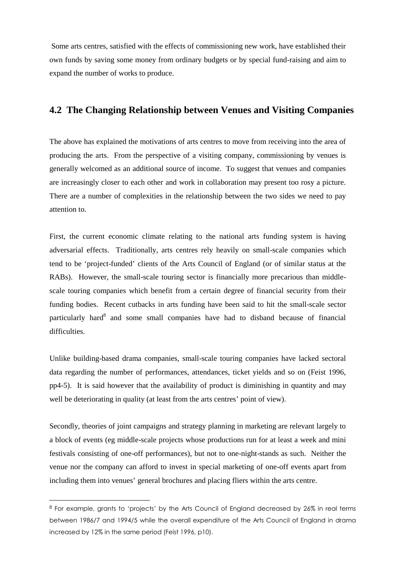Some arts centres, satisfied with the effects of commissioning new work, have established their own funds by saving some money from ordinary budgets or by special fund-raising and aim to expand the number of works to produce.

# **4.2 The Changing Relationship between Venues and Visiting Companies**

The above has explained the motivations of arts centres to move from receiving into the area of producing the arts. From the perspective of a visiting company, commissioning by venues is generally welcomed as an additional source of income. To suggest that venues and companies are increasingly closer to each other and work in collaboration may present too rosy a picture. There are a number of complexities in the relationship between the two sides we need to pay attention to.

First, the current economic climate relating to the national arts funding system is having adversarial effects. Traditionally, arts centres rely heavily on small-scale companies which tend to be 'project-funded' clients of the Arts Council of England (or of similar status at the RABs). However, the small-scale touring sector is financially more precarious than middlescale touring companies which benefit from a certain degree of financial security from their funding bodies. Recent cutbacks in arts funding have been said to hit the small-scale sector particularlyhar[d](#page-48-0)<sup>8</sup> and some small companies have had to disband because of financial difficulties.

Unlike building-based drama companies, small-scale touring companies have lacked sectoral data regarding the number of performances, attendances, ticket yields and so on (Feist 1996, pp4-5). It is said however that the availability of product is diminishing in quantity and may well be deteriorating in quality (at least from the arts centres' point of view).

Secondly, theories of joint campaigns and strategy planning in marketing are relevant largely to a block of events (eg middle-scale projects whose productions run for at least a week and mini festivals consisting of one-off performances), but not to one-night-stands as such. Neither the venue nor the company can afford to invest in special marketing of one-off events apart from including them into venues' general brochures and placing fliers within the arts centre.

<span id="page-48-0"></span><sup>&</sup>lt;sup>8</sup> For example, grants to 'projects' by the Arts Council of England decreased by 26% in real terms between 1986/7 and 1994/5 while the overall expenditure of the Arts Council of England in drama increased by 12% in the same period (Feist 1996, p10).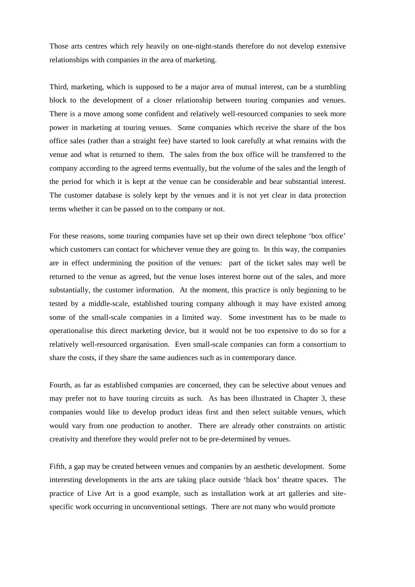Those arts centres which rely heavily on one-night-stands therefore do not develop extensive relationships with companies in the area of marketing.

Third, marketing, which is supposed to be a major area of mutual interest, can be a stumbling block to the development of a closer relationship between touring companies and venues. There is a move among some confident and relatively well-resourced companies to seek more power in marketing at touring venues. Some companies which receive the share of the box office sales (rather than a straight fee) have started to look carefully at what remains with the venue and what is returned to them. The sales from the box office will be transferred to the company according to the agreed terms eventually, but the volume of the sales and the length of the period for which it is kept at the venue can be considerable and bear substantial interest. The customer database is solely kept by the venues and it is not yet clear in data protection terms whether it can be passed on to the company or not.

For these reasons, some touring companies have set up their own direct telephone 'box office' which customers can contact for whichever venue they are going to. In this way, the companies are in effect undermining the position of the venues: part of the ticket sales may well be returned to the venue as agreed, but the venue loses interest borne out of the sales, and more substantially, the customer information. At the moment, this practice is only beginning to be tested by a middle-scale, established touring company although it may have existed among some of the small-scale companies in a limited way. Some investment has to be made to operationalise this direct marketing device, but it would not be too expensive to do so for a relatively well-resourced organisation. Even small-scale companies can form a consortium to share the costs, if they share the same audiences such as in contemporary dance.

Fourth, as far as established companies are concerned, they can be selective about venues and may prefer not to have touring circuits as such. As has been illustrated in Chapter 3, these companies would like to develop product ideas first and then select suitable venues, which would vary from one production to another. There are already other constraints on artistic creativity and therefore they would prefer not to be pre-determined by venues.

Fifth, a gap may be created between venues and companies by an aesthetic development. Some interesting developments in the arts are taking place outside 'black box' theatre spaces. The practice of Live Art is a good example, such as installation work at art galleries and sitespecific work occurring in unconventional settings. There are not many who would promote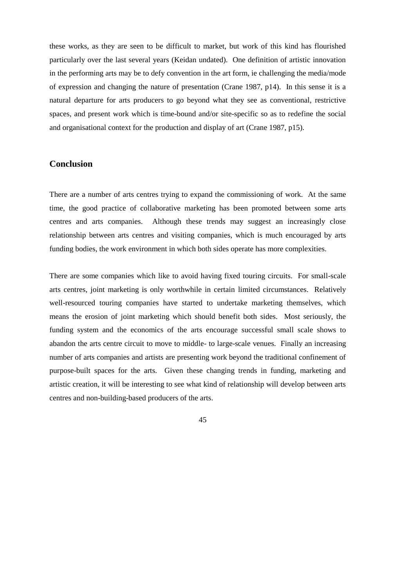these works, as they are seen to be difficult to market, but work of this kind has flourished particularly over the last several years (Keidan undated). One definition of artistic innovation in the performing arts may be to defy convention in the art form, ie challenging the media/mode of expression and changing the nature of presentation (Crane 1987, p14). In this sense it is a natural departure for arts producers to go beyond what they see as conventional, restrictive spaces, and present work which is time-bound and/or site-specific so as to redefine the social and organisational context for the production and display of art (Crane 1987, p15).

#### **Conclusion**

There are a number of arts centres trying to expand the commissioning of work. At the same time, the good practice of collaborative marketing has been promoted between some arts centres and arts companies. Although these trends may suggest an increasingly close relationship between arts centres and visiting companies, which is much encouraged by arts funding bodies, the work environment in which both sides operate has more complexities.

There are some companies which like to avoid having fixed touring circuits. For small-scale arts centres, joint marketing is only worthwhile in certain limited circumstances. Relatively well-resourced touring companies have started to undertake marketing themselves, which means the erosion of joint marketing which should benefit both sides. Most seriously, the funding system and the economics of the arts encourage successful small scale shows to abandon the arts centre circuit to move to middle- to large-scale venues. Finally an increasing number of arts companies and artists are presenting work beyond the traditional confinement of purpose-built spaces for the arts. Given these changing trends in funding, marketing and artistic creation, it will be interesting to see what kind of relationship will develop between arts centres and non-building-based producers of the arts.

45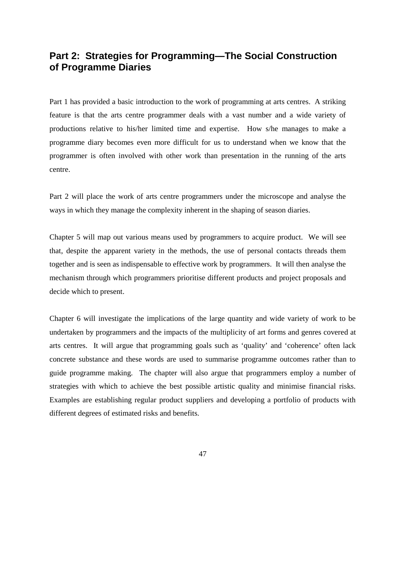# **Part 2: Strategies for Programming—The Social Construction of Programme Diaries**

Part 1 has provided a basic introduction to the work of programming at arts centres. A striking feature is that the arts centre programmer deals with a vast number and a wide variety of productions relative to his/her limited time and expertise. How s/he manages to make a programme diary becomes even more difficult for us to understand when we know that the programmer is often involved with other work than presentation in the running of the arts centre.

Part 2 will place the work of arts centre programmers under the microscope and analyse the ways in which they manage the complexity inherent in the shaping of season diaries.

Chapter 5 will map out various means used by programmers to acquire product. We will see that, despite the apparent variety in the methods, the use of personal contacts threads them together and is seen as indispensable to effective work by programmers. It will then analyse the mechanism through which programmers prioritise different products and project proposals and decide which to present.

Chapter 6 will investigate the implications of the large quantity and wide variety of work to be undertaken by programmers and the impacts of the multiplicity of art forms and genres covered at arts centres. It will argue that programming goals such as 'quality' and 'coherence' often lack concrete substance and these words are used to summarise programme outcomes rather than to guide programme making. The chapter will also argue that programmers employ a number of strategies with which to achieve the best possible artistic quality and minimise financial risks. Examples are establishing regular product suppliers and developing a portfolio of products with different degrees of estimated risks and benefits.

47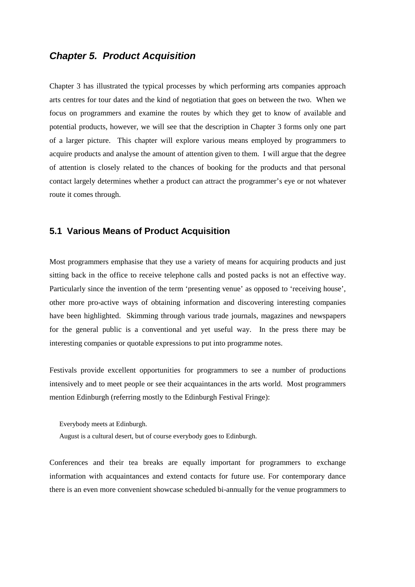# *Chapter 5. Product Acquisition*

Chapter 3 has illustrated the typical processes by which performing arts companies approach arts centres for tour dates and the kind of negotiation that goes on between the two. When we focus on programmers and examine the routes by which they get to know of available and potential products, however, we will see that the description in Chapter 3 forms only one part of a larger picture. This chapter will explore various means employed by programmers to acquire products and analyse the amount of attention given to them. I will argue that the degree of attention is closely related to the chances of booking for the products and that personal contact largely determines whether a product can attract the programmer's eye or not whatever route it comes through.

#### **5.1 Various Means of Product Acquisition**

Most programmers emphasise that they use a variety of means for acquiring products and just sitting back in the office to receive telephone calls and posted packs is not an effective way. Particularly since the invention of the term 'presenting venue' as opposed to 'receiving house', other more pro-active ways of obtaining information and discovering interesting companies have been highlighted. Skimming through various trade journals, magazines and newspapers for the general public is a conventional and yet useful way. In the press there may be interesting companies or quotable expressions to put into programme notes.

Festivals provide excellent opportunities for programmers to see a number of productions intensively and to meet people or see their acquaintances in the arts world. Most programmers mention Edinburgh (referring mostly to the Edinburgh Festival Fringe):

Everybody meets at Edinburgh.

August is a cultural desert, but of course everybody goes to Edinburgh.

Conferences and their tea breaks are equally important for programmers to exchange information with acquaintances and extend contacts for future use. For contemporary dance there is an even more convenient showcase scheduled bi-annually for the venue programmers to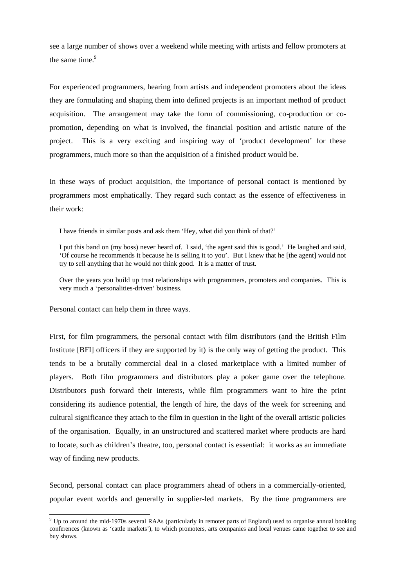see a large number of shows over a weekend while meeting with artists and fellow promoters at thesame time.<sup>9</sup>

For experienced programmers, hearing from artists and independent promoters about the ideas they are formulating and shaping them into defined projects is an important method of product acquisition. The arrangement may take the form of commissioning, co-production or copromotion, depending on what is involved, the financial position and artistic nature of the project. This is a very exciting and inspiring way of 'product development' for these programmers, much more so than the acquisition of a finished product would be.

In these ways of product acquisition, the importance of personal contact is mentioned by programmers most emphatically. They regard such contact as the essence of effectiveness in their work:

I have friends in similar posts and ask them 'Hey, what did you think of that?'

I put this band on (my boss) never heard of. I said, 'the agent said this is good.' He laughed and said, 'Of course he recommends it because he is selling it to you'. But I knew that he [the agent] would not try to sell anything that he would not think good. It is a matter of trust.

Over the years you build up trust relationships with programmers, promoters and companies. This is very much a 'personalities-driven' business.

Personal contact can help them in three ways.

First, for film programmers, the personal contact with film distributors (and the British Film Institute [BFI] officers if they are supported by it) is the only way of getting the product. This tends to be a brutally commercial deal in a closed marketplace with a limited number of players. Both film programmers and distributors play a poker game over the telephone. Distributors push forward their interests, while film programmers want to hire the print considering its audience potential, the length of hire, the days of the week for screening and cultural significance they attach to the film in question in the light of the overall artistic policies of the organisation. Equally, in an unstructured and scattered market where products are hard to locate, such as children's theatre, too, personal contact is essential: it works as an immediate way of finding new products.

Second, personal contact can place programmers ahead of others in a commercially-oriented, popular event worlds and generally in supplier-led markets. By the time programmers are

<span id="page-53-0"></span><sup>9</sup> Up to around the mid-1970s several RAAs (particularly in remoter parts of England) used to organise annual booking conferences (known as 'cattle markets'), to which promoters, arts companies and local venues came together to see and buy shows.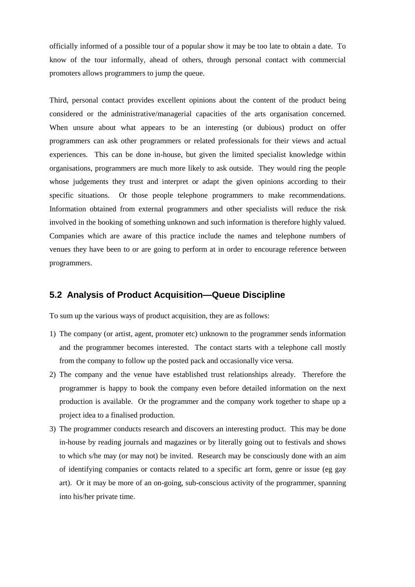officially informed of a possible tour of a popular show it may be too late to obtain a date. To know of the tour informally, ahead of others, through personal contact with commercial promoters allows programmers to jump the queue.

Third, personal contact provides excellent opinions about the content of the product being considered or the administrative/managerial capacities of the arts organisation concerned. When unsure about what appears to be an interesting (or dubious) product on offer programmers can ask other programmers or related professionals for their views and actual experiences. This can be done in-house, but given the limited specialist knowledge within organisations, programmers are much more likely to ask outside. They would ring the people whose judgements they trust and interpret or adapt the given opinions according to their specific situations. Or those people telephone programmers to make recommendations. Information obtained from external programmers and other specialists will reduce the risk involved in the booking of something unknown and such information is therefore highly valued. Companies which are aware of this practice include the names and telephone numbers of venues they have been to or are going to perform at in order to encourage reference between programmers.

## **5.2 Analysis of Product Acquisition—Queue Discipline**

To sum up the various ways of product acquisition, they are as follows:

- 1) The company (or artist, agent, promoter etc) unknown to the programmer sends information and the programmer becomes interested. The contact starts with a telephone call mostly from the company to follow up the posted pack and occasionally vice versa.
- 2) The company and the venue have established trust relationships already. Therefore the programmer is happy to book the company even before detailed information on the next production is available. Or the programmer and the company work together to shape up a project idea to a finalised production.
- 3) The programmer conducts research and discovers an interesting product. This may be done in-house by reading journals and magazines or by literally going out to festivals and shows to which s/he may (or may not) be invited. Research may be consciously done with an aim of identifying companies or contacts related to a specific art form, genre or issue (eg gay art). Or it may be more of an on-going, sub-conscious activity of the programmer, spanning into his/her private time.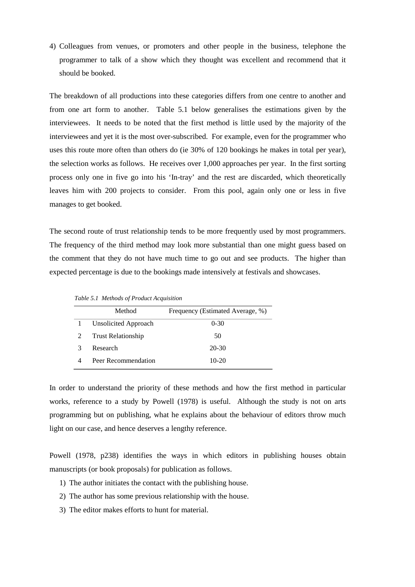4) Colleagues from venues, or promoters and other people in the business, telephone the programmer to talk of a show which they thought was excellent and recommend that it should be booked.

The breakdown of all productions into these categories differs from one centre to another and from one art form to another. Table 5.1 below generalises the estimations given by the interviewees. It needs to be noted that the first method is little used by the majority of the interviewees and yet it is the most over-subscribed. For example, even for the programmer who uses this route more often than others do (ie 30% of 120 bookings he makes in total per year), the selection works as follows. He receives over 1,000 approaches per year. In the first sorting process only one in five go into his 'In-tray' and the rest are discarded, which theoretically leaves him with 200 projects to consider. From this pool, again only one or less in five manages to get booked.

The second route of trust relationship tends to be more frequently used by most programmers. The frequency of the third method may look more substantial than one might guess based on the comment that they do not have much time to go out and see products. The higher than expected percentage is due to the bookings made intensively at festivals and showcases.

|   | Method                    | Frequency (Estimated Average, %) |
|---|---------------------------|----------------------------------|
|   | Unsolicited Approach      | $0-30$                           |
|   | <b>Trust Relationship</b> | 50                               |
| 3 | Research                  | 20-30                            |
|   | Peer Recommendation       | $10-20$                          |

*Table 5.1 Methods of Product Acquisition*

In order to understand the priority of these methods and how the first method in particular works, reference to a study by Powell (1978) is useful. Although the study is not on arts programming but on publishing, what he explains about the behaviour of editors throw much light on our case, and hence deserves a lengthy reference.

Powell (1978, p238) identifies the ways in which editors in publishing houses obtain manuscripts (or book proposals) for publication as follows.

- 1) The author initiates the contact with the publishing house.
- 2) The author has some previous relationship with the house.
- 3) The editor makes efforts to hunt for material.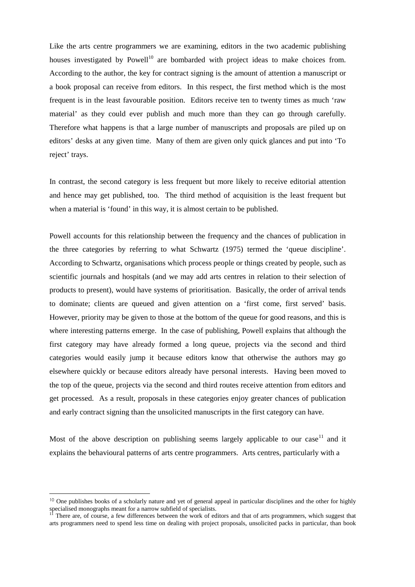Like the arts centre programmers we are examining, editors in the two academic publishing houses investigated by  $Powell<sup>10</sup>$  $Powell<sup>10</sup>$  $Powell<sup>10</sup>$  are bombarded with project ideas to make choices from. According to the author, the key for contract signing is the amount of attention a manuscript or a book proposal can receive from editors. In this respect, the first method which is the most frequent is in the least favourable position. Editors receive ten to twenty times as much 'raw material' as they could ever publish and much more than they can go through carefully. Therefore what happens is that a large number of manuscripts and proposals are piled up on editors' desks at any given time. Many of them are given only quick glances and put into 'To reject' trays.

In contrast, the second category is less frequent but more likely to receive editorial attention and hence may get published, too. The third method of acquisition is the least frequent but when a material is 'found' in this way, it is almost certain to be published.

Powell accounts for this relationship between the frequency and the chances of publication in the three categories by referring to what Schwartz (1975) termed the 'queue discipline'. According to Schwartz, organisations which process people or things created by people, such as scientific journals and hospitals (and we may add arts centres in relation to their selection of products to present), would have systems of prioritisation. Basically, the order of arrival tends to dominate; clients are queued and given attention on a 'first come, first served' basis. However, priority may be given to those at the bottom of the queue for good reasons, and this is where interesting patterns emerge. In the case of publishing, Powell explains that although the first category may have already formed a long queue, projects via the second and third categories would easily jump it because editors know that otherwise the authors may go elsewhere quickly or because editors already have personal interests. Having been moved to the top of the queue, projects via the second and third routes receive attention from editors and get processed. As a result, proposals in these categories enjoy greater chances of publication and early contract signing than the unsolicited manuscripts in the first category can have.

Mostof the above description on publishing seems largely applicable to our case<sup>11</sup> and it explains the behavioural patterns of arts centre programmers. Arts centres, particularly with a

<span id="page-56-0"></span><sup>&</sup>lt;sup>10</sup> One publishes books of a scholarly nature and yet of general appeal in particular disciplines and the other for highly specialised monographs meant for a narrow subfield of specialists.

<span id="page-56-1"></span><sup>&</sup>lt;sup>11</sup> There are, of course, a few differences between the work of editors and that of arts programmers, which suggest that arts programmers need to spend less time on dealing with project proposals, unsolicited packs in particular, than book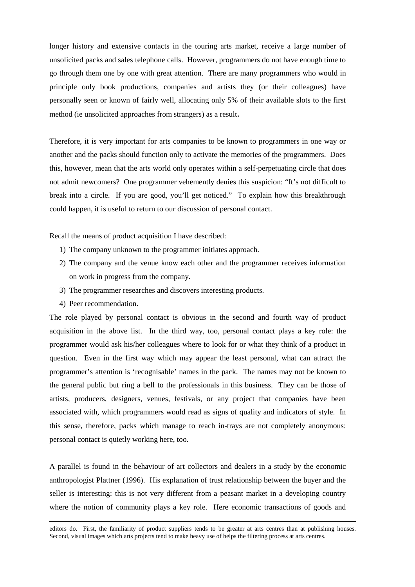longer history and extensive contacts in the touring arts market, receive a large number of unsolicited packs and sales telephone calls. However, programmers do not have enough time to go through them one by one with great attention. There are many programmers who would in principle only book productions, companies and artists they (or their colleagues) have personally seen or known of fairly well, allocating only 5% of their available slots to the first method (ie unsolicited approaches from strangers) as a result**.**

Therefore, it is very important for arts companies to be known to programmers in one way or another and the packs should function only to activate the memories of the programmers. Does this, however, mean that the arts world only operates within a self-perpetuating circle that does not admit newcomers? One programmer vehemently denies this suspicion: "It's not difficult to break into a circle. If you are good, you'll get noticed." To explain how this breakthrough could happen, it is useful to return to our discussion of personal contact.

Recall the means of product acquisition I have described:

- 1) The company unknown to the programmer initiates approach.
- 2) The company and the venue know each other and the programmer receives information on work in progress from the company.
- 3) The programmer researches and discovers interesting products.
- 4) Peer recommendation.

The role played by personal contact is obvious in the second and fourth way of product acquisition in the above list. In the third way, too, personal contact plays a key role: the programmer would ask his/her colleagues where to look for or what they think of a product in question. Even in the first way which may appear the least personal, what can attract the programmer's attention is 'recognisable' names in the pack. The names may not be known to the general public but ring a bell to the professionals in this business. They can be those of artists, producers, designers, venues, festivals, or any project that companies have been associated with, which programmers would read as signs of quality and indicators of style. In this sense, therefore, packs which manage to reach in-trays are not completely anonymous: personal contact is quietly working here, too.

A parallel is found in the behaviour of art collectors and dealers in a study by the economic anthropologist Plattner (1996). His explanation of trust relationship between the buyer and the seller is interesting: this is not very different from a peasant market in a developing country where the notion of community plays a key role. Here economic transactions of goods and

editors do. First, the familiarity of product suppliers tends to be greater at arts centres than at publishing houses. Second, visual images which arts projects tend to make heavy use of helps the filtering process at arts centres.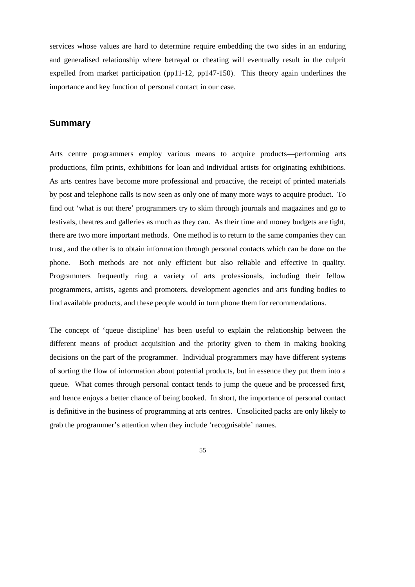services whose values are hard to determine require embedding the two sides in an enduring and generalised relationship where betrayal or cheating will eventually result in the culprit expelled from market participation (pp11-12, pp147-150). This theory again underlines the importance and key function of personal contact in our case.

#### **Summary**

Arts centre programmers employ various means to acquire products—performing arts productions, film prints, exhibitions for loan and individual artists for originating exhibitions. As arts centres have become more professional and proactive, the receipt of printed materials by post and telephone calls is now seen as only one of many more ways to acquire product. To find out 'what is out there' programmers try to skim through journals and magazines and go to festivals, theatres and galleries as much as they can. As their time and money budgets are tight, there are two more important methods. One method is to return to the same companies they can trust, and the other is to obtain information through personal contacts which can be done on the phone. Both methods are not only efficient but also reliable and effective in quality. Programmers frequently ring a variety of arts professionals, including their fellow programmers, artists, agents and promoters, development agencies and arts funding bodies to find available products, and these people would in turn phone them for recommendations.

The concept of 'queue discipline' has been useful to explain the relationship between the different means of product acquisition and the priority given to them in making booking decisions on the part of the programmer. Individual programmers may have different systems of sorting the flow of information about potential products, but in essence they put them into a queue. What comes through personal contact tends to jump the queue and be processed first, and hence enjoys a better chance of being booked. In short, the importance of personal contact is definitive in the business of programming at arts centres. Unsolicited packs are only likely to grab the programmer's attention when they include 'recognisable' names.

55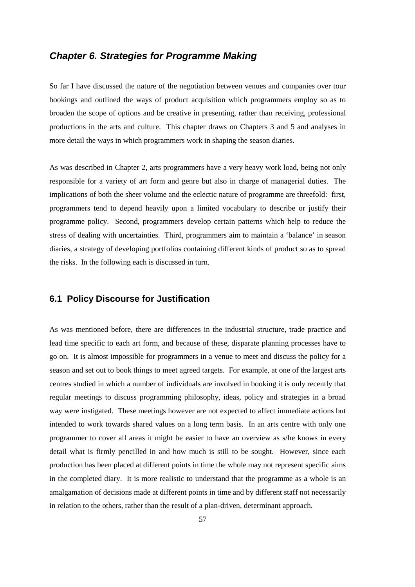# *Chapter 6. Strategies for Programme Making*

So far I have discussed the nature of the negotiation between venues and companies over tour bookings and outlined the ways of product acquisition which programmers employ so as to broaden the scope of options and be creative in presenting, rather than receiving, professional productions in the arts and culture. This chapter draws on Chapters 3 and 5 and analyses in more detail the ways in which programmers work in shaping the season diaries.

As was described in Chapter 2, arts programmers have a very heavy work load, being not only responsible for a variety of art form and genre but also in charge of managerial duties. The implications of both the sheer volume and the eclectic nature of programme are threefold: first, programmers tend to depend heavily upon a limited vocabulary to describe or justify their programme policy. Second, programmers develop certain patterns which help to reduce the stress of dealing with uncertainties. Third, programmers aim to maintain a 'balance' in season diaries, a strategy of developing portfolios containing different kinds of product so as to spread the risks. In the following each is discussed in turn.

#### **6.1 Policy Discourse for Justification**

As was mentioned before, there are differences in the industrial structure, trade practice and lead time specific to each art form, and because of these, disparate planning processes have to go on. It is almost impossible for programmers in a venue to meet and discuss the policy for a season and set out to book things to meet agreed targets. For example, at one of the largest arts centres studied in which a number of individuals are involved in booking it is only recently that regular meetings to discuss programming philosophy, ideas, policy and strategies in a broad way were instigated. These meetings however are not expected to affect immediate actions but intended to work towards shared values on a long term basis. In an arts centre with only one programmer to cover all areas it might be easier to have an overview as s/he knows in every detail what is firmly pencilled in and how much is still to be sought. However, since each production has been placed at different points in time the whole may not represent specific aims in the completed diary. It is more realistic to understand that the programme as a whole is an amalgamation of decisions made at different points in time and by different staff not necessarily in relation to the others, rather than the result of a plan-driven, determinant approach.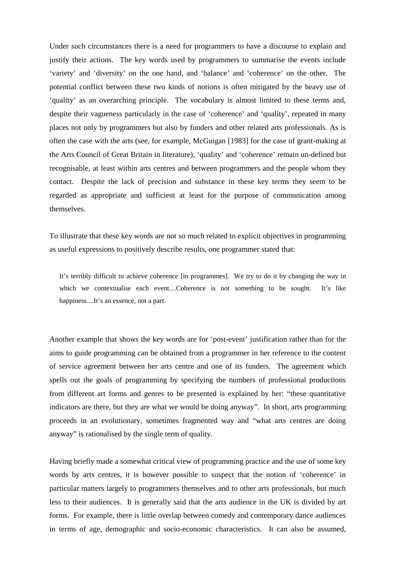Under such circumstances there is a need for programmers to have a discourse to explain and justify their actions. The key words used by programmers to summarise the events include 'variety' and 'diversity' on the one hand, and 'balance' and 'coherence' on the other. The potential conflict between these two kinds of notions is often mitigated by the heavy use of 'quality' as an overarching principle. The vocabulary is almost limited to these terms and, despite their vagueness particularly in the case of 'coherence' and 'quality', repeated in many places not only by programmers but also by funders and other related arts professionals. As is often the case with the arts (see, for example, McGuigan [1983] for the case of grant-making at the Arts Council of Great Britain in literature), 'quality' and 'coherence' remain un-defined but recognisable, at least within arts centres and between programmers and the people whom they contact. Despite the lack of precision and substance in these key terms they seem to be regarded as appropriate and sufficient at least for the purpose of communication among themselves.

To illustrate that these key words are not so much related to explicit objectives in programming as useful expressions to positively describe results, one programmer stated that:

It's terribly difficult to achieve coherence [in programmes]. We try to do it by changing the way in which we contextualise each event....Coherence is not something to be sought. It's like happiness....It's an essence, not a part.

Another example that shows the key words are for 'post-event' justification rather than for the aims to guide programming can be obtained from a programmer in her reference to the content of service agreement between her arts centre and one of its funders. The agreement which spells out the goals of programming by specifying the numbers of professional productions from different art forms and genres to be presented is explained by her: "these quantitative indicators are there, but they are what we would be doing anyway". In short, arts programming proceeds in an evolutionary, sometimes fragmented way and "what arts centres are doing anyway" is rationalised by the single term of quality.

Having briefly made a somewhat critical view of programming practice and the use of some key words by arts centres, it is however possible to suspect that the notion of 'coherence' in particular matters largely to programmers themselves and to other arts professionals, but much less to their audiences. It is generally said that the arts audience in the UK is divided by art forms. For example, there is little overlap between comedy and contemporary dance audiences in terms of age, demographic and socio-economic characteristics. It can also be assumed,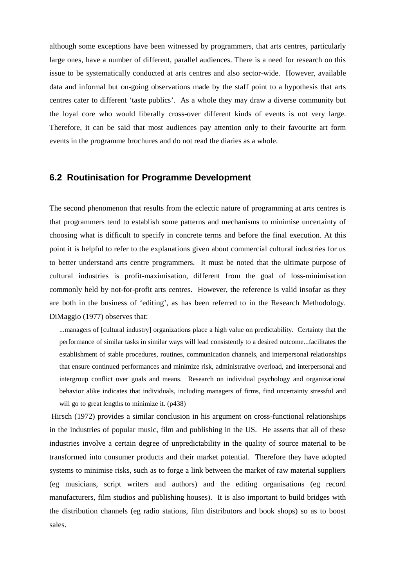although some exceptions have been witnessed by programmers, that arts centres, particularly large ones, have a number of different, parallel audiences. There is a need for research on this issue to be systematically conducted at arts centres and also sector-wide. However, available data and informal but on-going observations made by the staff point to a hypothesis that arts centres cater to different 'taste publics'. As a whole they may draw a diverse community but the loyal core who would liberally cross-over different kinds of events is not very large. Therefore, it can be said that most audiences pay attention only to their favourite art form events in the programme brochures and do not read the diaries as a whole.

#### **6.2 Routinisation for Programme Development**

The second phenomenon that results from the eclectic nature of programming at arts centres is that programmers tend to establish some patterns and mechanisms to minimise uncertainty of choosing what is difficult to specify in concrete terms and before the final execution. At this point it is helpful to refer to the explanations given about commercial cultural industries for us to better understand arts centre programmers. It must be noted that the ultimate purpose of cultural industries is profit-maximisation, different from the goal of loss-minimisation commonly held by not-for-profit arts centres. However, the reference is valid insofar as they are both in the business of 'editing', as has been referred to in the Research Methodology. DiMaggio (1977) observes that:

...managers of [cultural industry] organizations place a high value on predictability. Certainty that the performance of similar tasks in similar ways will lead consistently to a desired outcome...facilitates the establishment of stable procedures, routines, communication channels, and interpersonal relationships that ensure continued performances and minimize risk, administrative overload, and interpersonal and intergroup conflict over goals and means. Research on individual psychology and organizational behavior alike indicates that individuals, including managers of firms, find uncertainty stressful and will go to great lengths to minimize it. (p438)

Hirsch (1972) provides a similar conclusion in his argument on cross-functional relationships in the industries of popular music, film and publishing in the US. He asserts that all of these industries involve a certain degree of unpredictability in the quality of source material to be transformed into consumer products and their market potential. Therefore they have adopted systems to minimise risks, such as to forge a link between the market of raw material suppliers (eg musicians, script writers and authors) and the editing organisations (eg record manufacturers, film studios and publishing houses). It is also important to build bridges with the distribution channels (eg radio stations, film distributors and book shops) so as to boost sales.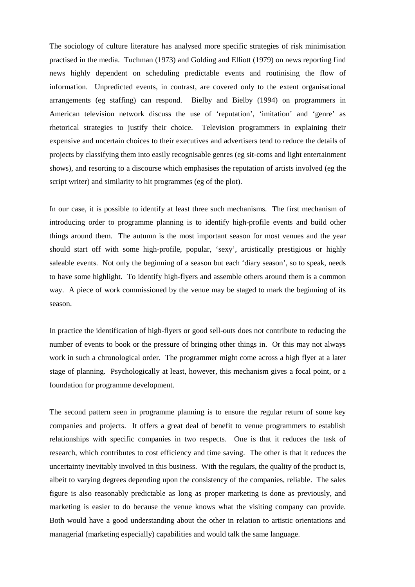The sociology of culture literature has analysed more specific strategies of risk minimisation practised in the media. Tuchman (1973) and Golding and Elliott (1979) on news reporting find news highly dependent on scheduling predictable events and routinising the flow of information. Unpredicted events, in contrast, are covered only to the extent organisational arrangements (eg staffing) can respond. Bielby and Bielby (1994) on programmers in American television network discuss the use of 'reputation', 'imitation' and 'genre' as rhetorical strategies to justify their choice. Television programmers in explaining their expensive and uncertain choices to their executives and advertisers tend to reduce the details of projects by classifying them into easily recognisable genres (eg sit-coms and light entertainment shows), and resorting to a discourse which emphasises the reputation of artists involved (eg the script writer) and similarity to hit programmes (eg of the plot).

In our case, it is possible to identify at least three such mechanisms. The first mechanism of introducing order to programme planning is to identify high-profile events and build other things around them. The autumn is the most important season for most venues and the year should start off with some high-profile, popular, 'sexy', artistically prestigious or highly saleable events. Not only the beginning of a season but each 'diary season', so to speak, needs to have some highlight. To identify high-flyers and assemble others around them is a common way. A piece of work commissioned by the venue may be staged to mark the beginning of its season.

In practice the identification of high-flyers or good sell-outs does not contribute to reducing the number of events to book or the pressure of bringing other things in. Or this may not always work in such a chronological order. The programmer might come across a high flyer at a later stage of planning. Psychologically at least, however, this mechanism gives a focal point, or a foundation for programme development.

The second pattern seen in programme planning is to ensure the regular return of some key companies and projects. It offers a great deal of benefit to venue programmers to establish relationships with specific companies in two respects. One is that it reduces the task of research, which contributes to cost efficiency and time saving. The other is that it reduces the uncertainty inevitably involved in this business. With the regulars, the quality of the product is, albeit to varying degrees depending upon the consistency of the companies, reliable. The sales figure is also reasonably predictable as long as proper marketing is done as previously, and marketing is easier to do because the venue knows what the visiting company can provide. Both would have a good understanding about the other in relation to artistic orientations and managerial (marketing especially) capabilities and would talk the same language.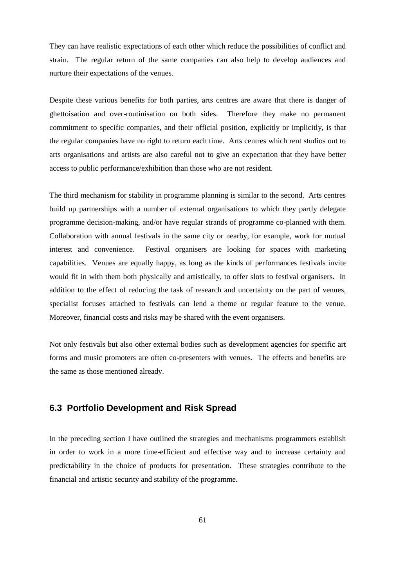They can have realistic expectations of each other which reduce the possibilities of conflict and strain. The regular return of the same companies can also help to develop audiences and nurture their expectations of the venues.

Despite these various benefits for both parties, arts centres are aware that there is danger of ghettoisation and over-routinisation on both sides. Therefore they make no permanent commitment to specific companies, and their official position, explicitly or implicitly, is that the regular companies have no right to return each time. Arts centres which rent studios out to arts organisations and artists are also careful not to give an expectation that they have better access to public performance/exhibition than those who are not resident.

The third mechanism for stability in programme planning is similar to the second. Arts centres build up partnerships with a number of external organisations to which they partly delegate programme decision-making, and/or have regular strands of programme co-planned with them. Collaboration with annual festivals in the same city or nearby, for example, work for mutual interest and convenience. Festival organisers are looking for spaces with marketing capabilities. Venues are equally happy, as long as the kinds of performances festivals invite would fit in with them both physically and artistically, to offer slots to festival organisers. In addition to the effect of reducing the task of research and uncertainty on the part of venues, specialist focuses attached to festivals can lend a theme or regular feature to the venue. Moreover, financial costs and risks may be shared with the event organisers.

Not only festivals but also other external bodies such as development agencies for specific art forms and music promoters are often co-presenters with venues. The effects and benefits are the same as those mentioned already.

# **6.3 Portfolio Development and Risk Spread**

In the preceding section I have outlined the strategies and mechanisms programmers establish in order to work in a more time-efficient and effective way and to increase certainty and predictability in the choice of products for presentation. These strategies contribute to the financial and artistic security and stability of the programme.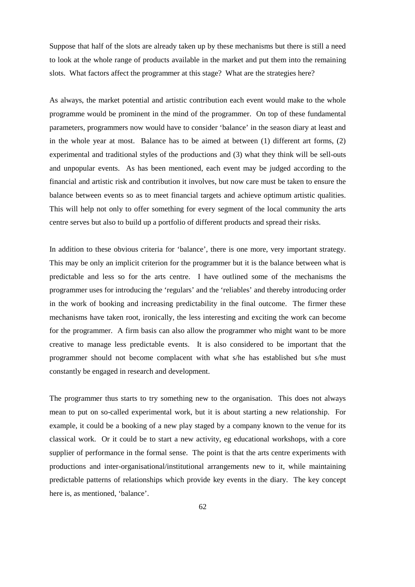Suppose that half of the slots are already taken up by these mechanisms but there is still a need to look at the whole range of products available in the market and put them into the remaining slots. What factors affect the programmer at this stage? What are the strategies here?

As always, the market potential and artistic contribution each event would make to the whole programme would be prominent in the mind of the programmer. On top of these fundamental parameters, programmers now would have to consider 'balance' in the season diary at least and in the whole year at most. Balance has to be aimed at between (1) different art forms, (2) experimental and traditional styles of the productions and (3) what they think will be sell-outs and unpopular events. As has been mentioned, each event may be judged according to the financial and artistic risk and contribution it involves, but now care must be taken to ensure the balance between events so as to meet financial targets and achieve optimum artistic qualities. This will help not only to offer something for every segment of the local community the arts centre serves but also to build up a portfolio of different products and spread their risks.

In addition to these obvious criteria for 'balance', there is one more, very important strategy. This may be only an implicit criterion for the programmer but it is the balance between what is predictable and less so for the arts centre. I have outlined some of the mechanisms the programmer uses for introducing the 'regulars' and the 'reliables' and thereby introducing order in the work of booking and increasing predictability in the final outcome. The firmer these mechanisms have taken root, ironically, the less interesting and exciting the work can become for the programmer. A firm basis can also allow the programmer who might want to be more creative to manage less predictable events. It is also considered to be important that the programmer should not become complacent with what s/he has established but s/he must constantly be engaged in research and development.

The programmer thus starts to try something new to the organisation. This does not always mean to put on so-called experimental work, but it is about starting a new relationship. For example, it could be a booking of a new play staged by a company known to the venue for its classical work. Or it could be to start a new activity, eg educational workshops, with a core supplier of performance in the formal sense. The point is that the arts centre experiments with productions and inter-organisational/institutional arrangements new to it, while maintaining predictable patterns of relationships which provide key events in the diary. The key concept here is, as mentioned, 'balance'.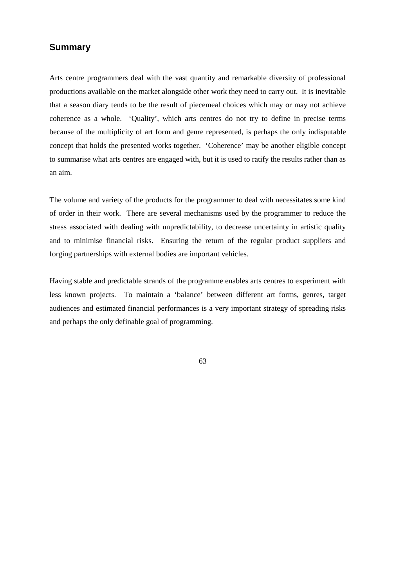#### **Summary**

Arts centre programmers deal with the vast quantity and remarkable diversity of professional productions available on the market alongside other work they need to carry out. It is inevitable that a season diary tends to be the result of piecemeal choices which may or may not achieve coherence as a whole. 'Quality', which arts centres do not try to define in precise terms because of the multiplicity of art form and genre represented, is perhaps the only indisputable concept that holds the presented works together. 'Coherence' may be another eligible concept to summarise what arts centres are engaged with, but it is used to ratify the results rather than as an aim.

The volume and variety of the products for the programmer to deal with necessitates some kind of order in their work. There are several mechanisms used by the programmer to reduce the stress associated with dealing with unpredictability, to decrease uncertainty in artistic quality and to minimise financial risks. Ensuring the return of the regular product suppliers and forging partnerships with external bodies are important vehicles.

Having stable and predictable strands of the programme enables arts centres to experiment with less known projects. To maintain a 'balance' between different art forms, genres, target audiences and estimated financial performances is a very important strategy of spreading risks and perhaps the only definable goal of programming.

63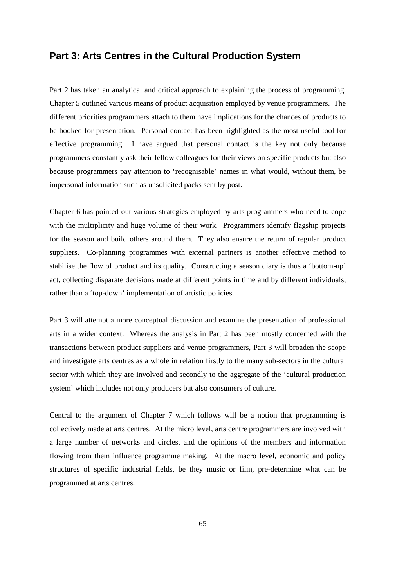## **Part 3: Arts Centres in the Cultural Production System**

Part 2 has taken an analytical and critical approach to explaining the process of programming. Chapter 5 outlined various means of product acquisition employed by venue programmers. The different priorities programmers attach to them have implications for the chances of products to be booked for presentation. Personal contact has been highlighted as the most useful tool for effective programming. I have argued that personal contact is the key not only because programmers constantly ask their fellow colleagues for their views on specific products but also because programmers pay attention to 'recognisable' names in what would, without them, be impersonal information such as unsolicited packs sent by post.

Chapter 6 has pointed out various strategies employed by arts programmers who need to cope with the multiplicity and huge volume of their work. Programmers identify flagship projects for the season and build others around them. They also ensure the return of regular product suppliers. Co-planning programmes with external partners is another effective method to stabilise the flow of product and its quality. Constructing a season diary is thus a 'bottom-up' act, collecting disparate decisions made at different points in time and by different individuals, rather than a 'top-down' implementation of artistic policies.

Part 3 will attempt a more conceptual discussion and examine the presentation of professional arts in a wider context. Whereas the analysis in Part 2 has been mostly concerned with the transactions between product suppliers and venue programmers, Part 3 will broaden the scope and investigate arts centres as a whole in relation firstly to the many sub-sectors in the cultural sector with which they are involved and secondly to the aggregate of the 'cultural production system' which includes not only producers but also consumers of culture.

Central to the argument of Chapter 7 which follows will be a notion that programming is collectively made at arts centres. At the micro level, arts centre programmers are involved with a large number of networks and circles, and the opinions of the members and information flowing from them influence programme making. At the macro level, economic and policy structures of specific industrial fields, be they music or film, pre-determine what can be programmed at arts centres.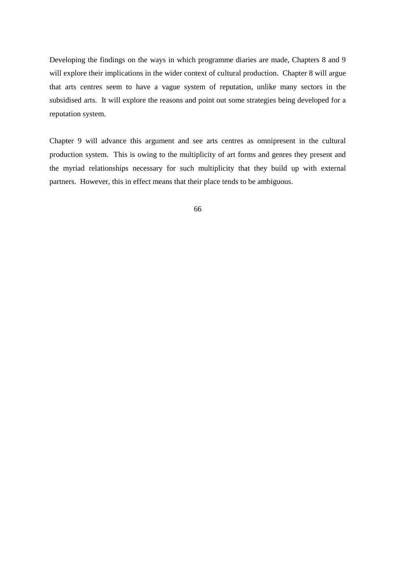Developing the findings on the ways in which programme diaries are made, Chapters 8 and 9 will explore their implications in the wider context of cultural production. Chapter 8 will argue that arts centres seem to have a vague system of reputation, unlike many sectors in the subsidised arts. It will explore the reasons and point out some strategies being developed for a reputation system.

Chapter 9 will advance this argument and see arts centres as omnipresent in the cultural production system. This is owing to the multiplicity of art forms and genres they present and the myriad relationships necessary for such multiplicity that they build up with external partners. However, this in effect means that their place tends to be ambiguous.

66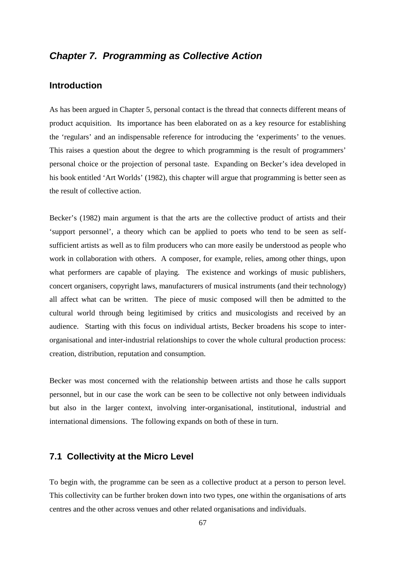# *Chapter 7. Programming as Collective Action*

# **Introduction**

As has been argued in Chapter 5, personal contact is the thread that connects different means of product acquisition. Its importance has been elaborated on as a key resource for establishing the 'regulars' and an indispensable reference for introducing the 'experiments' to the venues. This raises a question about the degree to which programming is the result of programmers' personal choice or the projection of personal taste. Expanding on Becker's idea developed in his book entitled 'Art Worlds' (1982), this chapter will argue that programming is better seen as the result of collective action.

Becker's (1982) main argument is that the arts are the collective product of artists and their 'support personnel', a theory which can be applied to poets who tend to be seen as selfsufficient artists as well as to film producers who can more easily be understood as people who work in collaboration with others. A composer, for example, relies, among other things, upon what performers are capable of playing. The existence and workings of music publishers, concert organisers, copyright laws, manufacturers of musical instruments (and their technology) all affect what can be written. The piece of music composed will then be admitted to the cultural world through being legitimised by critics and musicologists and received by an audience. Starting with this focus on individual artists, Becker broadens his scope to interorganisational and inter-industrial relationships to cover the whole cultural production process: creation, distribution, reputation and consumption.

Becker was most concerned with the relationship between artists and those he calls support personnel, but in our case the work can be seen to be collective not only between individuals but also in the larger context, involving inter-organisational, institutional, industrial and international dimensions. The following expands on both of these in turn.

#### **7.1 Collectivity at the Micro Level**

To begin with, the programme can be seen as a collective product at a person to person level. This collectivity can be further broken down into two types, one within the organisations of arts centres and the other across venues and other related organisations and individuals.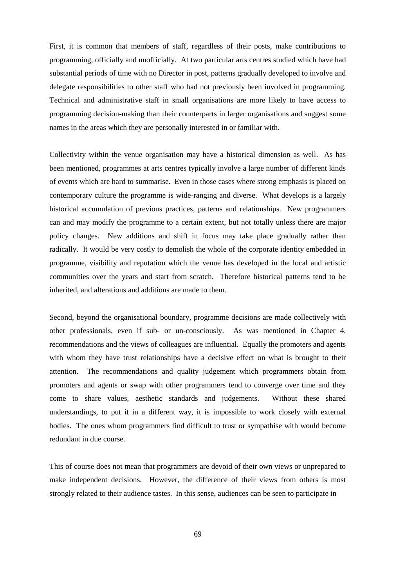First, it is common that members of staff, regardless of their posts, make contributions to programming, officially and unofficially. At two particular arts centres studied which have had substantial periods of time with no Director in post, patterns gradually developed to involve and delegate responsibilities to other staff who had not previously been involved in programming. Technical and administrative staff in small organisations are more likely to have access to programming decision-making than their counterparts in larger organisations and suggest some names in the areas which they are personally interested in or familiar with.

Collectivity within the venue organisation may have a historical dimension as well. As has been mentioned, programmes at arts centres typically involve a large number of different kinds of events which are hard to summarise. Even in those cases where strong emphasis is placed on contemporary culture the programme is wide-ranging and diverse. What develops is a largely historical accumulation of previous practices, patterns and relationships. New programmers can and may modify the programme to a certain extent, but not totally unless there are major policy changes. New additions and shift in focus may take place gradually rather than radically. It would be very costly to demolish the whole of the corporate identity embedded in programme, visibility and reputation which the venue has developed in the local and artistic communities over the years and start from scratch. Therefore historical patterns tend to be inherited, and alterations and additions are made to them.

Second, beyond the organisational boundary, programme decisions are made collectively with other professionals, even if sub- or un-consciously. As was mentioned in Chapter 4, recommendations and the views of colleagues are influential. Equally the promoters and agents with whom they have trust relationships have a decisive effect on what is brought to their attention. The recommendations and quality judgement which programmers obtain from promoters and agents or swap with other programmers tend to converge over time and they come to share values, aesthetic standards and judgements. Without these shared understandings, to put it in a different way, it is impossible to work closely with external bodies. The ones whom programmers find difficult to trust or sympathise with would become redundant in due course.

This of course does not mean that programmers are devoid of their own views or unprepared to make independent decisions. However, the difference of their views from others is most strongly related to their audience tastes. In this sense, audiences can be seen to participate in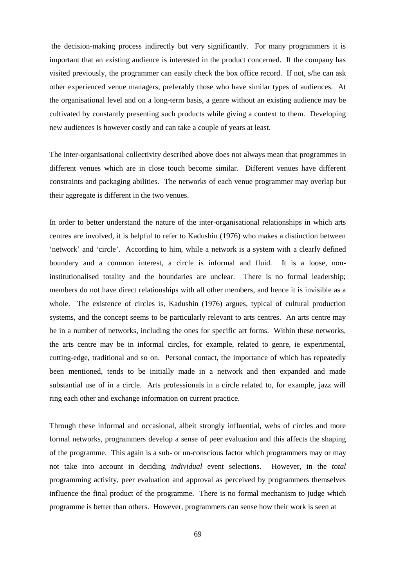the decision-making process indirectly but very significantly. For many programmers it is important that an existing audience is interested in the product concerned. If the company has visited previously, the programmer can easily check the box office record. If not, s/he can ask other experienced venue managers, preferably those who have similar types of audiences. At the organisational level and on a long-term basis, a genre without an existing audience may be cultivated by constantly presenting such products while giving a context to them. Developing new audiences is however costly and can take a couple of years at least.

The inter-organisational collectivity described above does not always mean that programmes in different venues which are in close touch become similar. Different venues have different constraints and packaging abilities. The networks of each venue programmer may overlap but their aggregate is different in the two venues.

In order to better understand the nature of the inter-organisational relationships in which arts centres are involved, it is helpful to refer to Kadushin (1976) who makes a distinction between 'network' and 'circle'. According to him, while a network is a system with a clearly defined boundary and a common interest, a circle is informal and fluid. It is a loose, noninstitutionalised totality and the boundaries are unclear. There is no formal leadership; members do not have direct relationships with all other members, and hence it is invisible as a whole. The existence of circles is, Kadushin (1976) argues, typical of cultural production systems, and the concept seems to be particularly relevant to arts centres. An arts centre may be in a number of networks, including the ones for specific art forms. Within these networks, the arts centre may be in informal circles, for example, related to genre, ie experimental, cutting-edge, traditional and so on. Personal contact, the importance of which has repeatedly been mentioned, tends to be initially made in a network and then expanded and made substantial use of in a circle. Arts professionals in a circle related to, for example, jazz will ring each other and exchange information on current practice.

Through these informal and occasional, albeit strongly influential, webs of circles and more formal networks, programmers develop a sense of peer evaluation and this affects the shaping of the programme. This again is a sub- or un-conscious factor which programmers may or may not take into account in deciding *individual* event selections. However, in the *total* programming activity, peer evaluation and approval as perceived by programmers themselves influence the final product of the programme. There is no formal mechanism to judge which programme is better than others. However, programmers can sense how their work is seen at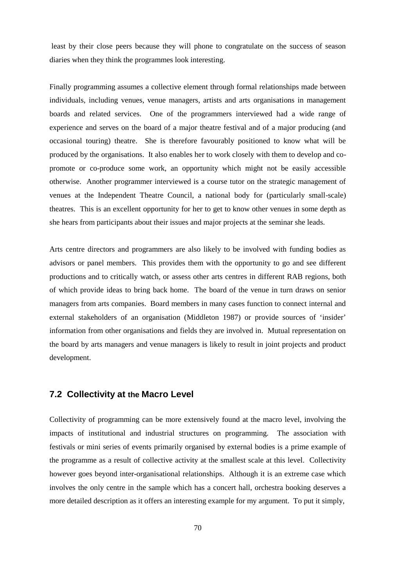least by their close peers because they will phone to congratulate on the success of season diaries when they think the programmes look interesting.

Finally programming assumes a collective element through formal relationships made between individuals, including venues, venue managers, artists and arts organisations in management boards and related services. One of the programmers interviewed had a wide range of experience and serves on the board of a major theatre festival and of a major producing (and occasional touring) theatre. She is therefore favourably positioned to know what will be produced by the organisations. It also enables her to work closely with them to develop and copromote or co-produce some work, an opportunity which might not be easily accessible otherwise. Another programmer interviewed is a course tutor on the strategic management of venues at the Independent Theatre Council, a national body for (particularly small-scale) theatres. This is an excellent opportunity for her to get to know other venues in some depth as she hears from participants about their issues and major projects at the seminar she leads.

Arts centre directors and programmers are also likely to be involved with funding bodies as advisors or panel members. This provides them with the opportunity to go and see different productions and to critically watch, or assess other arts centres in different RAB regions, both of which provide ideas to bring back home. The board of the venue in turn draws on senior managers from arts companies. Board members in many cases function to connect internal and external stakeholders of an organisation (Middleton 1987) or provide sources of 'insider' information from other organisations and fields they are involved in. Mutual representation on the board by arts managers and venue managers is likely to result in joint projects and product development.

# **7.2 Collectivity at the Macro Level**

Collectivity of programming can be more extensively found at the macro level, involving the impacts of institutional and industrial structures on programming. The association with festivals or mini series of events primarily organised by external bodies is a prime example of the programme as a result of collective activity at the smallest scale at this level. Collectivity however goes beyond inter-organisational relationships. Although it is an extreme case which involves the only centre in the sample which has a concert hall, orchestra booking deserves a more detailed description as it offers an interesting example for my argument. To put it simply,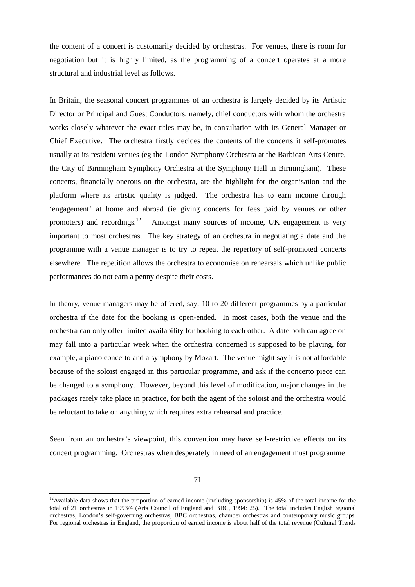the content of a concert is customarily decided by orchestras. For venues, there is room for negotiation but it is highly limited, as the programming of a concert operates at a more structural and industrial level as follows.

In Britain, the seasonal concert programmes of an orchestra is largely decided by its Artistic Director or Principal and Guest Conductors, namely, chief conductors with whom the orchestra works closely whatever the exact titles may be, in consultation with its General Manager or Chief Executive. The orchestra firstly decides the contents of the concerts it self-promotes usually at its resident venues (eg the London Symphony Orchestra at the Barbican Arts Centre, the City of Birmingham Symphony Orchestra at the Symphony Hall in Birmingham). These concerts, financially onerous on the orchestra, are the highlight for the organisation and the platform where its artistic quality is judged. The orchestra has to earn income through 'engagement' at home and abroad (ie giving concerts for fees paid by venues or other promoters) and recordings.<sup>[12](#page-72-0)</sup> Amongst many sources of income, UK engagement is very important to most orchestras. The key strategy of an orchestra in negotiating a date and the programme with a venue manager is to try to repeat the repertory of self-promoted concerts elsewhere. The repetition allows the orchestra to economise on rehearsals which unlike public performances do not earn a penny despite their costs.

In theory, venue managers may be offered, say, 10 to 20 different programmes by a particular orchestra if the date for the booking is open-ended. In most cases, both the venue and the orchestra can only offer limited availability for booking to each other. A date both can agree on may fall into a particular week when the orchestra concerned is supposed to be playing, for example, a piano concerto and a symphony by Mozart. The venue might say it is not affordable because of the soloist engaged in this particular programme, and ask if the concerto piece can be changed to a symphony. However, beyond this level of modification, major changes in the packages rarely take place in practice, for both the agent of the soloist and the orchestra would be reluctant to take on anything which requires extra rehearsal and practice.

Seen from an orchestra's viewpoint, this convention may have self-restrictive effects on its concert programming. Orchestras when desperately in need of an engagement must programme

<span id="page-72-0"></span> $12$ Available data shows that the proportion of earned income (including sponsorship) is 45% of the total income for the total of 21 orchestras in 1993/4 (Arts Council of England and BBC, 1994: 25). The total includes English regional orchestras, London's self-governing orchestras, BBC orchestras, chamber orchestras and contemporary music groups. For regional orchestras in England, the proportion of earned income is about half of the total revenue (Cultural Trends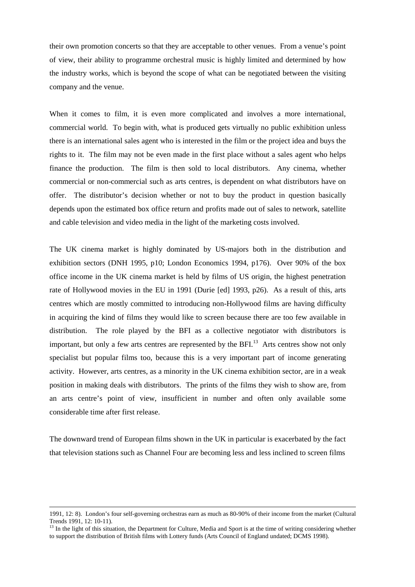their own promotion concerts so that they are acceptable to other venues. From a venue's point of view, their ability to programme orchestral music is highly limited and determined by how the industry works, which is beyond the scope of what can be negotiated between the visiting company and the venue.

When it comes to film, it is even more complicated and involves a more international, commercial world. To begin with, what is produced gets virtually no public exhibition unless there is an international sales agent who is interested in the film or the project idea and buys the rights to it. The film may not be even made in the first place without a sales agent who helps finance the production. The film is then sold to local distributors. Any cinema, whether commercial or non-commercial such as arts centres, is dependent on what distributors have on offer. The distributor's decision whether or not to buy the product in question basically depends upon the estimated box office return and profits made out of sales to network, satellite and cable television and video media in the light of the marketing costs involved.

The UK cinema market is highly dominated by US-majors both in the distribution and exhibition sectors (DNH 1995, p10; London Economics 1994, p176). Over 90% of the box office income in the UK cinema market is held by films of US origin, the highest penetration rate of Hollywood movies in the EU in 1991 (Durie [ed] 1993, p26). As a result of this, arts centres which are mostly committed to introducing non-Hollywood films are having difficulty in acquiring the kind of films they would like to screen because there are too few available in distribution. The role played by the BFI as a collective negotiator with distributors is important,but only a few arts centres are represented by the BFI.<sup>13</sup> Arts centres show not only specialist but popular films too, because this is a very important part of income generating activity. However, arts centres, as a minority in the UK cinema exhibition sector, are in a weak position in making deals with distributors. The prints of the films they wish to show are, from an arts centre's point of view, insufficient in number and often only available some considerable time after first release.

The downward trend of European films shown in the UK in particular is exacerbated by the fact that television stations such as Channel Four are becoming less and less inclined to screen films

<sup>1991, 12: 8).</sup> London's four self-governing orchestras earn as much as 80-90% of their income from the market (Cultural Trends 1991, 12: 10-11).

<span id="page-73-0"></span><sup>&</sup>lt;sup>13</sup> In the light of this situation, the Department for Culture, Media and Sport is at the time of writing considering whether to support the distribution of British films with Lottery funds (Arts Council of England undated; DCMS 1998).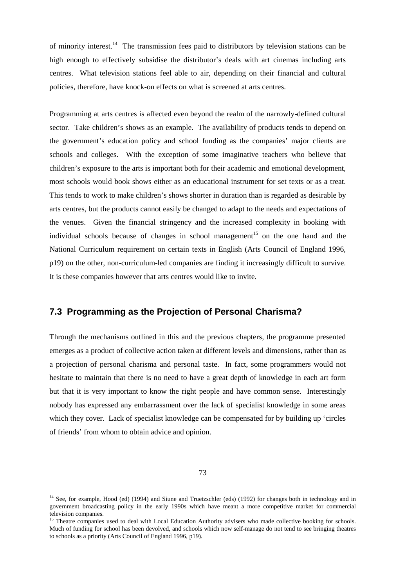of minority interest.[14](#page-74-0) The transmission fees paid to distributors by television stations can be high enough to effectively subsidise the distributor's deals with art cinemas including arts centres. What television stations feel able to air, depending on their financial and cultural policies, therefore, have knock-on effects on what is screened at arts centres.

Programming at arts centres is affected even beyond the realm of the narrowly-defined cultural sector. Take children's shows as an example. The availability of products tends to depend on the government's education policy and school funding as the companies' major clients are schools and colleges. With the exception of some imaginative teachers who believe that children's exposure to the arts is important both for their academic and emotional development, most schools would book shows either as an educational instrument for set texts or as a treat. This tends to work to make children's shows shorter in duration than is regarded as desirable by arts centres, but the products cannot easily be changed to adapt to the needs and expectations of the venues. Given the financial stringency and the increased complexity in booking with individual schools because of changes in school management<sup>[15](#page-74-1)</sup> on the one hand and the National Curriculum requirement on certain texts in English (Arts Council of England 1996, p19) on the other, non-curriculum-led companies are finding it increasingly difficult to survive. It is these companies however that arts centres would like to invite.

### **7.3 Programming as the Projection of Personal Charisma?**

Through the mechanisms outlined in this and the previous chapters, the programme presented emerges as a product of collective action taken at different levels and dimensions, rather than as a projection of personal charisma and personal taste. In fact, some programmers would not hesitate to maintain that there is no need to have a great depth of knowledge in each art form but that it is very important to know the right people and have common sense. Interestingly nobody has expressed any embarrassment over the lack of specialist knowledge in some areas which they cover. Lack of specialist knowledge can be compensated for by building up 'circles of friends' from whom to obtain advice and opinion.

<sup>73</sup>

<span id="page-74-0"></span><sup>&</sup>lt;sup>14</sup> See, for example, Hood (ed) (1994) and Siune and Truetzschler (eds) (1992) for changes both in technology and in government broadcasting policy in the early 1990s which have meant a more competitive market for commercial television companies.

<span id="page-74-1"></span><sup>&</sup>lt;sup>15</sup> Theatre companies used to deal with Local Education Authority advisers who made collective booking for schools. Much of funding for school has been devolved, and schools which now self-manage do not tend to see bringing theatres to schools as a priority (Arts Council of England 1996, p19).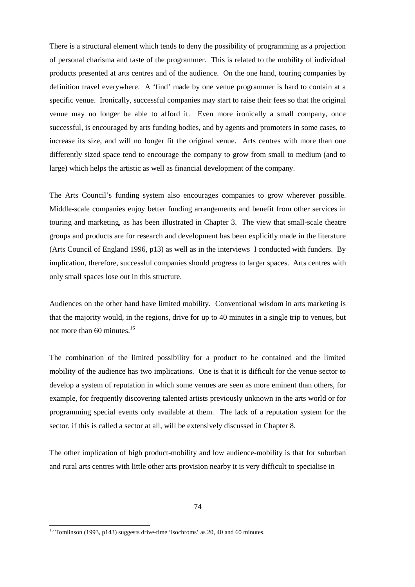There is a structural element which tends to deny the possibility of programming as a projection of personal charisma and taste of the programmer. This is related to the mobility of individual products presented at arts centres and of the audience. On the one hand, touring companies by definition travel everywhere. A 'find' made by one venue programmer is hard to contain at a specific venue. Ironically, successful companies may start to raise their fees so that the original venue may no longer be able to afford it. Even more ironically a small company, once successful, is encouraged by arts funding bodies, and by agents and promoters in some cases, to increase its size, and will no longer fit the original venue. Arts centres with more than one differently sized space tend to encourage the company to grow from small to medium (and to large) which helps the artistic as well as financial development of the company.

The Arts Council's funding system also encourages companies to grow wherever possible. Middle-scale companies enjoy better funding arrangements and benefit from other services in touring and marketing, as has been illustrated in Chapter 3. The view that small-scale theatre groups and products are for research and development has been explicitly made in the literature (Arts Council of England 1996, p13) as well as in the interviews I conducted with funders. By implication, therefore, successful companies should progress to larger spaces. Arts centres with only small spaces lose out in this structure.

Audiences on the other hand have limited mobility. Conventional wisdom in arts marketing is that the majority would, in the regions, drive for up to 40 minutes in a single trip to venues, but not more than 60 minutes.<sup>[16](#page-75-0)</sup>

The combination of the limited possibility for a product to be contained and the limited mobility of the audience has two implications. One is that it is difficult for the venue sector to develop a system of reputation in which some venues are seen as more eminent than others, for example, for frequently discovering talented artists previously unknown in the arts world or for programming special events only available at them. The lack of a reputation system for the sector, if this is called a sector at all, will be extensively discussed in Chapter 8.

The other implication of high product-mobility and low audience-mobility is that for suburban and rural arts centres with little other arts provision nearby it is very difficult to specialise in

<span id="page-75-0"></span><sup>&</sup>lt;sup>16</sup> Tomlinson (1993, p143) suggests drive-time 'isochroms' as 20, 40 and 60 minutes.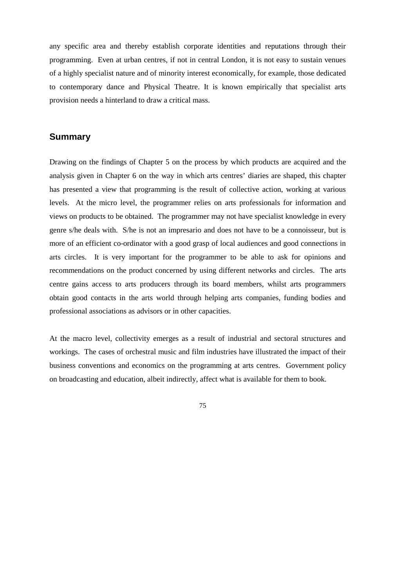any specific area and thereby establish corporate identities and reputations through their programming. Even at urban centres, if not in central London, it is not easy to sustain venues of a highly specialist nature and of minority interest economically, for example, those dedicated to contemporary dance and Physical Theatre. It is known empirically that specialist arts provision needs a hinterland to draw a critical mass.

#### **Summary**

Drawing on the findings of Chapter 5 on the process by which products are acquired and the analysis given in Chapter 6 on the way in which arts centres' diaries are shaped, this chapter has presented a view that programming is the result of collective action, working at various levels. At the micro level, the programmer relies on arts professionals for information and views on products to be obtained. The programmer may not have specialist knowledge in every genre s/he deals with. S/he is not an impresario and does not have to be a connoisseur, but is more of an efficient co-ordinator with a good grasp of local audiences and good connections in arts circles. It is very important for the programmer to be able to ask for opinions and recommendations on the product concerned by using different networks and circles. The arts centre gains access to arts producers through its board members, whilst arts programmers obtain good contacts in the arts world through helping arts companies, funding bodies and professional associations as advisors or in other capacities.

At the macro level, collectivity emerges as a result of industrial and sectoral structures and workings. The cases of orchestral music and film industries have illustrated the impact of their business conventions and economics on the programming at arts centres. Government policy on broadcasting and education, albeit indirectly, affect what is available for them to book.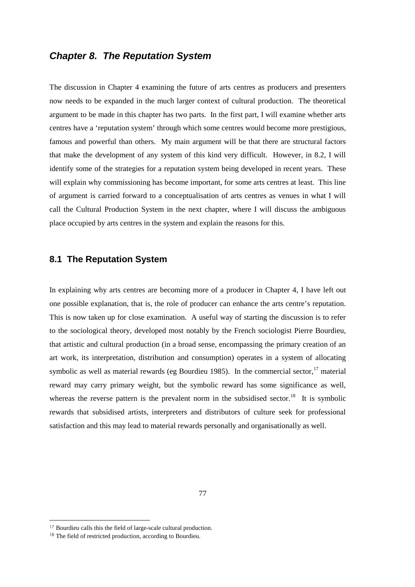## *Chapter 8. The Reputation System*

The discussion in Chapter 4 examining the future of arts centres as producers and presenters now needs to be expanded in the much larger context of cultural production. The theoretical argument to be made in this chapter has two parts. In the first part, I will examine whether arts centres have a 'reputation system' through which some centres would become more prestigious, famous and powerful than others. My main argument will be that there are structural factors that make the development of any system of this kind very difficult. However, in 8.2, I will identify some of the strategies for a reputation system being developed in recent years. These will explain why commissioning has become important, for some arts centres at least. This line of argument is carried forward to a conceptualisation of arts centres as venues in what I will call the Cultural Production System in the next chapter, where I will discuss the ambiguous place occupied by arts centres in the system and explain the reasons for this.

#### **8.1 The Reputation System**

In explaining why arts centres are becoming more of a producer in Chapter 4, I have left out one possible explanation, that is, the role of producer can enhance the arts centre's reputation. This is now taken up for close examination. A useful way of starting the discussion is to refer to the sociological theory, developed most notably by the French sociologist Pierre Bourdieu, that artistic and cultural production (in a broad sense, encompassing the primary creation of an art work, its interpretation, distribution and consumption) operates in a system of allocating symbolic as well as material rewards (eg Bourdieu 1985). In the commercial sector,  $17$  material reward may carry primary weight, but the symbolic reward has some significance as well, whereas the reverse pattern is the prevalent norm in the subsidised sector.<sup>[18](#page-77-1)</sup> It is symbolic rewards that subsidised artists, interpreters and distributors of culture seek for professional satisfaction and this may lead to material rewards personally and organisationally as well.

<span id="page-77-1"></span><span id="page-77-0"></span><sup>17</sup> Bourdieu calls this the field of large-scale cultural production.

<sup>&</sup>lt;sup>18</sup> The field of restricted production, according to Bourdieu.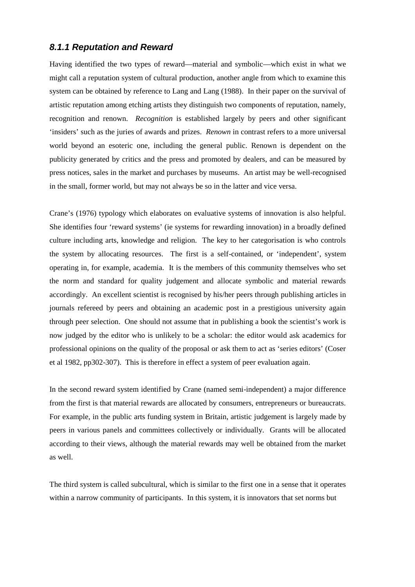### *8.1.1 Reputation and Reward*

Having identified the two types of reward—material and symbolic—which exist in what we might call a reputation system of cultural production, another angle from which to examine this system can be obtained by reference to Lang and Lang (1988). In their paper on the survival of artistic reputation among etching artists they distinguish two components of reputation, namely, recognition and renown. *Recognition* is established largely by peers and other significant 'insiders' such as the juries of awards and prizes. *Renown* in contrast refers to a more universal world beyond an esoteric one, including the general public. Renown is dependent on the publicity generated by critics and the press and promoted by dealers, and can be measured by press notices, sales in the market and purchases by museums. An artist may be well-recognised in the small, former world, but may not always be so in the latter and vice versa.

Crane's (1976) typology which elaborates on evaluative systems of innovation is also helpful. She identifies four 'reward systems' (ie systems for rewarding innovation) in a broadly defined culture including arts, knowledge and religion. The key to her categorisation is who controls the system by allocating resources. The first is a self-contained, or 'independent', system operating in, for example, academia. It is the members of this community themselves who set the norm and standard for quality judgement and allocate symbolic and material rewards accordingly. An excellent scientist is recognised by his/her peers through publishing articles in journals refereed by peers and obtaining an academic post in a prestigious university again through peer selection. One should not assume that in publishing a book the scientist's work is now judged by the editor who is unlikely to be a scholar: the editor would ask academics for professional opinions on the quality of the proposal or ask them to act as 'series editors' (Coser et al 1982, pp302-307). This is therefore in effect a system of peer evaluation again.

In the second reward system identified by Crane (named semi-independent) a major difference from the first is that material rewards are allocated by consumers, entrepreneurs or bureaucrats. For example, in the public arts funding system in Britain, artistic judgement is largely made by peers in various panels and committees collectively or individually. Grants will be allocated according to their views, although the material rewards may well be obtained from the market as well.

The third system is called subcultural, which is similar to the first one in a sense that it operates within a narrow community of participants. In this system, it is innovators that set norms but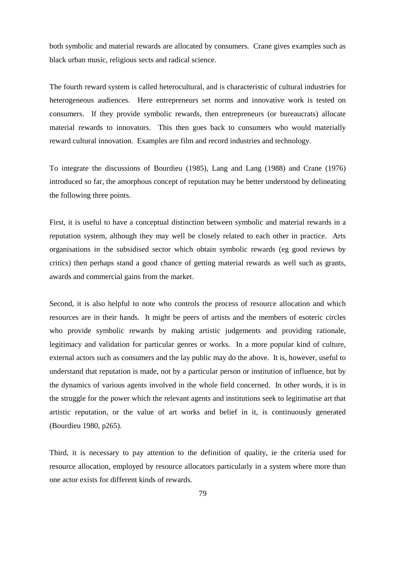both symbolic and material rewards are allocated by consumers. Crane gives examples such as black urban music, religious sects and radical science.

The fourth reward system is called heterocultural, and is characteristic of cultural industries for heterogeneous audiences. Here entrepreneurs set norms and innovative work is tested on consumers. If they provide symbolic rewards, then entrepreneurs (or bureaucrats) allocate material rewards to innovators. This then goes back to consumers who would materially reward cultural innovation. Examples are film and record industries and technology.

To integrate the discussions of Bourdieu (1985), Lang and Lang (1988) and Crane (1976) introduced so far, the amorphous concept of reputation may be better understood by delineating the following three points.

First, it is useful to have a conceptual distinction between symbolic and material rewards in a reputation system, although they may well be closely related to each other in practice. Arts organisations in the subsidised sector which obtain symbolic rewards (eg good reviews by critics) then perhaps stand a good chance of getting material rewards as well such as grants, awards and commercial gains from the market.

Second, it is also helpful to note who controls the process of resource allocation and which resources are in their hands. It might be peers of artists and the members of esoteric circles who provide symbolic rewards by making artistic judgements and providing rationale, legitimacy and validation for particular genres or works. In a more popular kind of culture, external actors such as consumers and the lay public may do the above. It is, however, useful to understand that reputation is made, not by a particular person or institution of influence, but by the dynamics of various agents involved in the whole field concerned. In other words, it is in the struggle for the power which the relevant agents and institutions seek to legitimatise art that artistic reputation, or the value of art works and belief in it, is continuously generated (Bourdieu 1980, p265).

Third, it is necessary to pay attention to the definition of quality, ie the criteria used for resource allocation, employed by resource allocators particularly in a system where more than one actor exists for different kinds of rewards.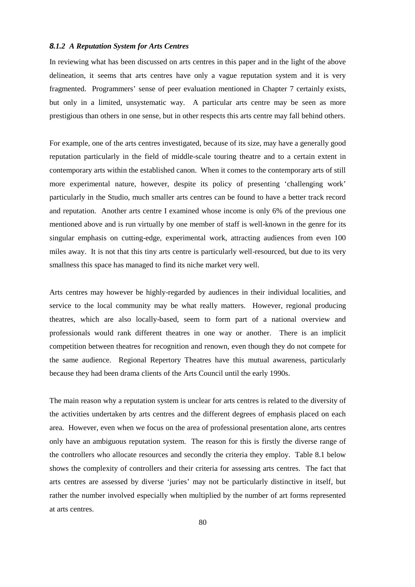#### *8.1.2 A Reputation System for Arts Centres*

In reviewing what has been discussed on arts centres in this paper and in the light of the above delineation, it seems that arts centres have only a vague reputation system and it is very fragmented. Programmers' sense of peer evaluation mentioned in Chapter 7 certainly exists, but only in a limited, unsystematic way. A particular arts centre may be seen as more prestigious than others in one sense, but in other respects this arts centre may fall behind others.

For example, one of the arts centres investigated, because of its size, may have a generally good reputation particularly in the field of middle-scale touring theatre and to a certain extent in contemporary arts within the established canon. When it comes to the contemporary arts of still more experimental nature, however, despite its policy of presenting 'challenging work' particularly in the Studio, much smaller arts centres can be found to have a better track record and reputation. Another arts centre I examined whose income is only 6% of the previous one mentioned above and is run virtually by one member of staff is well-known in the genre for its singular emphasis on cutting-edge, experimental work, attracting audiences from even 100 miles away. It is not that this tiny arts centre is particularly well-resourced, but due to its very smallness this space has managed to find its niche market very well.

Arts centres may however be highly-regarded by audiences in their individual localities, and service to the local community may be what really matters. However, regional producing theatres, which are also locally-based, seem to form part of a national overview and professionals would rank different theatres in one way or another. There is an implicit competition between theatres for recognition and renown, even though they do not compete for the same audience. Regional Repertory Theatres have this mutual awareness, particularly because they had been drama clients of the Arts Council until the early 1990s.

The main reason why a reputation system is unclear for arts centres is related to the diversity of the activities undertaken by arts centres and the different degrees of emphasis placed on each area. However, even when we focus on the area of professional presentation alone, arts centres only have an ambiguous reputation system. The reason for this is firstly the diverse range of the controllers who allocate resources and secondly the criteria they employ. Table 8.1 below shows the complexity of controllers and their criteria for assessing arts centres. The fact that arts centres are assessed by diverse 'juries' may not be particularly distinctive in itself, but rather the number involved especially when multiplied by the number of art forms represented at arts centres.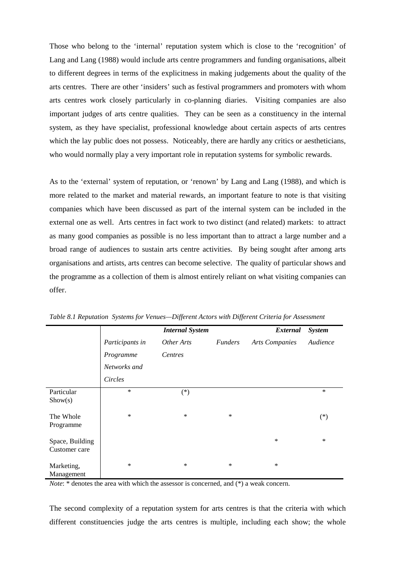Those who belong to the 'internal' reputation system which is close to the 'recognition' of Lang and Lang (1988) would include arts centre programmers and funding organisations, albeit to different degrees in terms of the explicitness in making judgements about the quality of the arts centres. There are other 'insiders' such as festival programmers and promoters with whom arts centres work closely particularly in co-planning diaries. Visiting companies are also important judges of arts centre qualities. They can be seen as a constituency in the internal system, as they have specialist, professional knowledge about certain aspects of arts centres which the lay public does not possess. Noticeably, there are hardly any critics or aestheticians, who would normally play a very important role in reputation systems for symbolic rewards.

As to the 'external' system of reputation, or 'renown' by Lang and Lang (1988), and which is more related to the market and material rewards, an important feature to note is that visiting companies which have been discussed as part of the internal system can be included in the external one as well. Arts centres in fact work to two distinct (and related) markets: to attract as many good companies as possible is no less important than to attract a large number and a broad range of audiences to sustain arts centre activities. By being sought after among arts organisations and artists, arts centres can become selective. The quality of particular shows and the programme as a collection of them is almost entirely reliant on what visiting companies can offer.

|                                  |                 | <b>Internal System</b> |                | <b>External</b>       | <b>System</b> |
|----------------------------------|-----------------|------------------------|----------------|-----------------------|---------------|
|                                  | Participants in | Other Arts             | <i>Funders</i> | <b>Arts Companies</b> | Audience      |
|                                  | Programme       | Centres                |                |                       |               |
|                                  | Networks and    |                        |                |                       |               |
|                                  | Circles         |                        |                |                       |               |
| Particular<br>Show(s)            | $\ast$          | $(*)$                  |                |                       | $\ast$        |
| The Whole<br>Programme           | $\ast$          | $\ast$                 | $\ast$         |                       | $(*)$         |
| Space, Building<br>Customer care |                 |                        |                | $\ast$                | $\ast$        |
| Marketing,<br>Management         | $\ast$          | $\ast$                 | $\ast$         | $\ast$                |               |

*Table 8.1 Reputation Systems for Venues—Different Actors with Different Criteria for Assessment*

*Note*: \* denotes the area with which the assessor is concerned, and (\*) a weak concern.

The second complexity of a reputation system for arts centres is that the criteria with which different constituencies judge the arts centres is multiple, including each show; the whole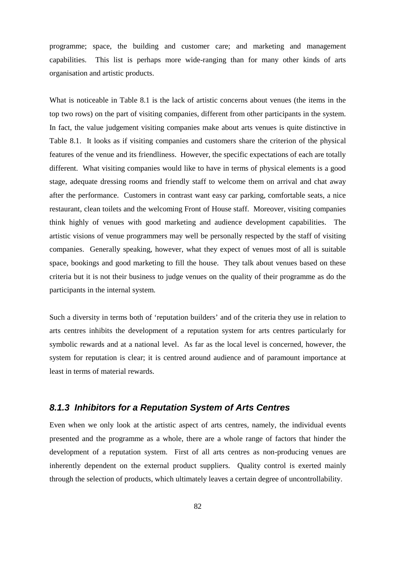programme; space, the building and customer care; and marketing and management capabilities. This list is perhaps more wide-ranging than for many other kinds of arts organisation and artistic products.

What is noticeable in Table 8.1 is the lack of artistic concerns about venues (the items in the top two rows) on the part of visiting companies, different from other participants in the system. In fact, the value judgement visiting companies make about arts venues is quite distinctive in Table 8.1. It looks as if visiting companies and customers share the criterion of the physical features of the venue and its friendliness. However, the specific expectations of each are totally different. What visiting companies would like to have in terms of physical elements is a good stage, adequate dressing rooms and friendly staff to welcome them on arrival and chat away after the performance. Customers in contrast want easy car parking, comfortable seats, a nice restaurant, clean toilets and the welcoming Front of House staff. Moreover, visiting companies think highly of venues with good marketing and audience development capabilities. The artistic visions of venue programmers may well be personally respected by the staff of visiting companies. Generally speaking, however, what they expect of venues most of all is suitable space, bookings and good marketing to fill the house. They talk about venues based on these criteria but it is not their business to judge venues on the quality of their programme as do the participants in the internal system.

Such a diversity in terms both of 'reputation builders' and of the criteria they use in relation to arts centres inhibits the development of a reputation system for arts centres particularly for symbolic rewards and at a national level. As far as the local level is concerned, however, the system for reputation is clear; it is centred around audience and of paramount importance at least in terms of material rewards.

### *8.1.3 Inhibitors for a Reputation System of Arts Centres*

Even when we only look at the artistic aspect of arts centres, namely, the individual events presented and the programme as a whole, there are a whole range of factors that hinder the development of a reputation system. First of all arts centres as non-producing venues are inherently dependent on the external product suppliers. Quality control is exerted mainly through the selection of products, which ultimately leaves a certain degree of uncontrollability.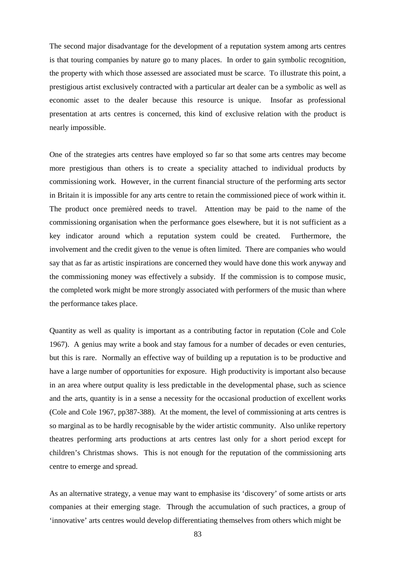The second major disadvantage for the development of a reputation system among arts centres is that touring companies by nature go to many places. In order to gain symbolic recognition, the property with which those assessed are associated must be scarce. To illustrate this point, a prestigious artist exclusively contracted with a particular art dealer can be a symbolic as well as economic asset to the dealer because this resource is unique. Insofar as professional presentation at arts centres is concerned, this kind of exclusive relation with the product is nearly impossible.

One of the strategies arts centres have employed so far so that some arts centres may become more prestigious than others is to create a speciality attached to individual products by commissioning work. However, in the current financial structure of the performing arts sector in Britain it is impossible for any arts centre to retain the commissioned piece of work within it. The product once premièred needs to travel. Attention may be paid to the name of the commissioning organisation when the performance goes elsewhere, but it is not sufficient as a key indicator around which a reputation system could be created. Furthermore, the involvement and the credit given to the venue is often limited. There are companies who would say that as far as artistic inspirations are concerned they would have done this work anyway and the commissioning money was effectively a subsidy. If the commission is to compose music, the completed work might be more strongly associated with performers of the music than where the performance takes place.

Quantity as well as quality is important as a contributing factor in reputation (Cole and Cole 1967). A genius may write a book and stay famous for a number of decades or even centuries, but this is rare. Normally an effective way of building up a reputation is to be productive and have a large number of opportunities for exposure. High productivity is important also because in an area where output quality is less predictable in the developmental phase, such as science and the arts, quantity is in a sense a necessity for the occasional production of excellent works (Cole and Cole 1967, pp387-388). At the moment, the level of commissioning at arts centres is so marginal as to be hardly recognisable by the wider artistic community. Also unlike repertory theatres performing arts productions at arts centres last only for a short period except for children's Christmas shows. This is not enough for the reputation of the commissioning arts centre to emerge and spread.

As an alternative strategy, a venue may want to emphasise its 'discovery' of some artists or arts companies at their emerging stage. Through the accumulation of such practices, a group of 'innovative' arts centres would develop differentiating themselves from others which might be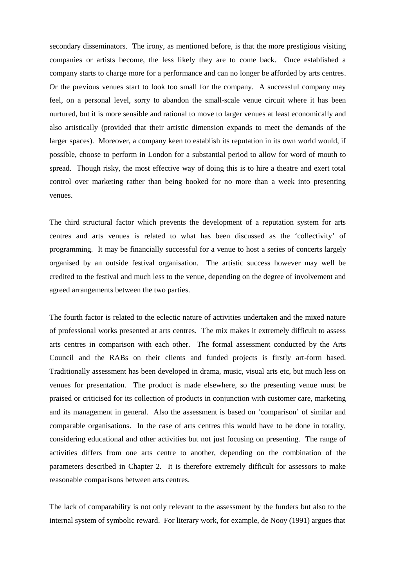secondary disseminators. The irony, as mentioned before, is that the more prestigious visiting companies or artists become, the less likely they are to come back. Once established a company starts to charge more for a performance and can no longer be afforded by arts centres. Or the previous venues start to look too small for the company. A successful company may feel, on a personal level, sorry to abandon the small-scale venue circuit where it has been nurtured, but it is more sensible and rational to move to larger venues at least economically and also artistically (provided that their artistic dimension expands to meet the demands of the larger spaces). Moreover, a company keen to establish its reputation in its own world would, if possible, choose to perform in London for a substantial period to allow for word of mouth to spread. Though risky, the most effective way of doing this is to hire a theatre and exert total control over marketing rather than being booked for no more than a week into presenting venues.

The third structural factor which prevents the development of a reputation system for arts centres and arts venues is related to what has been discussed as the 'collectivity' of programming. It may be financially successful for a venue to host a series of concerts largely organised by an outside festival organisation. The artistic success however may well be credited to the festival and much less to the venue, depending on the degree of involvement and agreed arrangements between the two parties.

The fourth factor is related to the eclectic nature of activities undertaken and the mixed nature of professional works presented at arts centres. The mix makes it extremely difficult to assess arts centres in comparison with each other. The formal assessment conducted by the Arts Council and the RABs on their clients and funded projects is firstly art-form based. Traditionally assessment has been developed in drama, music, visual arts etc, but much less on venues for presentation. The product is made elsewhere, so the presenting venue must be praised or criticised for its collection of products in conjunction with customer care, marketing and its management in general. Also the assessment is based on 'comparison' of similar and comparable organisations. In the case of arts centres this would have to be done in totality, considering educational and other activities but not just focusing on presenting. The range of activities differs from one arts centre to another, depending on the combination of the parameters described in Chapter 2. It is therefore extremely difficult for assessors to make reasonable comparisons between arts centres.

The lack of comparability is not only relevant to the assessment by the funders but also to the internal system of symbolic reward. For literary work, for example, de Nooy (1991) argues that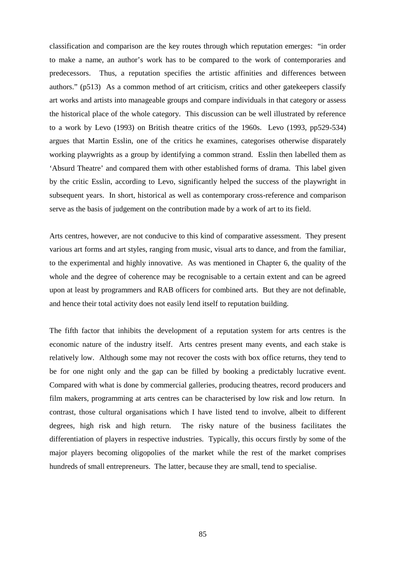classification and comparison are the key routes through which reputation emerges: "in order to make a name, an author's work has to be compared to the work of contemporaries and predecessors. Thus, a reputation specifies the artistic affinities and differences between authors." (p513) As a common method of art criticism, critics and other gatekeepers classify art works and artists into manageable groups and compare individuals in that category or assess the historical place of the whole category. This discussion can be well illustrated by reference to a work by Levo (1993) on British theatre critics of the 1960s. Levo (1993, pp529-534) argues that Martin Esslin, one of the critics he examines, categorises otherwise disparately working playwrights as a group by identifying a common strand. Esslin then labelled them as 'Absurd Theatre' and compared them with other established forms of drama. This label given by the critic Esslin, according to Levo, significantly helped the success of the playwright in subsequent years. In short, historical as well as contemporary cross-reference and comparison serve as the basis of judgement on the contribution made by a work of art to its field.

Arts centres, however, are not conducive to this kind of comparative assessment. They present various art forms and art styles, ranging from music, visual arts to dance, and from the familiar, to the experimental and highly innovative. As was mentioned in Chapter 6, the quality of the whole and the degree of coherence may be recognisable to a certain extent and can be agreed upon at least by programmers and RAB officers for combined arts. But they are not definable, and hence their total activity does not easily lend itself to reputation building.

The fifth factor that inhibits the development of a reputation system for arts centres is the economic nature of the industry itself. Arts centres present many events, and each stake is relatively low. Although some may not recover the costs with box office returns, they tend to be for one night only and the gap can be filled by booking a predictably lucrative event. Compared with what is done by commercial galleries, producing theatres, record producers and film makers, programming at arts centres can be characterised by low risk and low return. In contrast, those cultural organisations which I have listed tend to involve, albeit to different degrees, high risk and high return. The risky nature of the business facilitates the differentiation of players in respective industries. Typically, this occurs firstly by some of the major players becoming oligopolies of the market while the rest of the market comprises hundreds of small entrepreneurs. The latter, because they are small, tend to specialise.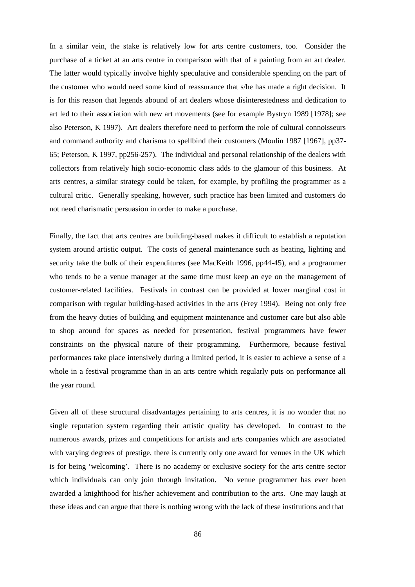In a similar vein, the stake is relatively low for arts centre customers, too. Consider the purchase of a ticket at an arts centre in comparison with that of a painting from an art dealer. The latter would typically involve highly speculative and considerable spending on the part of the customer who would need some kind of reassurance that s/he has made a right decision. It is for this reason that legends abound of art dealers whose disinterestedness and dedication to art led to their association with new art movements (see for example Bystryn 1989 [1978]; see also Peterson, K 1997). Art dealers therefore need to perform the role of cultural connoisseurs and command authority and charisma to spellbind their customers (Moulin 1987 [1967], pp37- 65; Peterson, K 1997, pp256-257). The individual and personal relationship of the dealers with collectors from relatively high socio-economic class adds to the glamour of this business. At arts centres, a similar strategy could be taken, for example, by profiling the programmer as a cultural critic. Generally speaking, however, such practice has been limited and customers do not need charismatic persuasion in order to make a purchase.

Finally, the fact that arts centres are building-based makes it difficult to establish a reputation system around artistic output. The costs of general maintenance such as heating, lighting and security take the bulk of their expenditures (see MacKeith 1996, pp44-45), and a programmer who tends to be a venue manager at the same time must keep an eye on the management of customer-related facilities. Festivals in contrast can be provided at lower marginal cost in comparison with regular building-based activities in the arts (Frey 1994). Being not only free from the heavy duties of building and equipment maintenance and customer care but also able to shop around for spaces as needed for presentation, festival programmers have fewer constraints on the physical nature of their programming. Furthermore, because festival performances take place intensively during a limited period, it is easier to achieve a sense of a whole in a festival programme than in an arts centre which regularly puts on performance all the year round.

Given all of these structural disadvantages pertaining to arts centres, it is no wonder that no single reputation system regarding their artistic quality has developed. In contrast to the numerous awards, prizes and competitions for artists and arts companies which are associated with varying degrees of prestige, there is currently only one award for venues in the UK which is for being 'welcoming'. There is no academy or exclusive society for the arts centre sector which individuals can only join through invitation. No venue programmer has ever been awarded a knighthood for his/her achievement and contribution to the arts. One may laugh at these ideas and can argue that there is nothing wrong with the lack of these institutions and that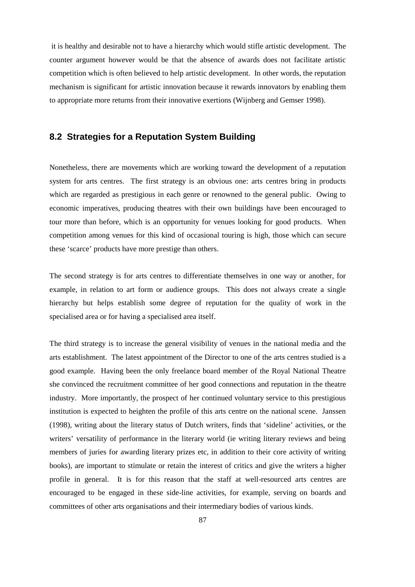it is healthy and desirable not to have a hierarchy which would stifle artistic development. The counter argument however would be that the absence of awards does not facilitate artistic competition which is often believed to help artistic development. In other words, the reputation mechanism is significant for artistic innovation because it rewards innovators by enabling them to appropriate more returns from their innovative exertions (Wijnberg and Gemser 1998).

### **8.2 Strategies for a Reputation System Building**

Nonetheless, there are movements which are working toward the development of a reputation system for arts centres. The first strategy is an obvious one: arts centres bring in products which are regarded as prestigious in each genre or renowned to the general public. Owing to economic imperatives, producing theatres with their own buildings have been encouraged to tour more than before, which is an opportunity for venues looking for good products. When competition among venues for this kind of occasional touring is high, those which can secure these 'scarce' products have more prestige than others.

The second strategy is for arts centres to differentiate themselves in one way or another, for example, in relation to art form or audience groups. This does not always create a single hierarchy but helps establish some degree of reputation for the quality of work in the specialised area or for having a specialised area itself.

The third strategy is to increase the general visibility of venues in the national media and the arts establishment. The latest appointment of the Director to one of the arts centres studied is a good example. Having been the only freelance board member of the Royal National Theatre she convinced the recruitment committee of her good connections and reputation in the theatre industry. More importantly, the prospect of her continued voluntary service to this prestigious institution is expected to heighten the profile of this arts centre on the national scene. Janssen (1998), writing about the literary status of Dutch writers, finds that 'sideline' activities, or the writers' versatility of performance in the literary world (ie writing literary reviews and being members of juries for awarding literary prizes etc, in addition to their core activity of writing books), are important to stimulate or retain the interest of critics and give the writers a higher profile in general. It is for this reason that the staff at well-resourced arts centres are encouraged to be engaged in these side-line activities, for example, serving on boards and committees of other arts organisations and their intermediary bodies of various kinds.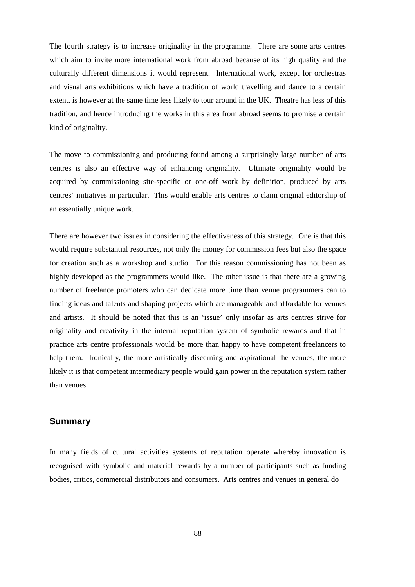The fourth strategy is to increase originality in the programme. There are some arts centres which aim to invite more international work from abroad because of its high quality and the culturally different dimensions it would represent. International work, except for orchestras and visual arts exhibitions which have a tradition of world travelling and dance to a certain extent, is however at the same time less likely to tour around in the UK. Theatre has less of this tradition, and hence introducing the works in this area from abroad seems to promise a certain kind of originality.

The move to commissioning and producing found among a surprisingly large number of arts centres is also an effective way of enhancing originality. Ultimate originality would be acquired by commissioning site-specific or one-off work by definition, produced by arts centres' initiatives in particular. This would enable arts centres to claim original editorship of an essentially unique work.

There are however two issues in considering the effectiveness of this strategy. One is that this would require substantial resources, not only the money for commission fees but also the space for creation such as a workshop and studio. For this reason commissioning has not been as highly developed as the programmers would like. The other issue is that there are a growing number of freelance promoters who can dedicate more time than venue programmers can to finding ideas and talents and shaping projects which are manageable and affordable for venues and artists. It should be noted that this is an 'issue' only insofar as arts centres strive for originality and creativity in the internal reputation system of symbolic rewards and that in practice arts centre professionals would be more than happy to have competent freelancers to help them. Ironically, the more artistically discerning and aspirational the venues, the more likely it is that competent intermediary people would gain power in the reputation system rather than venues.

#### **Summary**

In many fields of cultural activities systems of reputation operate whereby innovation is recognised with symbolic and material rewards by a number of participants such as funding bodies, critics, commercial distributors and consumers. Arts centres and venues in general do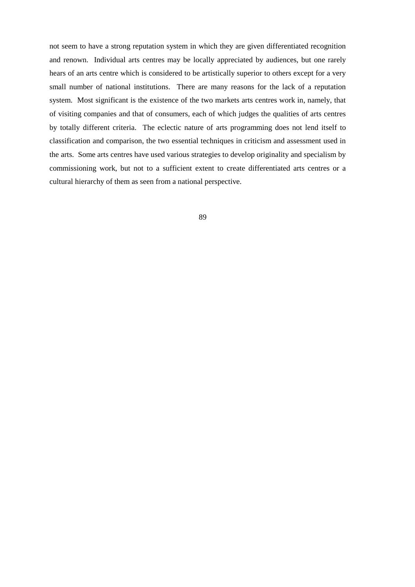not seem to have a strong reputation system in which they are given differentiated recognition and renown. Individual arts centres may be locally appreciated by audiences, but one rarely hears of an arts centre which is considered to be artistically superior to others except for a very small number of national institutions. There are many reasons for the lack of a reputation system. Most significant is the existence of the two markets arts centres work in, namely, that of visiting companies and that of consumers, each of which judges the qualities of arts centres by totally different criteria. The eclectic nature of arts programming does not lend itself to classification and comparison, the two essential techniques in criticism and assessment used in the arts. Some arts centres have used various strategies to develop originality and specialism by commissioning work, but not to a sufficient extent to create differentiated arts centres or a cultural hierarchy of them as seen from a national perspective.

$$
\phantom{0}89
$$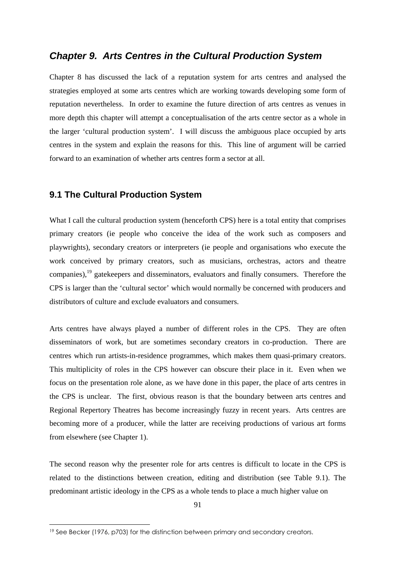### *Chapter 9. Arts Centres in the Cultural Production System*

Chapter 8 has discussed the lack of a reputation system for arts centres and analysed the strategies employed at some arts centres which are working towards developing some form of reputation nevertheless. In order to examine the future direction of arts centres as venues in more depth this chapter will attempt a conceptualisation of the arts centre sector as a whole in the larger 'cultural production system'. I will discuss the ambiguous place occupied by arts centres in the system and explain the reasons for this. This line of argument will be carried forward to an examination of whether arts centres form a sector at all.

#### **9.1 The Cultural Production System**

What I call the cultural production system (henceforth CPS) here is a total entity that comprises primary creators (ie people who conceive the idea of the work such as composers and playwrights), secondary creators or interpreters (ie people and organisations who execute the work conceived by primary creators, such as musicians, orchestras, actors and theatre companies),<sup>[19](#page-90-0)</sup> gatekeepers and disseminators, evaluators and finally consumers. Therefore the CPS is larger than the 'cultural sector' which would normally be concerned with producers and distributors of culture and exclude evaluators and consumers.

Arts centres have always played a number of different roles in the CPS. They are often disseminators of work, but are sometimes secondary creators in co-production. There are centres which run artists-in-residence programmes, which makes them quasi-primary creators. This multiplicity of roles in the CPS however can obscure their place in it. Even when we focus on the presentation role alone, as we have done in this paper, the place of arts centres in the CPS is unclear. The first, obvious reason is that the boundary between arts centres and Regional Repertory Theatres has become increasingly fuzzy in recent years. Arts centres are becoming more of a producer, while the latter are receiving productions of various art forms from elsewhere (see Chapter 1).

The second reason why the presenter role for arts centres is difficult to locate in the CPS is related to the distinctions between creation, editing and distribution (see Table 9.1). The predominant artistic ideology in the CPS as a whole tends to place a much higher value on

<span id="page-90-0"></span><sup>19</sup> See Becker (1976, p703) for the distinction between primary and secondary creators.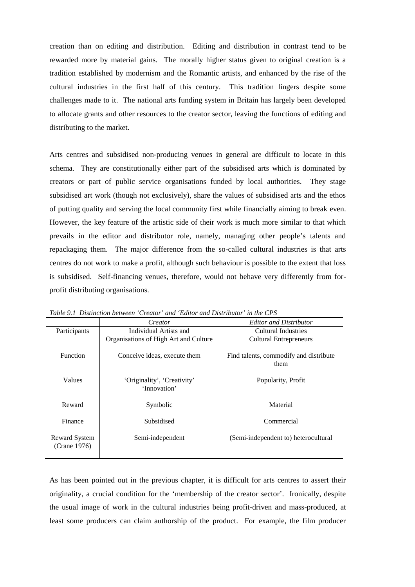creation than on editing and distribution. Editing and distribution in contrast tend to be rewarded more by material gains. The morally higher status given to original creation is a tradition established by modernism and the Romantic artists, and enhanced by the rise of the cultural industries in the first half of this century. This tradition lingers despite some challenges made to it. The national arts funding system in Britain has largely been developed to allocate grants and other resources to the creator sector, leaving the functions of editing and distributing to the market.

Arts centres and subsidised non-producing venues in general are difficult to locate in this schema. They are constitutionally either part of the subsidised arts which is dominated by creators or part of public service organisations funded by local authorities. They stage subsidised art work (though not exclusively), share the values of subsidised arts and the ethos of putting quality and serving the local community first while financially aiming to break even. However, the key feature of the artistic side of their work is much more similar to that which prevails in the editor and distributor role, namely, managing other people's talents and repackaging them. The major difference from the so-called cultural industries is that arts centres do not work to make a profit, although such behaviour is possible to the extent that loss is subsidised. Self-financing venues, therefore, would not behave very differently from forprofit distributing organisations.

|                               | Creator                                     | <b>Editor and Distributor</b>                  |  |  |
|-------------------------------|---------------------------------------------|------------------------------------------------|--|--|
| Participants                  | Individual Artists and                      | Cultural Industries                            |  |  |
|                               | Organisations of High Art and Culture       | <b>Cultural Entrepreneurs</b>                  |  |  |
| <b>Function</b>               | Conceive ideas, execute them                | Find talents, commodify and distribute<br>them |  |  |
| <b>Values</b>                 | 'Originality', 'Creativity'<br>'Innovation' | Popularity, Profit                             |  |  |
| Reward                        | Symbolic                                    | Material                                       |  |  |
| Finance                       | Subsidised                                  | Commercial                                     |  |  |
| Reward System<br>(Crane 1976) | Semi-independent                            | (Semi-independent to) heterocultural           |  |  |

*Table 9.1 Distinction between 'Creator' and 'Editor and Distributor' in the CPS*

As has been pointed out in the previous chapter, it is difficult for arts centres to assert their originality, a crucial condition for the 'membership of the creator sector'. Ironically, despite the usual image of work in the cultural industries being profit-driven and mass-produced, at least some producers can claim authorship of the product. For example, the film producer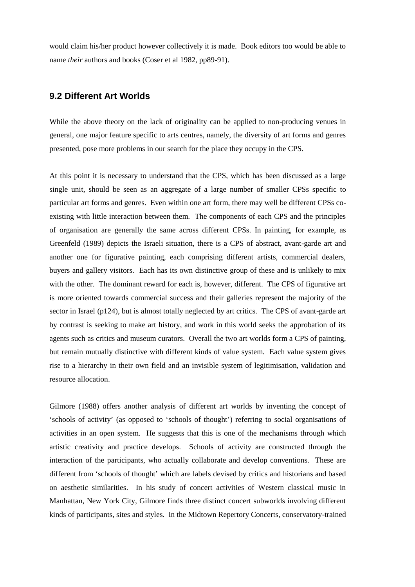would claim his/her product however collectively it is made. Book editors too would be able to name *their* authors and books (Coser et al 1982, pp89-91).

### **9.2 Different Art Worlds**

While the above theory on the lack of originality can be applied to non-producing venues in general, one major feature specific to arts centres, namely, the diversity of art forms and genres presented, pose more problems in our search for the place they occupy in the CPS.

At this point it is necessary to understand that the CPS, which has been discussed as a large single unit, should be seen as an aggregate of a large number of smaller CPSs specific to particular art forms and genres. Even within one art form, there may well be different CPSs coexisting with little interaction between them. The components of each CPS and the principles of organisation are generally the same across different CPSs. In painting, for example, as Greenfeld (1989) depicts the Israeli situation, there is a CPS of abstract, avant-garde art and another one for figurative painting, each comprising different artists, commercial dealers, buyers and gallery visitors. Each has its own distinctive group of these and is unlikely to mix with the other. The dominant reward for each is, however, different. The CPS of figurative art is more oriented towards commercial success and their galleries represent the majority of the sector in Israel (p124), but is almost totally neglected by art critics. The CPS of avant-garde art by contrast is seeking to make art history, and work in this world seeks the approbation of its agents such as critics and museum curators. Overall the two art worlds form a CPS of painting, but remain mutually distinctive with different kinds of value system. Each value system gives rise to a hierarchy in their own field and an invisible system of legitimisation, validation and resource allocation.

Gilmore (1988) offers another analysis of different art worlds by inventing the concept of 'schools of activity' (as opposed to 'schools of thought') referring to social organisations of activities in an open system. He suggests that this is one of the mechanisms through which artistic creativity and practice develops. Schools of activity are constructed through the interaction of the participants, who actually collaborate and develop conventions. These are different from 'schools of thought' which are labels devised by critics and historians and based on aesthetic similarities. In his study of concert activities of Western classical music in Manhattan, New York City, Gilmore finds three distinct concert subworlds involving different kinds of participants, sites and styles. In the Midtown Repertory Concerts, conservatory-trained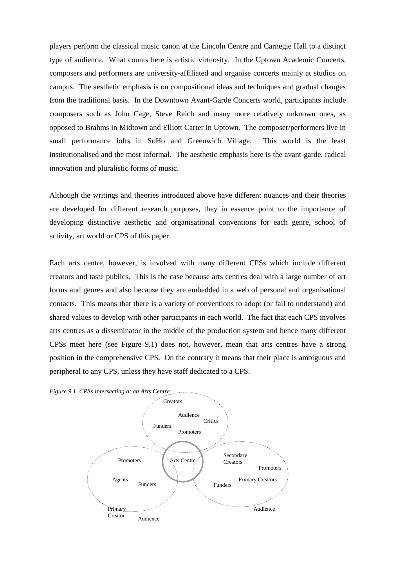players perform the classical music canon at the Lincoln Centre and Carnegie Hall to a distinct type of audience. What counts here is artistic virtuosity. In the Uptown Academic Concerts, composers and performers are university-affiliated and organise concerts mainly at studios on campus. The aesthetic emphasis is on compositional ideas and techniques and gradual changes from the traditional basis. In the Downtown Avant-Garde Concerts world, participants include composers such as John Cage, Steve Reich and many more relatively unknown ones, as opposed to Brahms in Midtown and Elliott Carter in Uptown. The composer/performers live in small performance lofts in SoHo and Greenwich Village. This world is the least institutionalised and the most informal. The aesthetic emphasis here is the avant-garde, radical innovation and pluralistic forms of music.

Although the writings and theories introduced above have different nuances and their theories are developed for different research purposes, they in essence point to the importance of developing distinctive aesthetic and organisational conventions for each genre, school of activity, art world or CPS of this paper.

Each arts centre, however, is involved with many different CPSs which include different creators and taste publics. This is the case because arts centres deal with a large number of art forms and genres and also because they are embedded in a web of personal and organisational contacts. This means that there is a variety of conventions to adopt (or fail to understand) and shared values to develop with other participants in each world. The fact that each CPS involves arts centres as a disseminator in the middle of the production system and hence many different CPSs meet here (see Figure 9.1) does not, however, mean that arts centres have a strong position in the comprehensive CPS. On the contrary it means that their place is ambiguous and peripheral to any CPS, unless they have staff dedicated to a CPS.

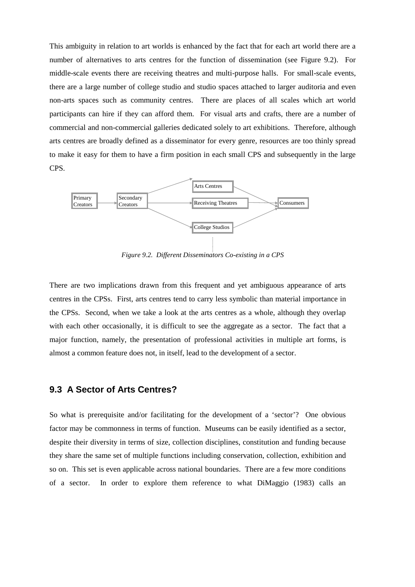This ambiguity in relation to art worlds is enhanced by the fact that for each art world there are a number of alternatives to arts centres for the function of dissemination (see Figure 9.2). For middle-scale events there are receiving theatres and multi-purpose halls. For small-scale events, there are a large number of college studio and studio spaces attached to larger auditoria and even non-arts spaces such as community centres. There are places of all scales which art world participants can hire if they can afford them. For visual arts and crafts, there are a number of commercial and non-commercial galleries dedicated solely to art exhibitions. Therefore, although arts centres are broadly defined as a disseminator for every genre, resources are too thinly spread to make it easy for them to have a firm position in each small CPS and subsequently in the large CPS.



*Figure 9.2. Different Disseminators Co-existing in a CPS*

There are two implications drawn from this frequent and yet ambiguous appearance of arts centres in the CPSs. First, arts centres tend to carry less symbolic than material importance in the CPSs. Second, when we take a look at the arts centres as a whole, although they overlap with each other occasionally, it is difficult to see the aggregate as a sector. The fact that a major function, namely, the presentation of professional activities in multiple art forms, is almost a common feature does not, in itself, lead to the development of a sector.

#### **9.3 A Sector of Arts Centres?**

So what is prerequisite and/or facilitating for the development of a 'sector'? One obvious factor may be commonness in terms of function. Museums can be easily identified as a sector, despite their diversity in terms of size, collection disciplines, constitution and funding because they share the same set of multiple functions including conservation, collection, exhibition and so on. This set is even applicable across national boundaries. There are a few more conditions of a sector. In order to explore them reference to what DiMaggio (1983) calls an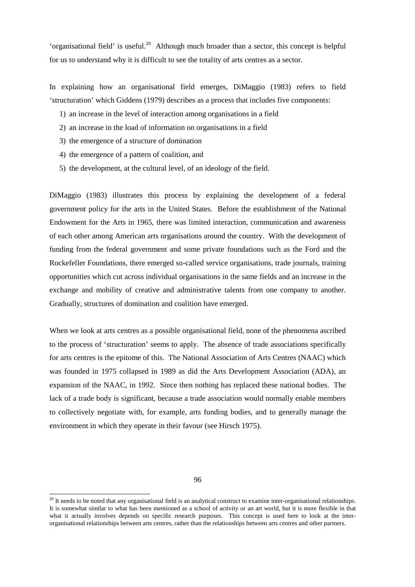'organisational field' is useful.<sup>[20](#page-95-0)</sup> Although much broader than a sector, this concept is helpful for us to understand why it is difficult to see the totality of arts centres as a sector.

In explaining how an organisational field emerges, DiMaggio (1983) refers to field 'structuration' which Giddens (1979) describes as a process that includes five components:

- 1) an increase in the level of interaction among organisations in a field
- 2) an increase in the load of information on organisations in a field
- 3) the emergence of a structure of domination
- 4) the emergence of a pattern of coalition, and
- 5) the development, at the cultural level, of an ideology of the field.

DiMaggio (1983) illustrates this process by explaining the development of a federal government policy for the arts in the United States. Before the establishment of the National Endowment for the Arts in 1965, there was limited interaction, communication and awareness of each other among American arts organisations around the country. With the development of funding from the federal government and some private foundations such as the Ford and the Rockefeller Foundations, there emerged so-called service organisations, trade journals, training opportunities which cut across individual organisations in the same fields and an increase in the exchange and mobility of creative and administrative talents from one company to another. Gradually, structures of domination and coalition have emerged.

When we look at arts centres as a possible organisational field, none of the phenomena ascribed to the process of 'structuration' seems to apply. The absence of trade associations specifically for arts centres is the epitome of this. The National Association of Arts Centres (NAAC) which was founded in 1975 collapsed in 1989 as did the Arts Development Association (ADA), an expansion of the NAAC, in 1992. Since then nothing has replaced these national bodies. The lack of a trade body is significant, because a trade association would normally enable members to collectively negotiate with, for example, arts funding bodies, and to generally manage the environment in which they operate in their favour (see Hirsch 1975).

<sup>96</sup>

<span id="page-95-0"></span> $20$  It needs to be noted that any organisational field is an analytical construct to examine inter-organisational relationships. It is somewhat similar to what has been mentioned as a school of activity or an art world, but it is more flexible in that what it actually involves depends on specific research purposes. This concept is used here to look at the interorganisational relationships between arts centres, rather than the relationships between arts centres and other partners.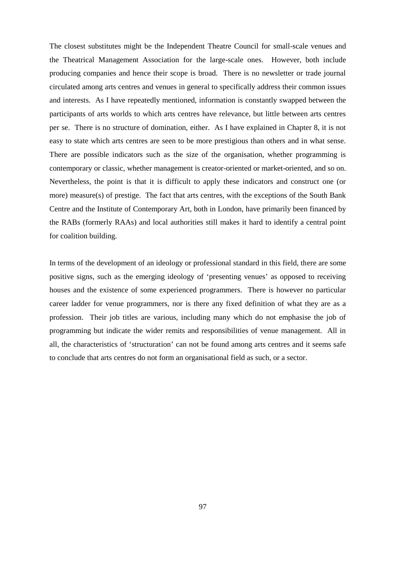The closest substitutes might be the Independent Theatre Council for small-scale venues and the Theatrical Management Association for the large-scale ones. However, both include producing companies and hence their scope is broad. There is no newsletter or trade journal circulated among arts centres and venues in general to specifically address their common issues and interests. As I have repeatedly mentioned, information is constantly swapped between the participants of arts worlds to which arts centres have relevance, but little between arts centres per se. There is no structure of domination, either. As I have explained in Chapter 8, it is not easy to state which arts centres are seen to be more prestigious than others and in what sense. There are possible indicators such as the size of the organisation, whether programming is contemporary or classic, whether management is creator-oriented or market-oriented, and so on. Nevertheless, the point is that it is difficult to apply these indicators and construct one (or more) measure(s) of prestige. The fact that arts centres, with the exceptions of the South Bank Centre and the Institute of Contemporary Art, both in London, have primarily been financed by the RABs (formerly RAAs) and local authorities still makes it hard to identify a central point for coalition building.

In terms of the development of an ideology or professional standard in this field, there are some positive signs, such as the emerging ideology of 'presenting venues' as opposed to receiving houses and the existence of some experienced programmers. There is however no particular career ladder for venue programmers, nor is there any fixed definition of what they are as a profession. Their job titles are various, including many which do not emphasise the job of programming but indicate the wider remits and responsibilities of venue management. All in all, the characteristics of 'structuration' can not be found among arts centres and it seems safe to conclude that arts centres do not form an organisational field as such, or a sector.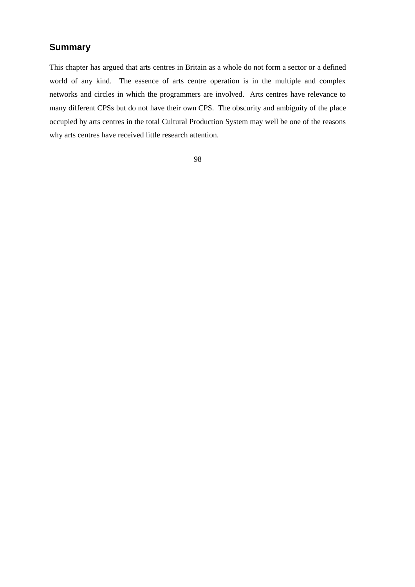# **Summary**

This chapter has argued that arts centres in Britain as a whole do not form a sector or a defined world of any kind. The essence of arts centre operation is in the multiple and complex networks and circles in which the programmers are involved. Arts centres have relevance to many different CPSs but do not have their own CPS. The obscurity and ambiguity of the place occupied by arts centres in the total Cultural Production System may well be one of the reasons why arts centres have received little research attention.

98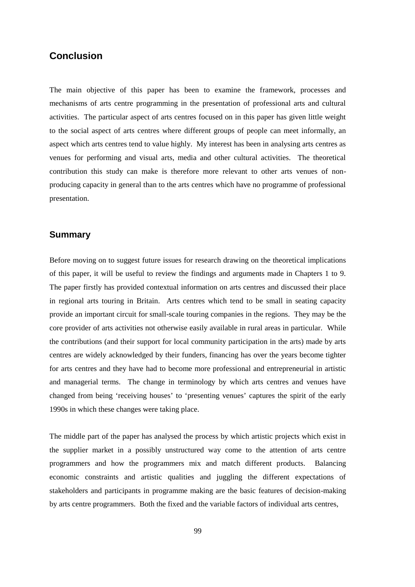## **Conclusion**

The main objective of this paper has been to examine the framework, processes and mechanisms of arts centre programming in the presentation of professional arts and cultural activities. The particular aspect of arts centres focused on in this paper has given little weight to the social aspect of arts centres where different groups of people can meet informally, an aspect which arts centres tend to value highly. My interest has been in analysing arts centres as venues for performing and visual arts, media and other cultural activities. The theoretical contribution this study can make is therefore more relevant to other arts venues of nonproducing capacity in general than to the arts centres which have no programme of professional presentation.

#### **Summary**

Before moving on to suggest future issues for research drawing on the theoretical implications of this paper, it will be useful to review the findings and arguments made in Chapters 1 to 9. The paper firstly has provided contextual information on arts centres and discussed their place in regional arts touring in Britain. Arts centres which tend to be small in seating capacity provide an important circuit for small-scale touring companies in the regions. They may be the core provider of arts activities not otherwise easily available in rural areas in particular. While the contributions (and their support for local community participation in the arts) made by arts centres are widely acknowledged by their funders, financing has over the years become tighter for arts centres and they have had to become more professional and entrepreneurial in artistic and managerial terms. The change in terminology by which arts centres and venues have changed from being 'receiving houses' to 'presenting venues' captures the spirit of the early 1990s in which these changes were taking place.

The middle part of the paper has analysed the process by which artistic projects which exist in the supplier market in a possibly unstructured way come to the attention of arts centre programmers and how the programmers mix and match different products. Balancing economic constraints and artistic qualities and juggling the different expectations of stakeholders and participants in programme making are the basic features of decision-making by arts centre programmers. Both the fixed and the variable factors of individual arts centres,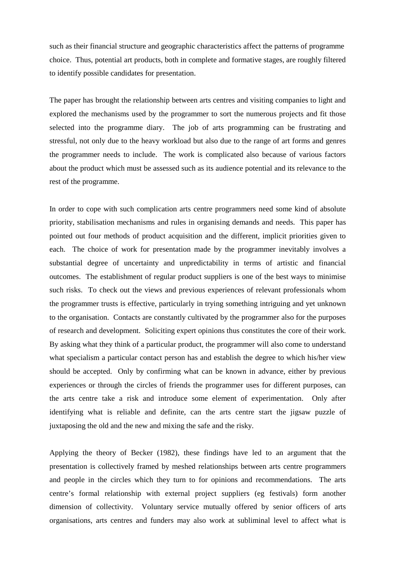such as their financial structure and geographic characteristics affect the patterns of programme choice. Thus, potential art products, both in complete and formative stages, are roughly filtered to identify possible candidates for presentation.

The paper has brought the relationship between arts centres and visiting companies to light and explored the mechanisms used by the programmer to sort the numerous projects and fit those selected into the programme diary. The job of arts programming can be frustrating and stressful, not only due to the heavy workload but also due to the range of art forms and genres the programmer needs to include. The work is complicated also because of various factors about the product which must be assessed such as its audience potential and its relevance to the rest of the programme.

In order to cope with such complication arts centre programmers need some kind of absolute priority, stabilisation mechanisms and rules in organising demands and needs. This paper has pointed out four methods of product acquisition and the different, implicit priorities given to each. The choice of work for presentation made by the programmer inevitably involves a substantial degree of uncertainty and unpredictability in terms of artistic and financial outcomes. The establishment of regular product suppliers is one of the best ways to minimise such risks. To check out the views and previous experiences of relevant professionals whom the programmer trusts is effective, particularly in trying something intriguing and yet unknown to the organisation. Contacts are constantly cultivated by the programmer also for the purposes of research and development. Soliciting expert opinions thus constitutes the core of their work. By asking what they think of a particular product, the programmer will also come to understand what specialism a particular contact person has and establish the degree to which his/her view should be accepted. Only by confirming what can be known in advance, either by previous experiences or through the circles of friends the programmer uses for different purposes, can the arts centre take a risk and introduce some element of experimentation. Only after identifying what is reliable and definite, can the arts centre start the jigsaw puzzle of juxtaposing the old and the new and mixing the safe and the risky.

Applying the theory of Becker (1982), these findings have led to an argument that the presentation is collectively framed by meshed relationships between arts centre programmers and people in the circles which they turn to for opinions and recommendations. The arts centre's formal relationship with external project suppliers (eg festivals) form another dimension of collectivity. Voluntary service mutually offered by senior officers of arts organisations, arts centres and funders may also work at subliminal level to affect what is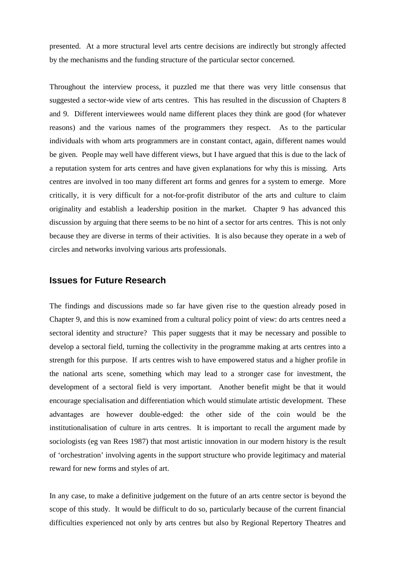presented. At a more structural level arts centre decisions are indirectly but strongly affected by the mechanisms and the funding structure of the particular sector concerned.

Throughout the interview process, it puzzled me that there was very little consensus that suggested a sector-wide view of arts centres. This has resulted in the discussion of Chapters 8 and 9. Different interviewees would name different places they think are good (for whatever reasons) and the various names of the programmers they respect. As to the particular individuals with whom arts programmers are in constant contact, again, different names would be given. People may well have different views, but I have argued that this is due to the lack of a reputation system for arts centres and have given explanations for why this is missing. Arts centres are involved in too many different art forms and genres for a system to emerge. More critically, it is very difficult for a not-for-profit distributor of the arts and culture to claim originality and establish a leadership position in the market. Chapter 9 has advanced this discussion by arguing that there seems to be no hint of a sector for arts centres. This is not only because they are diverse in terms of their activities. It is also because they operate in a web of circles and networks involving various arts professionals.

#### **Issues for Future Research**

The findings and discussions made so far have given rise to the question already posed in Chapter 9, and this is now examined from a cultural policy point of view: do arts centres need a sectoral identity and structure? This paper suggests that it may be necessary and possible to develop a sectoral field, turning the collectivity in the programme making at arts centres into a strength for this purpose. If arts centres wish to have empowered status and a higher profile in the national arts scene, something which may lead to a stronger case for investment, the development of a sectoral field is very important. Another benefit might be that it would encourage specialisation and differentiation which would stimulate artistic development. These advantages are however double-edged: the other side of the coin would be the institutionalisation of culture in arts centres. It is important to recall the argument made by sociologists (eg van Rees 1987) that most artistic innovation in our modern history is the result of 'orchestration' involving agents in the support structure who provide legitimacy and material reward for new forms and styles of art.

In any case, to make a definitive judgement on the future of an arts centre sector is beyond the scope of this study. It would be difficult to do so, particularly because of the current financial difficulties experienced not only by arts centres but also by Regional Repertory Theatres and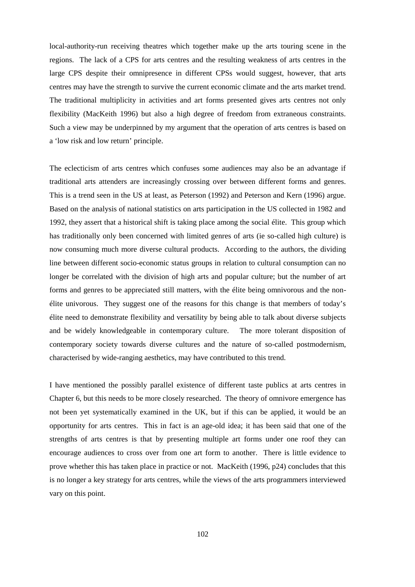local-authority-run receiving theatres which together make up the arts touring scene in the regions. The lack of a CPS for arts centres and the resulting weakness of arts centres in the large CPS despite their omnipresence in different CPSs would suggest, however, that arts centres may have the strength to survive the current economic climate and the arts market trend. The traditional multiplicity in activities and art forms presented gives arts centres not only flexibility (MacKeith 1996) but also a high degree of freedom from extraneous constraints. Such a view may be underpinned by my argument that the operation of arts centres is based on a 'low risk and low return' principle.

The eclecticism of arts centres which confuses some audiences may also be an advantage if traditional arts attenders are increasingly crossing over between different forms and genres. This is a trend seen in the US at least, as Peterson (1992) and Peterson and Kern (1996) argue. Based on the analysis of national statistics on arts participation in the US collected in 1982 and 1992, they assert that a historical shift is taking place among the social élite. This group which has traditionally only been concerned with limited genres of arts (ie so-called high culture) is now consuming much more diverse cultural products. According to the authors, the dividing line between different socio-economic status groups in relation to cultural consumption can no longer be correlated with the division of high arts and popular culture; but the number of art forms and genres to be appreciated still matters, with the élite being omnivorous and the nonélite univorous. They suggest one of the reasons for this change is that members of today's élite need to demonstrate flexibility and versatility by being able to talk about diverse subjects and be widely knowledgeable in contemporary culture. The more tolerant disposition of contemporary society towards diverse cultures and the nature of so-called postmodernism, characterised by wide-ranging aesthetics, may have contributed to this trend.

I have mentioned the possibly parallel existence of different taste publics at arts centres in Chapter 6, but this needs to be more closely researched. The theory of omnivore emergence has not been yet systematically examined in the UK, but if this can be applied, it would be an opportunity for arts centres. This in fact is an age-old idea; it has been said that one of the strengths of arts centres is that by presenting multiple art forms under one roof they can encourage audiences to cross over from one art form to another. There is little evidence to prove whether this has taken place in practice or not. MacKeith (1996, p24) concludes that this is no longer a key strategy for arts centres, while the views of the arts programmers interviewed vary on this point.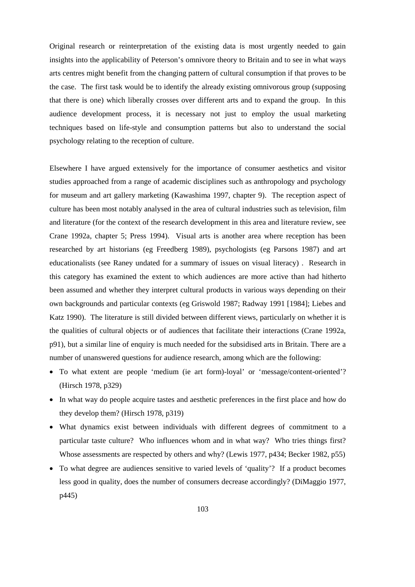Original research or reinterpretation of the existing data is most urgently needed to gain insights into the applicability of Peterson's omnivore theory to Britain and to see in what ways arts centres might benefit from the changing pattern of cultural consumption if that proves to be the case. The first task would be to identify the already existing omnivorous group (supposing that there is one) which liberally crosses over different arts and to expand the group. In this audience development process, it is necessary not just to employ the usual marketing techniques based on life-style and consumption patterns but also to understand the social psychology relating to the reception of culture.

Elsewhere I have argued extensively for the importance of consumer aesthetics and visitor studies approached from a range of academic disciplines such as anthropology and psychology for museum and art gallery marketing (Kawashima 1997, chapter 9). The reception aspect of culture has been most notably analysed in the area of cultural industries such as television, film and literature (for the context of the research development in this area and literature review, see Crane 1992a, chapter 5; Press 1994). Visual arts is another area where reception has been researched by art historians (eg Freedberg 1989), psychologists (eg Parsons 1987) and art educationalists (see Raney undated for a summary of issues on visual literacy) . Research in this category has examined the extent to which audiences are more active than had hitherto been assumed and whether they interpret cultural products in various ways depending on their own backgrounds and particular contexts (eg Griswold 1987; Radway 1991 [1984]; Liebes and Katz 1990). The literature is still divided between different views, particularly on whether it is the qualities of cultural objects or of audiences that facilitate their interactions (Crane 1992a, p91), but a similar line of enquiry is much needed for the subsidised arts in Britain. There are a number of unanswered questions for audience research, among which are the following:

- To what extent are people 'medium (ie art form)-loyal' or 'message/content-oriented'? (Hirsch 1978, p329)
- In what way do people acquire tastes and aesthetic preferences in the first place and how do they develop them? (Hirsch 1978, p319)
- What dynamics exist between individuals with different degrees of commitment to a particular taste culture? Who influences whom and in what way? Who tries things first? Whose assessments are respected by others and why? (Lewis 1977, p434; Becker 1982, p55)
- To what degree are audiences sensitive to varied levels of 'quality'? If a product becomes less good in quality, does the number of consumers decrease accordingly? (DiMaggio 1977, p445)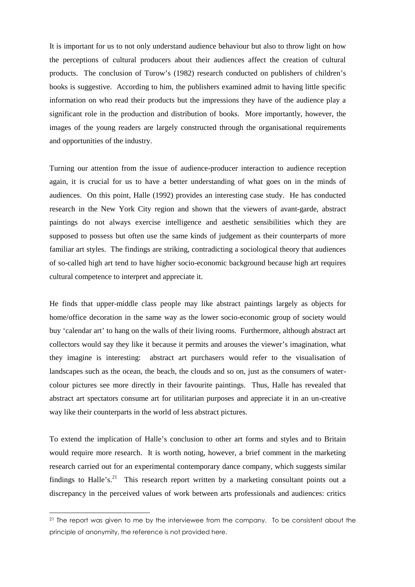It is important for us to not only understand audience behaviour but also to throw light on how the perceptions of cultural producers about their audiences affect the creation of cultural products. The conclusion of Turow's (1982) research conducted on publishers of children's books is suggestive. According to him, the publishers examined admit to having little specific information on who read their products but the impressions they have of the audience play a significant role in the production and distribution of books. More importantly, however, the images of the young readers are largely constructed through the organisational requirements and opportunities of the industry.

Turning our attention from the issue of audience-producer interaction to audience reception again, it is crucial for us to have a better understanding of what goes on in the minds of audiences. On this point, Halle (1992) provides an interesting case study. He has conducted research in the New York City region and shown that the viewers of avant-garde, abstract paintings do not always exercise intelligence and aesthetic sensibilities which they are supposed to possess but often use the same kinds of judgement as their counterparts of more familiar art styles. The findings are striking, contradicting a sociological theory that audiences of so-called high art tend to have higher socio-economic background because high art requires cultural competence to interpret and appreciate it.

He finds that upper-middle class people may like abstract paintings largely as objects for home/office decoration in the same way as the lower socio-economic group of society would buy 'calendar art' to hang on the walls of their living rooms. Furthermore, although abstract art collectors would say they like it because it permits and arouses the viewer's imagination, what they imagine is interesting: abstract art purchasers would refer to the visualisation of landscapes such as the ocean, the beach, the clouds and so on, just as the consumers of watercolour pictures see more directly in their favourite paintings. Thus, Halle has revealed that abstract art spectators consume art for utilitarian purposes and appreciate it in an un-creative way like their counterparts in the world of less abstract pictures.

To extend the implication of Halle's conclusion to other art forms and styles and to Britain would require more research. It is worth noting, however, a brief comment in the marketing research carried out for an experimental contemporary dance company, which suggests similar findings to Halle's.<sup>[21](#page-103-0)</sup> This research report written by a marketing consultant points out a discrepancy in the perceived values of work between arts professionals and audiences: critics

<span id="page-103-0"></span><sup>&</sup>lt;sup>21</sup> The report was given to me by the interviewee from the company. To be consistent about the principle of anonymity, the reference is not provided here.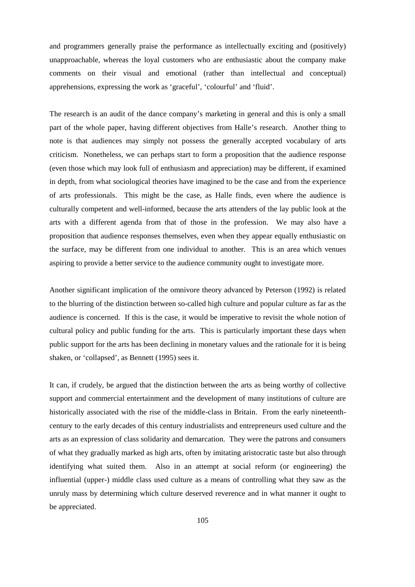and programmers generally praise the performance as intellectually exciting and (positively) unapproachable, whereas the loyal customers who are enthusiastic about the company make comments on their visual and emotional (rather than intellectual and conceptual) apprehensions, expressing the work as 'graceful', 'colourful' and 'fluid'.

The research is an audit of the dance company's marketing in general and this is only a small part of the whole paper, having different objectives from Halle's research. Another thing to note is that audiences may simply not possess the generally accepted vocabulary of arts criticism. Nonetheless, we can perhaps start to form a proposition that the audience response (even those which may look full of enthusiasm and appreciation) may be different, if examined in depth, from what sociological theories have imagined to be the case and from the experience of arts professionals. This might be the case, as Halle finds, even where the audience is culturally competent and well-informed, because the arts attenders of the lay public look at the arts with a different agenda from that of those in the profession. We may also have a proposition that audience responses themselves, even when they appear equally enthusiastic on the surface, may be different from one individual to another. This is an area which venues aspiring to provide a better service to the audience community ought to investigate more.

Another significant implication of the omnivore theory advanced by Peterson (1992) is related to the blurring of the distinction between so-called high culture and popular culture as far as the audience is concerned. If this is the case, it would be imperative to revisit the whole notion of cultural policy and public funding for the arts. This is particularly important these days when public support for the arts has been declining in monetary values and the rationale for it is being shaken, or 'collapsed', as Bennett (1995) sees it.

It can, if crudely, be argued that the distinction between the arts as being worthy of collective support and commercial entertainment and the development of many institutions of culture are historically associated with the rise of the middle-class in Britain. From the early nineteenthcentury to the early decades of this century industrialists and entrepreneurs used culture and the arts as an expression of class solidarity and demarcation. They were the patrons and consumers of what they gradually marked as high arts, often by imitating aristocratic taste but also through identifying what suited them. Also in an attempt at social reform (or engineering) the influential (upper-) middle class used culture as a means of controlling what they saw as the unruly mass by determining which culture deserved reverence and in what manner it ought to be appreciated.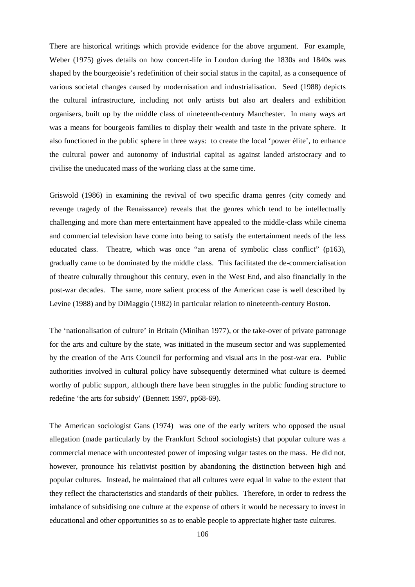There are historical writings which provide evidence for the above argument. For example, Weber (1975) gives details on how concert-life in London during the 1830s and 1840s was shaped by the bourgeoisie's redefinition of their social status in the capital, as a consequence of various societal changes caused by modernisation and industrialisation. Seed (1988) depicts the cultural infrastructure, including not only artists but also art dealers and exhibition organisers, built up by the middle class of nineteenth-century Manchester. In many ways art was a means for bourgeois families to display their wealth and taste in the private sphere. It also functioned in the public sphere in three ways: to create the local 'power élite', to enhance the cultural power and autonomy of industrial capital as against landed aristocracy and to civilise the uneducated mass of the working class at the same time.

Griswold (1986) in examining the revival of two specific drama genres (city comedy and revenge tragedy of the Renaissance) reveals that the genres which tend to be intellectually challenging and more than mere entertainment have appealed to the middle-class while cinema and commercial television have come into being to satisfy the entertainment needs of the less educated class. Theatre, which was once "an arena of symbolic class conflict" (p163), gradually came to be dominated by the middle class. This facilitated the de-commercialisation of theatre culturally throughout this century, even in the West End, and also financially in the post-war decades. The same, more salient process of the American case is well described by Levine (1988) and by DiMaggio (1982) in particular relation to nineteenth-century Boston.

The 'nationalisation of culture' in Britain (Minihan 1977), or the take-over of private patronage for the arts and culture by the state, was initiated in the museum sector and was supplemented by the creation of the Arts Council for performing and visual arts in the post-war era. Public authorities involved in cultural policy have subsequently determined what culture is deemed worthy of public support, although there have been struggles in the public funding structure to redefine 'the arts for subsidy' (Bennett 1997, pp68-69).

The American sociologist Gans (1974) was one of the early writers who opposed the usual allegation (made particularly by the Frankfurt School sociologists) that popular culture was a commercial menace with uncontested power of imposing vulgar tastes on the mass. He did not, however, pronounce his relativist position by abandoning the distinction between high and popular cultures. Instead, he maintained that all cultures were equal in value to the extent that they reflect the characteristics and standards of their publics. Therefore, in order to redress the imbalance of subsidising one culture at the expense of others it would be necessary to invest in educational and other opportunities so as to enable people to appreciate higher taste cultures.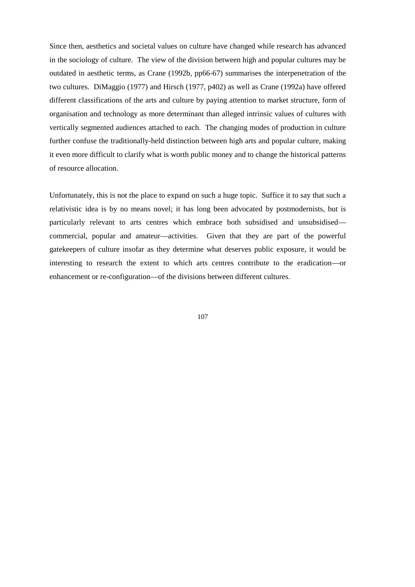Since then, aesthetics and societal values on culture have changed while research has advanced in the sociology of culture. The view of the division between high and popular cultures may be outdated in aesthetic terms, as Crane (1992b, pp66-67) summarises the interpenetration of the two cultures. DiMaggio (1977) and Hirsch (1977, p402) as well as Crane (1992a) have offered different classifications of the arts and culture by paying attention to market structure, form of organisation and technology as more determinant than alleged intrinsic values of cultures with vertically segmented audiences attached to each. The changing modes of production in culture further confuse the traditionally-held distinction between high arts and popular culture, making it even more difficult to clarify what is worth public money and to change the historical patterns of resource allocation.

Unfortunately, this is not the place to expand on such a huge topic. Suffice it to say that such a relativistic idea is by no means novel; it has long been advocated by postmodernists, but is particularly relevant to arts centres which embrace both subsidised and unsubsidised commercial, popular and amateur—activities. Given that they are part of the powerful gatekeepers of culture insofar as they determine what deserves public exposure, it would be interesting to research the extent to which arts centres contribute to the eradication—or enhancement or re-configuration—of the divisions between different cultures.

107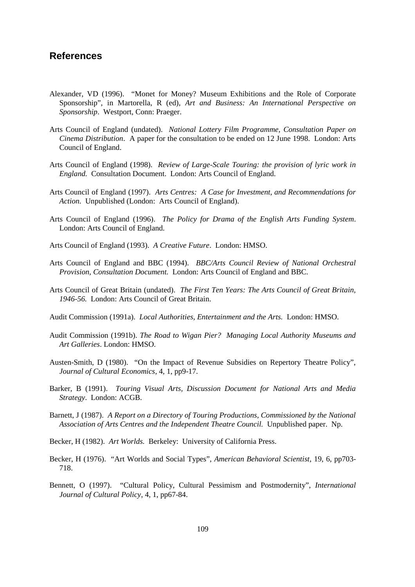### **References**

- Alexander, VD (1996). "Monet for Money? Museum Exhibitions and the Role of Corporate Sponsorship", in Martorella, R (ed), *Art and Business: An International Perspective on Sponsorship*. Westport, Conn: Praeger.
- Arts Council of England (undated). *National Lottery Film Programme, Consultation Paper on Cinema Distribution*. A paper for the consultation to be ended on 12 June 1998. London: Arts Council of England.
- Arts Council of England (1998)*. Review of Large-Scale Touring: the provision of lyric work in England.* Consultation Document. London: Arts Council of England.
- Arts Council of England (1997). *Arts Centres: A Case for Investment, and Recommendations for Action.* Unpublished (London: Arts Council of England).
- Arts Council of England (1996). *The Policy for Drama of the English Arts Funding System*. London: Arts Council of England.
- Arts Council of England (1993). *A Creative Future*. London: HMSO.
- Arts Council of England and BBC (1994). *BBC/Arts Council Review of National Orchestral Provision, Consultation Document.* London: Arts Council of England and BBC.
- Arts Council of Great Britain (undated). *The First Ten Years: The Arts Council of Great Britain, 1946-56.* London: Arts Council of Great Britain.
- Audit Commission (1991a). *Local Authorities, Entertainment and the Arts.* London: HMSO.
- Audit Commission (1991b). *The Road to Wigan Pier? Managing Local Authority Museums and Art Galleries*. London: HMSO.
- Austen-Smith, D (1980). "On the Impact of Revenue Subsidies on Repertory Theatre Policy", *Journal of Cultural Economics*, 4, 1, pp9-17.
- Barker, B (1991). *Touring Visual Arts, Discussion Document for National Arts and Media Strategy*. London: ACGB.
- Barnett, J (1987). *A Report on a Directory of Touring Productions, Commissioned by the National Association of Arts Centres and the Independent Theatre Council.* Unpublished paper. Np.
- Becker, H (1982). *Art Worlds.* Berkeley: University of California Press.
- Becker, H (1976). "Art Worlds and Social Types", *American Behavioral Scientist*, 19, 6, pp703- 718.
- Bennett, O (1997). "Cultural Policy, Cultural Pessimism and Postmodernity", *International Journal of Cultural Policy*, 4, 1, pp67-84.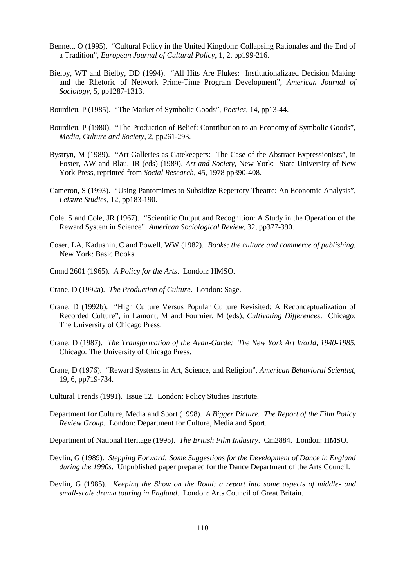- Bennett, O (1995). "Cultural Policy in the United Kingdom: Collapsing Rationales and the End of a Tradition", *European Journal of Cultural Policy*, 1, 2, pp199-216.
- Bielby, WT and Bielby, DD (1994). "All Hits Are Flukes: Institutionalizaed Decision Making and the Rhetoric of Network Prime-Time Program Development", *American Journal of Sociology*, 5, pp1287-1313.
- Bourdieu, P (1985). "The Market of Symbolic Goods", *Poetics*, 14, pp13-44.
- Bourdieu, P (1980). "The Production of Belief: Contribution to an Economy of Symbolic Goods", *Media, Culture and Society*, 2, pp261-293.
- Bystryn, M (1989). "Art Galleries as Gatekeepers: The Case of the Abstract Expressionists", in Foster, AW and Blau, JR (eds) (1989), *Art and Society*, New York: State University of New York Press, reprinted from *Social Research*, 45, 1978 pp390-408.
- Cameron, S (1993). "Using Pantomimes to Subsidize Repertory Theatre: An Economic Analysis", *Leisure Studies*, 12, pp183-190.
- Cole, S and Cole, JR (1967). "Scientific Output and Recognition: A Study in the Operation of the Reward System in Science", *American Sociological Review*, 32, pp377-390.
- Coser, LA, Kadushin, C and Powell, WW (1982). *Books: the culture and commerce of publishing.* New York: Basic Books.
- Cmnd 2601 (1965). *A Policy for the Arts*. London: HMSO.
- Crane, D (1992a). *The Production of Culture*. London: Sage.
- Crane, D (1992b). "High Culture Versus Popular Culture Revisited: A Reconceptualization of Recorded Culture", in Lamont, M and Fournier, M (eds), *Cultivating Differences*. Chicago: The University of Chicago Press.
- Crane, D (1987). *The Transformation of the Avan-Garde: The New York Art World, 1940-1985.* Chicago: The University of Chicago Press.
- Crane, D (1976). "Reward Systems in Art, Science, and Religion", *American Behavioral Scientist*, 19, 6, pp719-734.
- Cultural Trends (1991). Issue 12. London: Policy Studies Institute.
- Department for Culture, Media and Sport (1998). *A Bigger Picture. The Report of the Film Policy Review Group.* London: Department for Culture, Media and Sport.

Department of National Heritage (1995). *The British Film Industry*. Cm2884. London: HMSO.

- Devlin, G (1989). *Stepping Forward: Some Suggestions for the Development of Dance in England during the 1990s*. Unpublished paper prepared for the Dance Department of the Arts Council.
- Devlin, G (1985). *Keeping the Show on the Road: a report into some aspects of middle- and small-scale drama touring in England*. London: Arts Council of Great Britain.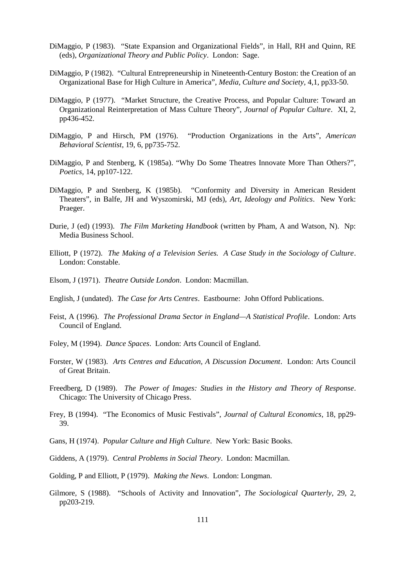- DiMaggio, P (1983). "State Expansion and Organizational Fields", in Hall, RH and Quinn, RE (eds), *Organizational Theory and Public Policy*. London: Sage.
- DiMaggio, P (1982). "Cultural Entrepreneurship in Nineteenth-Century Boston: the Creation of an Organizational Base for High Culture in America", *Media, Culture and Society*, 4,1, pp33-50.
- DiMaggio, P (1977). "Market Structure, the Creative Process, and Popular Culture: Toward an Organizational Reinterpretation of Mass Culture Theory", *Journal of Popular Culture*. XI, 2, pp436-452.
- DiMaggio, P and Hirsch, PM (1976). "Production Organizations in the Arts", *American Behavioral Scientist*, 19, 6, pp735-752.
- DiMaggio, P and Stenberg, K (1985a). "Why Do Some Theatres Innovate More Than Others?", *Poetics*, 14, pp107-122.
- DiMaggio, P and Stenberg, K (1985b). "Conformity and Diversity in American Resident Theaters", in Balfe, JH and Wyszomirski, MJ (eds), *Art, Ideology and Politics*. New York: Praeger.
- Durie, J (ed) (1993). *The Film Marketing Handbook* (written by Pham, A and Watson, N). Np: Media Business School.
- Elliott, P (1972). *The Making of a Television Series. A Case Study in the Sociology of Culture*. London: Constable.
- Elsom, J (1971). *Theatre Outside London*. London: Macmillan.
- English, J (undated). *The Case for Arts Centres*. Eastbourne: John Offord Publications.
- Feist, A (1996). *The Professional Drama Sector in England—A Statistical Profile*. London: Arts Council of England.
- Foley, M (1994). *Dance Spaces*. London: Arts Council of England.
- Forster, W (1983). *Arts Centres and Education, A Discussion Document*. London: Arts Council of Great Britain.
- Freedberg, D (1989). *The Power of Images: Studies in the History and Theory of Response*. Chicago: The University of Chicago Press.
- Frey, B (1994). "The Economics of Music Festivals", *Journal of Cultural Economics*, 18, pp29- 39.
- Gans, H (1974). *Popular Culture and High Culture*. New York: Basic Books.
- Giddens, A (1979). *Central Problems in Social Theory*. London: Macmillan.
- Golding, P and Elliott, P (1979). *Making the News*. London: Longman.
- Gilmore, S (1988). "Schools of Activity and Innovation", *The Sociological Quarterly*, 29, 2, pp203-219.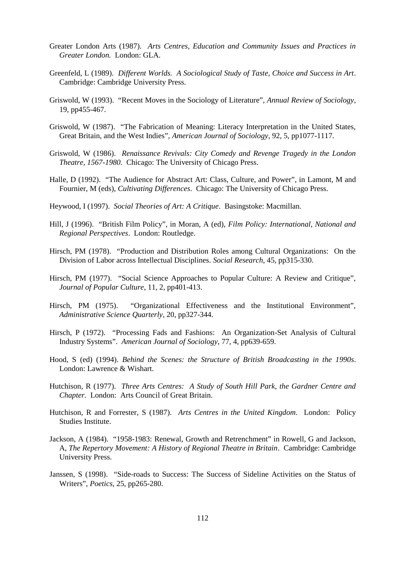- Greater London Arts (1987). *Arts Centres, Education and Community Issues and Practices in Greater London.* London: GLA.
- Greenfeld, L (1989). *Different Worlds. A Sociological Study of Taste, Choice and Success in Art*. Cambridge: Cambridge University Press.
- Griswold, W (1993). "Recent Moves in the Sociology of Literature", *Annual Review of Sociology*, 19, pp455-467.
- Griswold, W (1987). "The Fabrication of Meaning: Literacy Interpretation in the United States, Great Britain, and the West Indies", *American Journal of Sociology*, 92, 5, pp1077-1117.
- Griswold, W (1986). *Renaissance Revivals: City Comedy and Revenge Tragedy in the London Theatre, 1567-1980.* Chicago: The University of Chicago Press.
- Halle, D (1992). "The Audience for Abstract Art: Class, Culture, and Power", in Lamont, M and Fournier, M (eds), *Cultivating Differences*. Chicago: The University of Chicago Press.
- Heywood, I (1997). *Social Theories of Art: A Critique*. Basingstoke: Macmillan.
- Hill, J (1996). "British Film Policy", in Moran, A (ed), *Film Policy: International, National and Regional Perspectives*. London: Routledge.
- Hirsch, PM (1978). "Production and Distribution Roles among Cultural Organizations: On the Division of Labor across Intellectual Disciplines. *Social Research*, 45, pp315-330.
- Hirsch, PM (1977). "Social Science Approaches to Popular Culture: A Review and Critique", *Journal of Popular Culture*, 11, 2, pp401-413.
- Hirsch, PM (1975). "Organizational Effectiveness and the Institutional Environment", *Administrative Science Quarterly*, 20, pp327-344.
- Hirsch, P (1972). "Processing Fads and Fashions: An Organization-Set Analysis of Cultural Industry Systems". *American Journal of Sociology*, 77, 4, pp639-659.
- Hood, S (ed) (1994). *Behind the Scenes: the Structure of British Broadcasting in the 1990s*. London: Lawrence & Wishart.
- Hutchison, R (1977). *Three Arts Centres: A Study of South Hill Park, the Gardner Centre and Chapter.* London: Arts Council of Great Britain.
- Hutchison, R and Forrester, S (1987). *Arts Centres in the United Kingdom*. London: Policy Studies Institute.
- Jackson, A (1984). "1958-1983: Renewal, Growth and Retrenchment" in Rowell, G and Jackson, A, *The Repertory Movement: A History of Regional Theatre in Britain*. Cambridge: Cambridge University Press.
- Janssen, S (1998). "Side-roads to Success: The Success of Sideline Activities on the Status of Writers", *Poetics*, 25, pp265-280.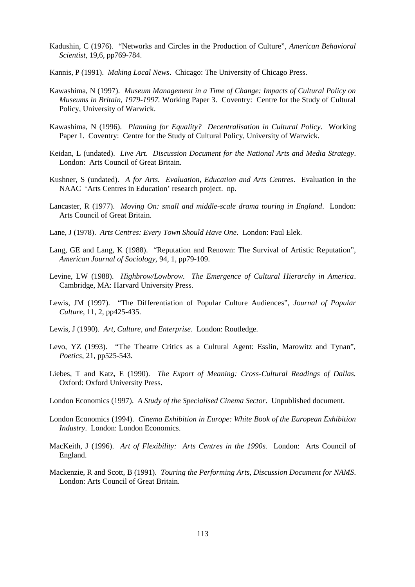- Kadushin, C (1976). "Networks and Circles in the Production of Culture", *American Behavioral Scientist*, 19,6, pp769-784.
- Kannis, P (1991). *Making Local News*. Chicago: The University of Chicago Press.
- Kawashima, N (1997). *Museum Management in a Time of Change: Impacts of Cultural Policy on Museums in Britain, 1979-1997.* Working Paper 3. Coventry: Centre for the Study of Cultural Policy, University of Warwick.
- Kawashima, N (1996). *Planning for Equality? Decentralisation in Cultural Policy*. Working Paper 1. Coventry: Centre for the Study of Cultural Policy, University of Warwick.
- Keidan, L (undated). *Live Art. Discussion Document for the National Arts and Media Strategy*. London: Arts Council of Great Britain.
- Kushner, S (undated). *A for Arts. Evaluation, Education and Arts Centres*. Evaluation in the NAAC 'Arts Centres in Education' research project. np.
- Lancaster, R (1977). *Moving On: small and middle-scale drama touring in England*. London: Arts Council of Great Britain.
- Lane, J (1978). *Arts Centres: Every Town Should Have One*. London: Paul Elek.
- Lang, GE and Lang, K (1988). "Reputation and Renown: The Survival of Artistic Reputation", *American Journal of Sociology,* 94, 1, pp79-109.
- Levine, LW (1988). *Highbrow/Lowbrow. The Emergence of Cultural Hierarchy in America*. Cambridge, MA: Harvard University Press.
- Lewis, JM (1997). "The Differentiation of Popular Culture Audiences", *Journal of Popular Culture*, 11, 2, pp425-435.
- Lewis, J (1990). *Art, Culture, and Enterprise*. London: Routledge.
- Levo, YZ (1993). "The Theatre Critics as a Cultural Agent: Esslin, Marowitz and Tynan", *Poetics*, 21, pp525-543.
- Liebes, T and Katz, E (1990). *The Export of Meaning: Cross-Cultural Readings of Dallas.* Oxford: Oxford University Press.
- London Economics (1997). *A Study of the Specialised Cinema Sector*. Unpublished document.
- London Economics (1994). *Cinema Exhibition in Europe: White Book of the European Exhibition Industry*. London: London Economics.
- MacKeith, J (1996). *Art of Flexibility: Arts Centres in the 1990s.* London: Arts Council of England.
- Mackenzie, R and Scott, B (1991). *Touring the Performing Arts, Discussion Document for NAMS*. London: Arts Council of Great Britain.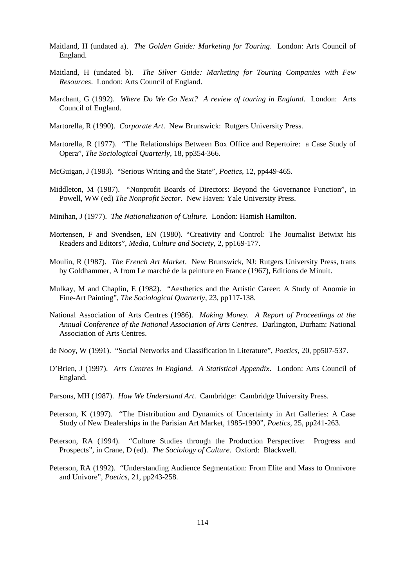- Maitland, H (undated a). *The Golden Guide: Marketing for Touring*. London: Arts Council of England.
- Maitland, H (undated b). *The Silver Guide: Marketing for Touring Companies with Few Resources*. London: Arts Council of England.
- Marchant, G (1992). *Where Do We Go Next? A review of touring in England*. London: Arts Council of England.
- Martorella, R (1990). *Corporate Art*. New Brunswick: Rutgers University Press.
- Martorella, R (1977). "The Relationships Between Box Office and Repertoire: a Case Study of Opera", *The Sociological Quarterly*, 18, pp354-366.
- McGuigan, J (1983). "Serious Writing and the State", *Poetics*, 12, pp449-465.
- Middleton, M (1987). "Nonprofit Boards of Directors: Beyond the Governance Function", in Powell, WW (ed) *The Nonprofit Sector*. New Haven: Yale University Press.
- Minihan, J (1977). *The Nationalization of Culture.* London: Hamish Hamilton.
- Mortensen, F and Svendsen, EN (1980). "Creativity and Control: The Journalist Betwixt his Readers and Editors", *Media, Culture and Society*, 2, pp169-177.
- Moulin, R (1987). *The French Art Market*. New Brunswick, NJ: Rutgers University Press, trans by Goldhammer, A from Le marché de la peinture en France (1967), Editions de Minuit.
- Mulkay, M and Chaplin, E (1982). "Aesthetics and the Artistic Career: A Study of Anomie in Fine-Art Painting", *The Sociological Quarterly*, 23, pp117-138.
- National Association of Arts Centres (1986). *Making Money. A Report of Proceedings at the Annual Conference of the National Association of Arts Centres*. Darlington, Durham: National Association of Arts Centres.
- de Nooy, W (1991). "Social Networks and Classification in Literature", *Poetics*, 20, pp507-537.
- O'Brien, J (1997). *Arts Centres in England. A Statistical Appendix*. London: Arts Council of England.
- Parsons, MH (1987). *How We Understand Art*. Cambridge: Cambridge University Press.
- Peterson, K (1997). "The Distribution and Dynamics of Uncertainty in Art Galleries: A Case Study of New Dealerships in the Parisian Art Market, 1985-1990", *Poetics*, 25, pp241-263.
- Peterson, RA (1994). "Culture Studies through the Production Perspective: Progress and Prospects", in Crane, D (ed). *The Sociology of Culture*. Oxford: Blackwell.
- Peterson, RA (1992). "Understanding Audience Segmentation: From Elite and Mass to Omnivore and Univore", *Poetics*, 21, pp243-258.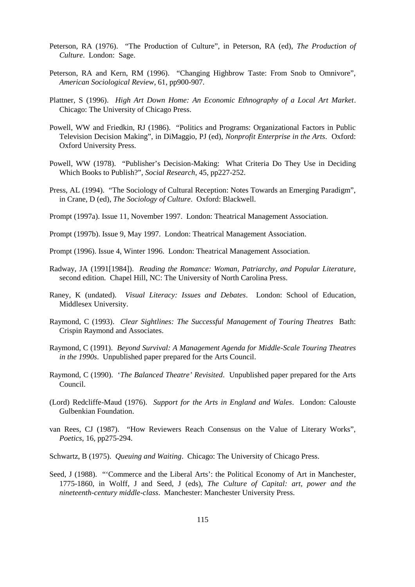- Peterson, RA (1976). "The Production of Culture", in Peterson, RA (ed), *The Production of Culture*. London: Sage.
- Peterson, RA and Kern, RM (1996). "Changing Highbrow Taste: From Snob to Omnivore", *American Sociological Review*, 61, pp900-907.
- Plattner, S (1996). *High Art Down Home: An Economic Ethnography of a Local Art Market*. Chicago: The University of Chicago Press.
- Powell, WW and Friedkin, RJ (1986). "Politics and Programs: Organizational Factors in Public Television Decision Making", in DiMaggio, PJ (ed), *Nonprofit Enterprise in the Arts*. Oxford: Oxford University Press.
- Powell, WW (1978). "Publisher's Decision-Making: What Criteria Do They Use in Deciding Which Books to Publish?", *Social Research*, 45, pp227-252.
- Press, AL (1994). "The Sociology of Cultural Reception: Notes Towards an Emerging Paradigm", in Crane, D (ed), *The Sociology of Culture*. Oxford: Blackwell.

Prompt (1997a). Issue 11, November 1997. London: Theatrical Management Association.

- Prompt (1997b). Issue 9, May 1997. London: Theatrical Management Association.
- Prompt (1996). Issue 4, Winter 1996. London: Theatrical Management Association.
- Radway, JA (1991[1984]). *Reading the Romance: Woman, Patriarchy, and Popular Literature,* second edition*.* Chapel Hill, NC: The University of North Carolina Press.
- Raney, K (undated). *Visual Literacy: Issues and Debates*. London: School of Education, Middlesex University.
- Raymond, C (1993). *Clear Sightlines: The Successful Management of Touring Theatres* Bath: Crispin Raymond and Associates.
- Raymond, C (1991). *Beyond Survival: A Management Agenda for Middle-Scale Touring Theatres in the 1990s*. Unpublished paper prepared for the Arts Council.
- Raymond, C (1990). '*The Balanced Theatre' Revisited*. Unpublished paper prepared for the Arts Council.
- (Lord) Redcliffe-Maud (1976). *Support for the Arts in England and Wales*. London: Calouste Gulbenkian Foundation.
- van Rees, CJ (1987). "How Reviewers Reach Consensus on the Value of Literary Works", *Poetics*, 16, pp275-294.
- Schwartz, B (1975). *Queuing and Waiting*. Chicago: The University of Chicago Press.
- Seed, J (1988). "'Commerce and the Liberal Arts': the Political Economy of Art in Manchester, 1775-1860, in Wolff, J and Seed, J (eds), *The Culture of Capital: art, power and the nineteenth-century middle-class*. Manchester: Manchester University Press.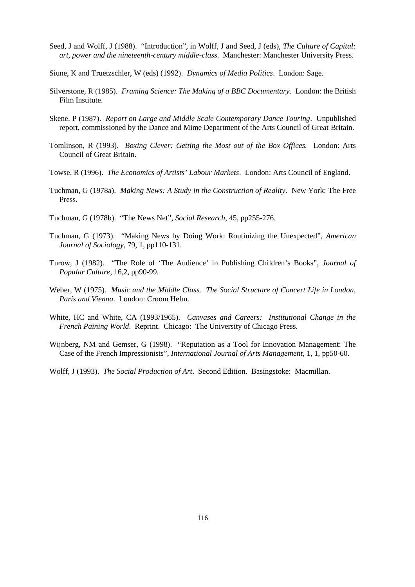- Seed, J and Wolff, J (1988). "Introduction", in Wolff, J and Seed, J (eds), *The Culture of Capital: art, power and the nineteenth-century middle-class*. Manchester: Manchester University Press.
- Siune, K and Truetzschler, W (eds) (1992). *Dynamics of Media Politics*. London: Sage.
- Silverstone, R (1985). *Framing Science: The Making of a BBC Documentary.* London: the British Film Institute.
- Skene, P (1987). *Report on Large and Middle Scale Contemporary Dance Touring*. Unpublished report, commissioned by the Dance and Mime Department of the Arts Council of Great Britain.
- Tomlinson, R (1993). *Boxing Clever: Getting the Most out of the Box Offices.* London: Arts Council of Great Britain.
- Towse, R (1996). *The Economics of Artists' Labour Markets*. London: Arts Council of England.
- Tuchman, G (1978a). *Making News: A Study in the Construction of Reality*. New York: The Free Press.
- Tuchman, G (1978b). "The News Net", *Social Research*, 45, pp255-276.
- Tuchman, G (1973). "Making News by Doing Work: Routinizing the Unexpected", *American Journal of Sociology*, 79, 1, pp110-131.
- Turow, J (1982). "The Role of 'The Audience' in Publishing Children's Books", *Journal of Popular Culture*, 16,2, pp90-99.
- Weber, W (1975). *Music and the Middle Class. The Social Structure of Concert Life in London, Paris and Vienna*. London: Croom Helm.
- White, HC and White, CA (1993/1965). *Canvases and Careers: Institutional Change in the French Paining World*. Reprint. Chicago: The University of Chicago Press.
- Wijnberg, NM and Gemser, G (1998). "Reputation as a Tool for Innovation Management: The Case of the French Impressionists", *International Journal of Arts Management*, 1, 1, pp50-60.
- Wolff, J (1993). *The Social Production of Art*. Second Edition. Basingstoke: Macmillan.